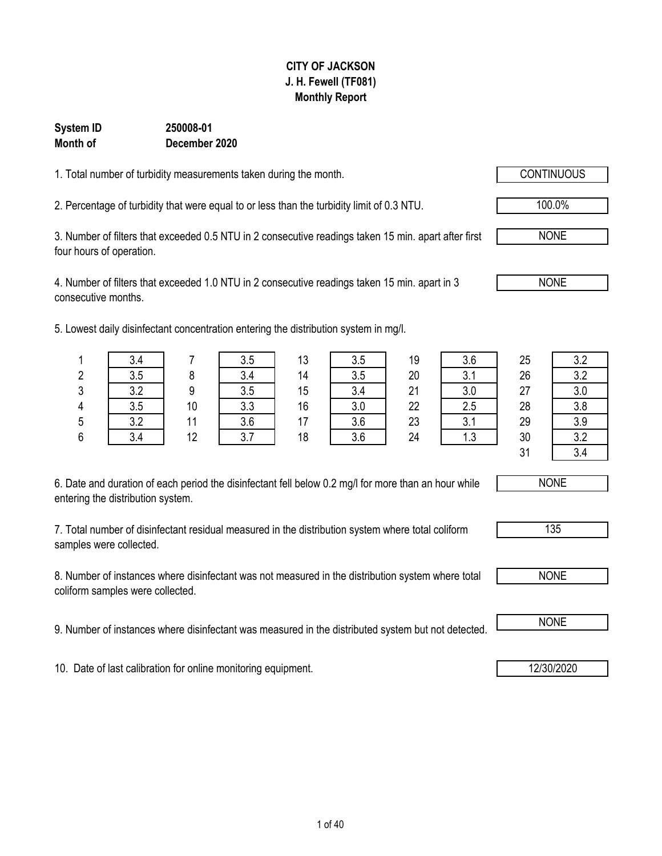4. Number of filters that exceeded 1.0 NTU in 2 consecutive readings taken 15 min. apart in 3 consecutive months.

5. Lowest daily disinfectant concentration entering the distribution system in mg/l.

| 6. Date and duration of each period the disinfectant fell below 0.2 mg/l for more than an hour while |
|------------------------------------------------------------------------------------------------------|
| entering the distribution system.                                                                    |

7. Total number of disinfectant residual measured in the distribution system where total coliform samples were collected.

8. Number of instances where disinfectant was not measured in the distribution system where total coliform samples were collected.

9. Number of instances where disinfectant was measured in the distributed system but not detected. **I** NONE

10. Date of last calibration for online monitoring equipment. 12/30/2020

### **CITY OF JACKSON J. H. Fewell (TF081) Monthly Report**

### 1. Total number of turbidity measurements taken during the month.

**December 2020**

**System ID 250008-01**

**Month of**

2. Percentage of turbidity that were equal to or less than the turbidity limit of 0.3 NTU. 100.0%

3. Number of filters that exceeded 0.5 NTU in 2 consecutive readings taken 15 min. apart after first four hours of operation.

| C.<br>۷ | 3.5        |                 | 3.4                 | 14 | 3.5       | 20 | ົາ 4<br>v. 1             | 26 | 3.2            |
|---------|------------|-----------------|---------------------|----|-----------|----|--------------------------|----|----------------|
| 3       | າ າ        | n               | 3.5                 | 15 | 3.4       | 21 | 20<br>v.v                | 27 | 3.0            |
| Λ       | 3.5        | 10              | 2 2<br>ບ.ບ          | 16 | 20<br>v.v | 22 | つに<br>د.ء                | 28 | 3.8            |
| 5       | າ າ<br>v.L | $\overline{44}$ | 3.6                 | ᇧ  | 3.6       | 23 | $\sim$ $\lambda$<br>◡. ៲ | 29 | 3.9            |
| 6       | 3.4        | 12              | $\mathbf{r}$<br>∪.≀ | 18 | 3.6       | 24 | $\sim$<br>ل. ا           | 30 | 3.2            |
|         |            |                 |                     |    |           |    |                          | 21 | 2 <sub>1</sub> |

NONE





1 | 3.4 | 7 | 3.5 | 13 | 3.5 | 19 | 3.6 | 25 | 3.2 31 3.4

NONE

NONE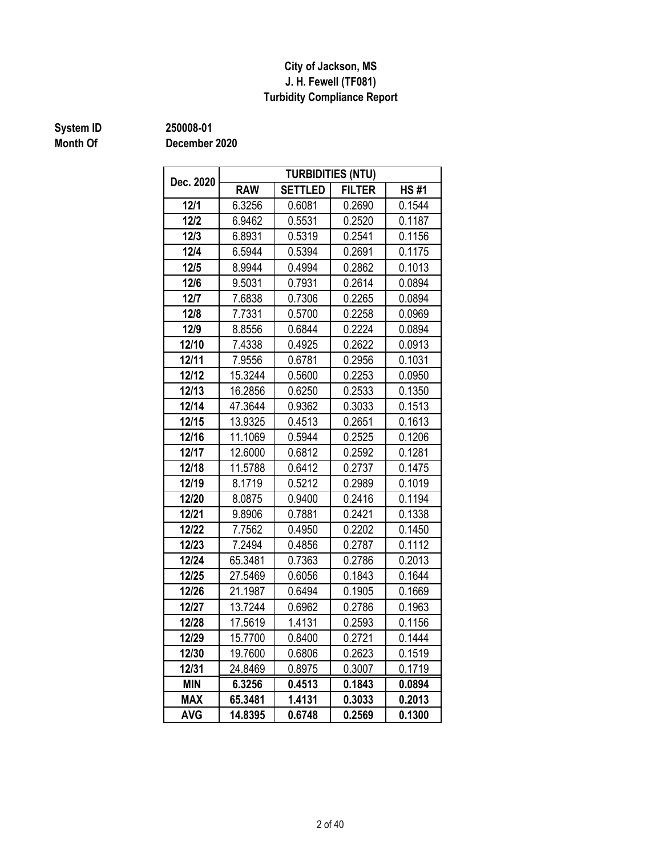### **J. H. Fewell (TF081) Turbidity Compliance Report City of Jackson, MS**

## **Month Of**

**System ID 250008-01**

| Dec. 2020  | <b>TURBIDITIES (NTU)</b> |                |               |             |  |  |  |  |  |  |  |
|------------|--------------------------|----------------|---------------|-------------|--|--|--|--|--|--|--|
|            | <b>RAW</b>               | <b>SETTLED</b> | <b>FILTER</b> | <b>HS#1</b> |  |  |  |  |  |  |  |
| $12/1$     | 6.3256                   | 0.6081         | 0.2690        | 0.1544      |  |  |  |  |  |  |  |
| $12/2$     | 6.9462                   | 0.5531         | 0.2520        | 0.1187      |  |  |  |  |  |  |  |
| 12/3       | 6.8931                   | 0.5319         | 0.2541        | 0.1156      |  |  |  |  |  |  |  |
| 12/4       | 6.5944                   | 0.5394         | 0.2691        | 0.1175      |  |  |  |  |  |  |  |
| 12/5       | 8.9944                   | 0.4994         | 0.2862        | 0.1013      |  |  |  |  |  |  |  |
| 12/6       | 9.5031                   | 0.7931         | 0.2614        | 0.0894      |  |  |  |  |  |  |  |
| 12/7       | 7.6838                   | 0.7306         | 0.2265        | 0.0894      |  |  |  |  |  |  |  |
| 12/8       | 7.7331                   | 0.5700         | 0.2258        | 0.0969      |  |  |  |  |  |  |  |
| 12/9       | 8.8556                   | 0.6844         | 0.2224        | 0.0894      |  |  |  |  |  |  |  |
| 12/10      | 7.4338                   | 0.4925         | 0.2622        | 0.0913      |  |  |  |  |  |  |  |
| 12/11      | 7.9556                   | 0.6781         | 0.2956        | 0.1031      |  |  |  |  |  |  |  |
| 12/12      | 15.3244                  | 0.5600         | 0.2253        | 0.0950      |  |  |  |  |  |  |  |
| 12/13      | 16.2856                  | 0.6250         | 0.2533        | 0.1350      |  |  |  |  |  |  |  |
| 12/14      | 47.3644                  | 0.9362         | 0.3033        | 0.1513      |  |  |  |  |  |  |  |
| 12/15      | 13.9325                  | 0.4513         | 0.2651        | 0.1613      |  |  |  |  |  |  |  |
| 12/16      | 11.1069                  | 0.5944         | 0.2525        | 0.1206      |  |  |  |  |  |  |  |
| 12/17      | 12.6000                  | 0.6812         | 0.2592        | 0.1281      |  |  |  |  |  |  |  |
| 12/18      | 11.5788                  | 0.6412         | 0.2737        | 0.1475      |  |  |  |  |  |  |  |
| 12/19      | 8.1719                   | 0.5212         | 0.2989        | 0.1019      |  |  |  |  |  |  |  |
| 12/20      | 8.0875                   | 0.9400         | 0.2416        | 0.1194      |  |  |  |  |  |  |  |
| 12/21      | 9.8906                   | 0.7881         | 0.2421        | 0.1338      |  |  |  |  |  |  |  |
| 12/22      | 7.7562                   | 0.4950         | 0.2202        | 0.1450      |  |  |  |  |  |  |  |
| 12/23      | 7.2494                   | 0.4856         | 0.2787        | 0.1112      |  |  |  |  |  |  |  |
| 12/24      | 65.3481                  | 0.7363         | 0.2786        | 0.2013      |  |  |  |  |  |  |  |
| 12/25      | 27.5469                  | 0.6056         | 0.1843        | 0.1644      |  |  |  |  |  |  |  |
| 12/26      | 21.1987                  | 0.6494         | 0.1905        | 0.1669      |  |  |  |  |  |  |  |
| 12/27      | 13.7244                  | 0.6962         | 0.2786        | 0.1963      |  |  |  |  |  |  |  |
| 12/28      | 17.5619                  | 1.4131         | 0.2593        | 0.1156      |  |  |  |  |  |  |  |
| 12/29      | 15.7700                  | 0.8400         | 0.2721        | 0.1444      |  |  |  |  |  |  |  |
| 12/30      | 19.7600                  | 0.6806         | 0.2623        | 0.1519      |  |  |  |  |  |  |  |
| 12/31      | 24.8469                  | 0.8975         | 0.3007        | 0.1719      |  |  |  |  |  |  |  |
| <b>MIN</b> | 6.3256                   | 0.4513         | 0.1843        | 0.0894      |  |  |  |  |  |  |  |
| <b>MAX</b> | 65.3481                  | 1.4131         | 0.3033        | 0.2013      |  |  |  |  |  |  |  |
| <b>AVG</b> | 14.8395                  | 0.6748         | 0.2569        | 0.1300      |  |  |  |  |  |  |  |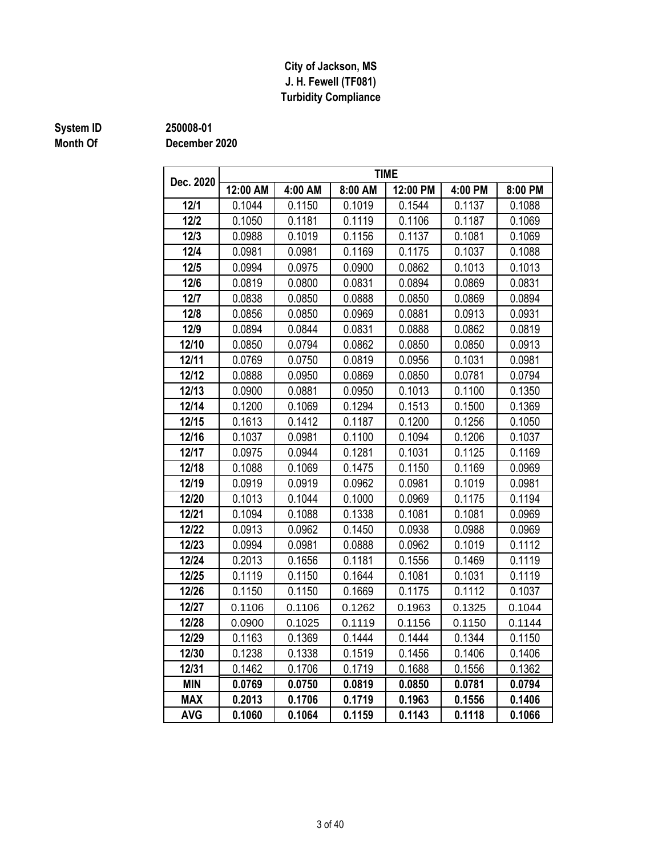### **J. H. Fewell (TF081) Turbidity Compliance City of Jackson, MS**

## **Month Of**

### **System ID 250008-01**

| Dec. 2020  | <b>TIME</b><br>12:00 AM<br>12:00 PM<br>4:00 PM<br>4:00 AM<br>8:00 AM<br>8:00 PM |        |        |        |        |        |  |  |  |  |  |  |  |
|------------|---------------------------------------------------------------------------------|--------|--------|--------|--------|--------|--|--|--|--|--|--|--|
|            |                                                                                 |        |        |        |        |        |  |  |  |  |  |  |  |
| 12/1       | 0.1044                                                                          | 0.1150 | 0.1019 | 0.1544 | 0.1137 | 0.1088 |  |  |  |  |  |  |  |
| $12/2$     | 0.1050                                                                          | 0.1181 | 0.1119 | 0.1106 | 0.1187 | 0.1069 |  |  |  |  |  |  |  |
| 12/3       | 0.0988                                                                          | 0.1019 | 0.1156 | 0.1137 | 0.1081 | 0.1069 |  |  |  |  |  |  |  |
| 12/4       | 0.0981                                                                          | 0.0981 | 0.1169 | 0.1175 | 0.1037 | 0.1088 |  |  |  |  |  |  |  |
| $12/5$     | 0.0994                                                                          | 0.0975 | 0.0900 | 0.0862 | 0.1013 | 0.1013 |  |  |  |  |  |  |  |
| 12/6       | 0.0819                                                                          | 0.0800 | 0.0831 | 0.0894 | 0.0869 | 0.0831 |  |  |  |  |  |  |  |
| 12/7       | 0.0838                                                                          | 0.0850 | 0.0888 | 0.0850 | 0.0869 | 0.0894 |  |  |  |  |  |  |  |
| 12/8       | 0.0856                                                                          | 0.0850 | 0.0969 | 0.0881 | 0.0913 | 0.0931 |  |  |  |  |  |  |  |
| 12/9       | 0.0894                                                                          | 0.0844 | 0.0831 | 0.0888 | 0.0862 | 0.0819 |  |  |  |  |  |  |  |
| 12/10      | 0.0850                                                                          | 0.0794 | 0.0862 | 0.0850 | 0.0850 | 0.0913 |  |  |  |  |  |  |  |
| 12/11      | 0.0769                                                                          | 0.0750 | 0.0819 | 0.0956 | 0.1031 | 0.0981 |  |  |  |  |  |  |  |
| 12/12      | 0.0888                                                                          | 0.0950 | 0.0869 | 0.0850 | 0.0781 | 0.0794 |  |  |  |  |  |  |  |
| 12/13      | 0.0900                                                                          | 0.0881 | 0.0950 | 0.1013 | 0.1100 | 0.1350 |  |  |  |  |  |  |  |
| 12/14      | 0.1200                                                                          | 0.1069 | 0.1294 | 0.1513 | 0.1500 | 0.1369 |  |  |  |  |  |  |  |
| 12/15      | 0.1613                                                                          | 0.1412 | 0.1187 | 0.1200 | 0.1256 | 0.1050 |  |  |  |  |  |  |  |
| 12/16      | 0.1037                                                                          | 0.0981 | 0.1100 | 0.1094 | 0.1206 | 0.1037 |  |  |  |  |  |  |  |
| 12/17      | 0.0975                                                                          | 0.0944 | 0.1281 | 0.1031 | 0.1125 | 0.1169 |  |  |  |  |  |  |  |
| 12/18      | 0.1088                                                                          | 0.1069 | 0.1475 | 0.1150 | 0.1169 | 0.0969 |  |  |  |  |  |  |  |
| 12/19      | 0.0919                                                                          | 0.0919 | 0.0962 | 0.0981 | 0.1019 | 0.0981 |  |  |  |  |  |  |  |
| 12/20      | 0.1013                                                                          | 0.1044 | 0.1000 | 0.0969 | 0.1175 | 0.1194 |  |  |  |  |  |  |  |
| 12/21      | 0.1094                                                                          | 0.1088 | 0.1338 | 0.1081 | 0.1081 | 0.0969 |  |  |  |  |  |  |  |
| 12/22      | 0.0913                                                                          | 0.0962 | 0.1450 | 0.0938 | 0.0988 | 0.0969 |  |  |  |  |  |  |  |
| 12/23      | 0.0994                                                                          | 0.0981 | 0.0888 | 0.0962 | 0.1019 | 0.1112 |  |  |  |  |  |  |  |
| 12/24      | 0.2013                                                                          | 0.1656 | 0.1181 | 0.1556 | 0.1469 | 0.1119 |  |  |  |  |  |  |  |
| 12/25      | 0.1119                                                                          | 0.1150 | 0.1644 | 0.1081 | 0.1031 | 0.1119 |  |  |  |  |  |  |  |
| 12/26      | 0.1150                                                                          | 0.1150 | 0.1669 | 0.1175 | 0.1112 | 0.1037 |  |  |  |  |  |  |  |
| 12/27      | 0.1106                                                                          | 0.1106 | 0.1262 | 0.1963 | 0.1325 | 0.1044 |  |  |  |  |  |  |  |
| 12/28      | 0.0900                                                                          | 0.1025 | 0.1119 | 0.1156 | 0.1150 | 0.1144 |  |  |  |  |  |  |  |
| 12/29      | 0.1163                                                                          | 0.1369 | 0.1444 | 0.1444 | 0.1344 | 0.1150 |  |  |  |  |  |  |  |
| 12/30      | 0.1238                                                                          | 0.1338 | 0.1519 | 0.1456 | 0.1406 | 0.1406 |  |  |  |  |  |  |  |
| 12/31      | 0.1462                                                                          | 0.1706 | 0.1719 | 0.1688 | 0.1556 | 0.1362 |  |  |  |  |  |  |  |
| <b>MIN</b> | 0.0769                                                                          | 0.0750 | 0.0819 | 0.0850 | 0.0781 | 0.0794 |  |  |  |  |  |  |  |
| <b>MAX</b> | 0.2013                                                                          | 0.1706 | 0.1719 | 0.1963 | 0.1556 | 0.1406 |  |  |  |  |  |  |  |
| <b>AVG</b> | 0.1060                                                                          | 0.1064 | 0.1159 | 0.1143 | 0.1118 | 0.1066 |  |  |  |  |  |  |  |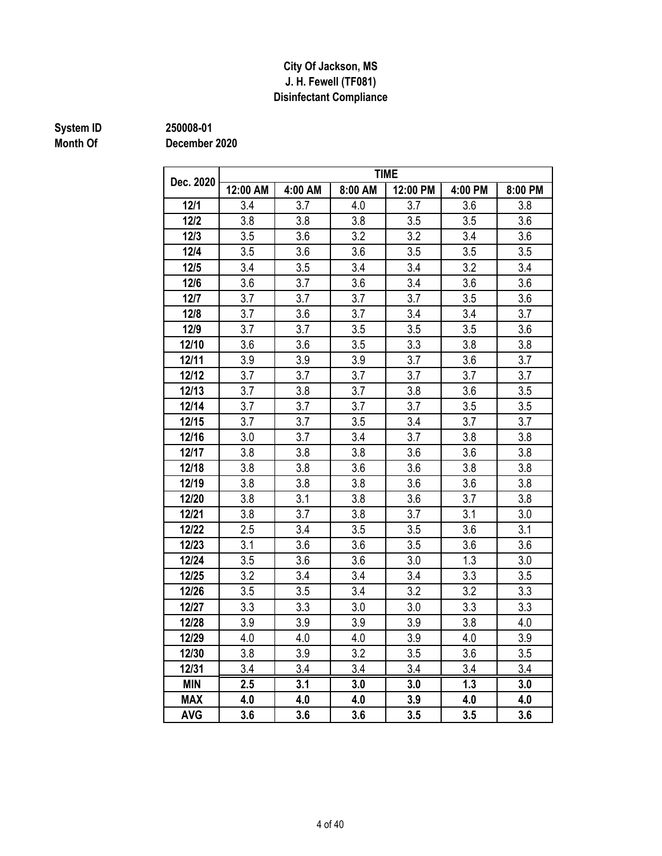### **Disinfectant Compliance City Of Jackson, MS J. H. Fewell (TF081)**

## **Month Of**

**System ID 250008-01**

|            | <b>TIME</b><br>12:00 AM<br>4:00 AM<br>8:00 AM<br>12:00 PM<br>4:00 PM<br>8:00 PM |     |     |     |     |     |  |  |  |  |  |  |  |
|------------|---------------------------------------------------------------------------------|-----|-----|-----|-----|-----|--|--|--|--|--|--|--|
| Dec. 2020  |                                                                                 |     |     |     |     |     |  |  |  |  |  |  |  |
| 12/1       | 3.4                                                                             | 3.7 | 4.0 | 3.7 | 3.6 | 3.8 |  |  |  |  |  |  |  |
| $12/2$     | 3.8                                                                             | 3.8 | 3.8 | 3.5 | 3.5 | 3.6 |  |  |  |  |  |  |  |
| 12/3       | 3.5                                                                             | 3.6 | 3.2 | 3.2 | 3.4 | 3.6 |  |  |  |  |  |  |  |
| $12/4$     | 3.5                                                                             | 3.6 | 3.6 | 3.5 | 3.5 | 3.5 |  |  |  |  |  |  |  |
| 12/5       | 3.4                                                                             | 3.5 | 3.4 | 3.4 | 3.2 | 3.4 |  |  |  |  |  |  |  |
| 12/6       | 3.6                                                                             | 3.7 | 3.6 | 3.4 | 3.6 | 3.6 |  |  |  |  |  |  |  |
| 12/7       | 3.7                                                                             | 3.7 | 3.7 | 3.7 | 3.5 | 3.6 |  |  |  |  |  |  |  |
| 12/8       | 3.7                                                                             | 3.6 | 3.7 | 3.4 | 3.4 | 3.7 |  |  |  |  |  |  |  |
| 12/9       | 3.7                                                                             | 3.7 | 3.5 | 3.5 | 3.5 | 3.6 |  |  |  |  |  |  |  |
| 12/10      | 3.6                                                                             | 3.6 | 3.5 | 3.3 | 3.8 | 3.8 |  |  |  |  |  |  |  |
| 12/11      | 3.9                                                                             | 3.9 | 3.9 | 3.7 | 3.6 | 3.7 |  |  |  |  |  |  |  |
| 12/12      | 3.7                                                                             | 3.7 | 3.7 | 3.7 | 3.7 | 3.7 |  |  |  |  |  |  |  |
| 12/13      | 3.7                                                                             | 3.8 | 3.7 | 3.8 | 3.6 | 3.5 |  |  |  |  |  |  |  |
| 12/14      | 3.7                                                                             | 3.7 | 3.7 | 3.7 | 3.5 | 3.5 |  |  |  |  |  |  |  |
| 12/15      | 3.7                                                                             | 3.7 | 3.5 | 3.4 | 3.7 | 3.7 |  |  |  |  |  |  |  |
| 12/16      | 3.0                                                                             | 3.7 | 3.4 | 3.7 | 3.8 | 3.8 |  |  |  |  |  |  |  |
| 12/17      | 3.8                                                                             | 3.8 | 3.8 | 3.6 | 3.6 | 3.8 |  |  |  |  |  |  |  |
| 12/18      | 3.8                                                                             | 3.8 | 3.6 | 3.6 | 3.8 | 3.8 |  |  |  |  |  |  |  |
| 12/19      | 3.8                                                                             | 3.8 | 3.8 | 3.6 | 3.6 | 3.8 |  |  |  |  |  |  |  |
| 12/20      | 3.8                                                                             | 3.1 | 3.8 | 3.6 | 3.7 | 3.8 |  |  |  |  |  |  |  |
| 12/21      | 3.8                                                                             | 3.7 | 3.8 | 3.7 | 3.1 | 3.0 |  |  |  |  |  |  |  |
| 12/22      | 2.5                                                                             | 3.4 | 3.5 | 3.5 | 3.6 | 3.1 |  |  |  |  |  |  |  |
| 12/23      | 3.1                                                                             | 3.6 | 3.6 | 3.5 | 3.6 | 3.6 |  |  |  |  |  |  |  |
| 12/24      | 3.5                                                                             | 3.6 | 3.6 | 3.0 | 1.3 | 3.0 |  |  |  |  |  |  |  |
| 12/25      | 3.2                                                                             | 3.4 | 3.4 | 3.4 | 3.3 | 3.5 |  |  |  |  |  |  |  |
| 12/26      | 3.5                                                                             | 3.5 | 3.4 | 3.2 | 3.2 | 3.3 |  |  |  |  |  |  |  |
| 12/27      | 3.3                                                                             | 3.3 | 3.0 | 3.0 | 3.3 | 3.3 |  |  |  |  |  |  |  |
| 12/28      | 3.9                                                                             | 3.9 | 3.9 | 3.9 | 3.8 | 4.0 |  |  |  |  |  |  |  |
| 12/29      | 4.0                                                                             | 4.0 | 4.0 | 3.9 | 4.0 | 3.9 |  |  |  |  |  |  |  |
| 12/30      | 3.8                                                                             | 3.9 | 3.2 | 3.5 | 3.6 | 3.5 |  |  |  |  |  |  |  |
| 12/31      | 3.4                                                                             | 3.4 | 3.4 | 3.4 | 3.4 | 3.4 |  |  |  |  |  |  |  |
| <b>MIN</b> | 2.5                                                                             | 3.1 | 3.0 | 3.0 | 1.3 | 3.0 |  |  |  |  |  |  |  |
| <b>MAX</b> | 4.0                                                                             | 4.0 | 4.0 | 3.9 | 4.0 | 4.0 |  |  |  |  |  |  |  |
| <b>AVG</b> | 3.6                                                                             | 3.6 | 3.6 | 3.5 | 3.5 | 3.6 |  |  |  |  |  |  |  |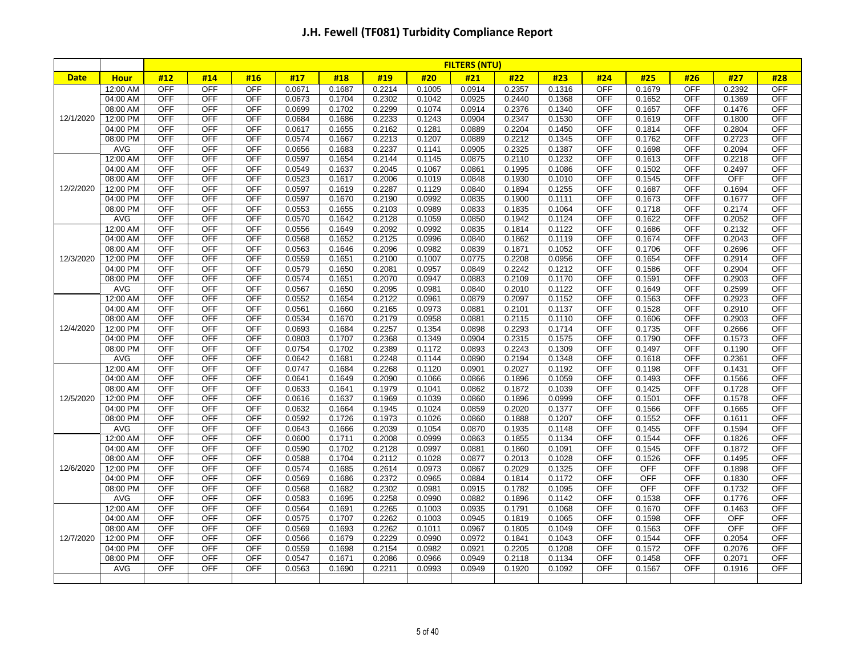|             |                      |                          |                          |                          |                  |                  |                  |                  | <b>FILTERS (NTU)</b> |                  |                  |                          |                          |                          |                  |                          |
|-------------|----------------------|--------------------------|--------------------------|--------------------------|------------------|------------------|------------------|------------------|----------------------|------------------|------------------|--------------------------|--------------------------|--------------------------|------------------|--------------------------|
| <b>Date</b> | <b>Hour</b>          | #12                      | #14                      | #16                      | #17              | #18              | #19              | #20              | #21                  | #22              | #23              | #24                      | #25                      | #26                      | #27              | #28                      |
|             | 12:00 AM             | <b>OFF</b>               | <b>OFF</b>               | <b>OFF</b>               | 0.0671           | 0.1687           | 0.2214           | 0.1005           | 0.0914               | 0.2357           | 0.1316           | <b>OFF</b>               | 0.1679                   | <b>OFF</b>               | 0.2392           | <b>OFF</b>               |
|             | 04:00 AM             | <b>OFF</b>               | <b>OFF</b>               | <b>OFF</b>               | 0.0673           | 0.1704           | 0.2302           | 0.1042           | 0.0925               | 0.2440           | 0.1368           | OFF                      | 0.1652                   | <b>OFF</b>               | 0.1369           | <b>OFF</b>               |
|             | 08:00 AM             | <b>OFF</b>               | <b>OFF</b>               | <b>OFF</b>               | 0.0699           | 0.1702           | 0.2299           | 0.1074           | 0.0914               | 0.2376           | 0.1340           | <b>OFF</b>               | 0.1657                   | <b>OFF</b>               | 0.1476           | <b>OFF</b>               |
| 12/1/2020   | 12:00 PM             | <b>OFF</b>               | <b>OFF</b>               | <b>OFF</b>               | 0.0684           | 0.1686           | 0.2233           | 0.1243           | 0.0904               | 0.2347           | 0.1530           | <b>OFF</b>               | 0.1619                   | <b>OFF</b>               | 0.1800           | <b>OFF</b>               |
|             | 04:00 PM             | <b>OFF</b>               | <b>OFF</b>               | <b>OFF</b>               | 0.0617           | 0.1655           | 0.2162           | 0.1281           | 0.0889               | 0.2204           | 0.1450           | OFF                      | 0.1814                   | <b>OFF</b>               | 0.2804           | <b>OFF</b>               |
|             | 08:00 PM             | <b>OFF</b>               | <b>OFF</b>               | <b>OFF</b>               | 0.0574           | 0.1667           | 0.2213           | 0.1207           | 0.0889               | 0.2212           | 0.1345           | OFF                      | 0.1762                   | <b>OFF</b>               | 0.2723           | <b>OFF</b>               |
|             | <b>AVG</b>           | <b>OFF</b>               | <b>OFF</b>               | <b>OFF</b>               | 0.0656           | 0.1683           | 0.2237           | 0.1141           | 0.0905               | 0.2325           | 0.1387           | <b>OFF</b>               | 0.1698                   | <b>OFF</b>               | 0.2094           | <b>OFF</b>               |
|             | 12:00 AM             | <b>OFF</b>               | <b>OFF</b>               | <b>OFF</b>               | 0.0597           | 0.1654           | 0.2144           | 0.1145           | 0.0875               | 0.2110           | 0.1232           | <b>OFF</b>               | 0.1613                   | <b>OFF</b>               | 0.2218           | <b>OFF</b>               |
|             | 04:00 AM             | <b>OFF</b>               | <b>OFF</b>               | <b>OFF</b>               | 0.0549           | 0.1637           | 0.2045           | 0.1067           | 0.0861               | 0.1995           | 0.1086           | OFF                      | 0.1502                   | <b>OFF</b>               | 0.2497           | <b>OFF</b>               |
|             | 08:00 AM             | <b>OFF</b>               | <b>OFF</b>               | <b>OFF</b>               | 0.0523           | 0.1617           | 0.2006           | 0.1019           | 0.0848               | 0.1930           | 0.1010           | OFF                      | 0.1545                   | <b>OFF</b>               | <b>OFF</b>       | <b>OFF</b>               |
| 12/2/2020   | 12:00 PM             | <b>OFF</b>               | <b>OFF</b>               | OFF                      | 0.0597           | 0.1619           | 0.2287           | 0.1129           | 0.0840               | 0.1894           | 0.1255           | <b>OFF</b>               | 0.1687                   | OFF                      | 0.1694           | <b>OFF</b>               |
|             | 04:00 PM             | <b>OFF</b>               | <b>OFF</b>               | <b>OFF</b>               | 0.0597           | 0.1670           | 0.2190           | 0.0992           | 0.0835               | 0.1900           | 0.1111           | OFF                      | 0.1673                   | <b>OFF</b>               | 0.1677           | <b>OFF</b>               |
|             | 08:00 PM             | <b>OFF</b>               | <b>OFF</b>               | <b>OFF</b>               | 0.0553           | 0.1655           | 0.2103           | 0.0989           | 0.0833               | 0.1835           | 0.1064           | <b>OFF</b>               | 0.1718                   | OFF                      | 0.2174           | <b>OFF</b>               |
|             | <b>AVG</b>           | <b>OFF</b>               | <b>OFF</b>               | <b>OFF</b>               | 0.0570           | 0.1642           | 0.2128           | 0.1059           | 0.0850               | 0.1942           | 0.1124           | OFF                      | 0.1622                   | <b>OFF</b>               | 0.2052           | <b>OFF</b>               |
|             | 12:00 AM             | <b>OFF</b>               | <b>OFF</b>               | <b>OFF</b>               | 0.0556           | 0.1649           | 0.2092           | 0.0992           | 0.0835               | 0.1814           | 0.1122           | <b>OFF</b>               | 0.1686                   | <b>OFF</b>               | 0.2132           | <b>OFF</b>               |
|             | 04:00 AM             | <b>OFF</b>               | <b>OFF</b>               | OFF                      | 0.0568           | 0.1652           | 0.2125           | 0.0996           | 0.0840               | 0.1862           | 0.1119           | <b>OFF</b>               | 0.1674                   | OFF                      | 0.2043           | <b>OFF</b>               |
|             | 08:00 AM             | <b>OFF</b>               | <b>OFF</b>               | <b>OFF</b>               | 0.0563           | 0.1646           | 0.2096           | 0.0982           | 0.0839               | 0.1871           | 0.1052           | OFF                      | 0.1706                   | <b>OFF</b>               | 0.2696           | <b>OFF</b>               |
| 12/3/2020   | 12:00 PM             | <b>OFF</b>               | <b>OFF</b>               | <b>OFF</b>               | 0.0559           | 0.1651           | 0.2100           | 0.1007           | 0.0775               | 0.2208           | 0.0956           | <b>OFF</b>               | 0.1654                   | <b>OFF</b>               | 0.2914           | <b>OFF</b>               |
|             | 04:00 PM             | <b>OFF</b>               | <b>OFF</b>               | <b>OFF</b>               | 0.0579           | 0.1650           | 0.2081           | 0.0957           | 0.0849               | 0.2242           | 0.1212           | OFF                      | 0.1586                   | <b>OFF</b>               | 0.2904           | <b>OFF</b>               |
|             | 08:00 PM             | <b>OFF</b>               | <b>OFF</b>               | <b>OFF</b>               | 0.0574           | 0.1651           | 0.2070           | 0.0947           | 0.0883               | 0.2109           | 0.1170           | <b>OFF</b>               | 0.1591                   | <b>OFF</b>               | 0.2903           | <b>OFF</b>               |
|             | <b>AVG</b>           | <b>OFF</b>               | <b>OFF</b>               | <b>OFF</b>               | 0.0567           | 0.1650           | 0.2095           | 0.0981           | 0.0840               | 0.2010           | 0.1122           | <b>OFF</b>               | 0.1649                   | <b>OFF</b>               | 0.2599           | <b>OFF</b>               |
|             | 12:00 AM             | <b>OFF</b>               | <b>OFF</b>               | <b>OFF</b>               | 0.0552           | 0.1654           | 0.2122           | 0.0961           | 0.0879               | 0.2097           | 0.1152           | <b>OFF</b>               | 0.1563                   | <b>OFF</b>               | 0.2923           | <b>OFF</b>               |
|             | 04:00 AM             | <b>OFF</b>               | <b>OFF</b>               | <b>OFF</b>               | 0.0561           | 0.1660           | 0.2165           | 0.0973           | 0.0881               | 0.2101           | 0.1137           | <b>OFF</b>               | 0.1528                   | <b>OFF</b>               | 0.2910           | <b>OFF</b>               |
|             | 08:00 AM             | <b>OFF</b>               | <b>OFF</b>               | <b>OFF</b>               | 0.0534           | 0.1670           | 0.2179           | 0.0958           | 0.0881               | 0.2115           | 0.1110           | OFF                      | 0.1606                   | <b>OFF</b>               | 0.2903           | <b>OFF</b>               |
| 12/4/2020   | 12:00 PM             | <b>OFF</b>               | <b>OFF</b>               | <b>OFF</b>               | 0.0693           | 0.1684           | 0.2257           | 0.1354           | 0.0898               | 0.2293           | 0.1714           | <b>OFF</b>               | 0.1735                   | <b>OFF</b>               | 0.2666           | <b>OFF</b>               |
|             | 04:00 PM             | <b>OFF</b>               | <b>OFF</b>               | <b>OFF</b>               | 0.0803           | 0.1707           | 0.2368           | 0.1349           | 0.0904               | 0.2315           | 0.1575           | <b>OFF</b>               | 0.1790                   | <b>OFF</b>               | 0.1573           | <b>OFF</b>               |
|             | 08:00 PM             | <b>OFF</b>               | <b>OFF</b>               | <b>OFF</b>               | 0.0754           | 0.1702           | 0.2389           | 0.1172           | 0.0893               | 0.2243           | 0.1309           | OFF                      | 0.1497                   | <b>OFF</b>               | 0.1190           | <b>OFF</b>               |
|             | <b>AVG</b>           | <b>OFF</b>               | <b>OFF</b>               | <b>OFF</b>               | 0.0642           | 0.1681           | 0.2248           | 0.1144           | 0.0890               | 0.2194           | 0.1348           | <b>OFF</b>               | 0.1618                   | <b>OFF</b>               | 0.2361           | <b>OFF</b>               |
|             | 12:00 AM             | <b>OFF</b>               | <b>OFF</b>               | <b>OFF</b>               | 0.0747           | 0.1684           | 0.2268           | 0.1120           | 0.0901               | 0.2027           | 0.1192           | <b>OFF</b>               | 0.1198                   | <b>OFF</b>               | 0.1431           | <b>OFF</b>               |
|             | 04:00 AM             | OFF                      | <b>OFF</b>               | <b>OFF</b>               | 0.0641           | 0.1649           | 0.2090           | 0.1066           | 0.0866               | 0.1896           | 0.1059           | <b>OFF</b>               | 0.1493                   | OFF                      | 0.1566           | <b>OFF</b>               |
|             | 08:00 AM             | <b>OFF</b>               | <b>OFF</b>               | <b>OFF</b>               | 0.0633           | 0.1641           | 0.1979           | 0.1041           | 0.0862               | 0.1872           | 0.1039           | OFF                      | 0.1425                   | <b>OFF</b>               | 0.1728           | <b>OFF</b>               |
| 12/5/2020   | 12:00 PM             | <b>OFF</b>               | <b>OFF</b>               | OFF                      | 0.0616           | 0.1637           | 0.1969           | 0.1039           | 0.0860               | 0.1896           | 0.0999           | OFF                      | 0.1501                   | OFF                      | 0.1578           | <b>OFF</b>               |
|             | 04:00 PM             | <b>OFF</b>               | <b>OFF</b>               | <b>OFF</b>               | 0.0632           | 0.1664           | 0.1945           | 0.1024           | 0.0859               | 0.2020           | 0.1377           | OFF                      | 0.1566                   | <b>OFF</b>               | 0.1665           | <b>OFF</b>               |
|             | 08:00 PM             | <b>OFF</b>               | <b>OFF</b>               | <b>OFF</b>               | 0.0592           | 0.1726           | 0.1973           | 0.1026           | 0.0860               | 0.1888           | 0.1207           | OFF                      | 0.1552                   | <b>OFF</b>               | 0.1611           | <b>OFF</b>               |
|             | <b>AVG</b>           | <b>OFF</b>               | <b>OFF</b>               | <b>OFF</b>               | 0.0643           | 0.1666           | 0.2039           | 0.1054           | 0.0870               | 0.1935           | 0.1148           | <b>OFF</b>               | 0.1455                   | <b>OFF</b>               | 0.1594           | <b>OFF</b>               |
|             | 12:00 AM             | <b>OFF</b>               | <b>OFF</b>               | <b>OFF</b>               | 0.0600           | 0.1711           | 0.2008           | 0.0999           | 0.0863               | 0.1855           | 0.1134           | <b>OFF</b>               | 0.1544                   | OFF                      | 0.1826           | <b>OFF</b>               |
|             | 04:00 AM             | <b>OFF</b>               | <b>OFF</b>               | <b>OFF</b>               | 0.0590           | 0.1702           | 0.2128           | 0.0997           | 0.0881               | 0.1860           | 0.1091           | OFF                      | 0.1545                   | <b>OFF</b>               | 0.1872           | <b>OFF</b>               |
| 12/6/2020   | 08:00 AM             | <b>OFF</b>               | <b>OFF</b>               | <b>OFF</b>               | 0.0588           | 0.1704           | 0.2112           | 0.1028           | 0.0877               | 0.2013           | 0.1028           | <b>OFF</b><br><b>OFF</b> | 0.1526                   | <b>OFF</b>               | 0.1495           | OFF<br><b>OFF</b>        |
|             | 12:00 PM             | <b>OFF</b><br><b>OFF</b> | <b>OFF</b><br><b>OFF</b> | <b>OFF</b><br><b>OFF</b> | 0.0574           | 0.1685           | 0.2614           | 0.0973           | 0.0867               | 0.2029           | 0.1325           | <b>OFF</b>               | <b>OFF</b><br><b>OFF</b> | <b>OFF</b>               | 0.1898           | <b>OFF</b>               |
|             | 04:00 PM             |                          |                          | <b>OFF</b>               | 0.0569           | 0.1686           | 0.2372           | 0.0965           | 0.0884               | 0.1814           | 0.1172           | <b>OFF</b>               | <b>OFF</b>               | <b>OFF</b>               | 0.1830           |                          |
|             | 08:00 PM<br>AVG      | <b>OFF</b><br><b>OFF</b> | <b>OFF</b><br><b>OFF</b> | <b>OFF</b>               | 0.0568<br>0.0583 | 0.1682           | 0.2302<br>0.2258 | 0.0981<br>0.0990 | 0.0915<br>0.0882     | 0.1782           | 0.1095           | <b>OFF</b>               | 0.1538                   | <b>OFF</b><br><b>OFF</b> | 0.1732<br>0.1776 | <b>OFF</b><br><b>OFF</b> |
|             |                      | <b>OFF</b>               | <b>OFF</b>               | <b>OFF</b>               |                  | 0.1695           |                  |                  |                      | 0.1896           | 0.1142           | <b>OFF</b>               |                          | <b>OFF</b>               |                  |                          |
|             | 12:00 AM             |                          | <b>OFF</b>               | <b>OFF</b>               | 0.0564           | 0.1691           | 0.2265           | 0.1003           | 0.0935               | 0.1791           | 0.1068           | <b>OFF</b>               | 0.1670                   | <b>OFF</b>               | 0.1463<br>OFF    | <b>OFF</b><br><b>OFF</b> |
|             | 04:00 AM<br>08:00 AM | <b>OFF</b><br><b>OFF</b> | <b>OFF</b>               | <b>OFF</b>               | 0.0575<br>0.0569 | 0.1707<br>0.1693 | 0.2262<br>0.2262 | 0.1003<br>0.1011 | 0.0945<br>0.0967     | 0.1819<br>0.1805 | 0.1065<br>0.1049 | <b>OFF</b>               | 0.1598<br>0.1563         | <b>OFF</b>               | <b>OFF</b>       | <b>OFF</b>               |
| 12/7/2020   | 12:00 PM             | <b>OFF</b>               | <b>OFF</b>               | <b>OFF</b>               | 0.0566           | 0.1679           | 0.2229           | 0.0990           | 0.0972               | 0.1841           | 0.1043           | OFF                      | 0.1544                   | <b>OFF</b>               | 0.2054           | <b>OFF</b>               |
|             | 04:00 PM             | <b>OFF</b>               | <b>OFF</b>               | <b>OFF</b>               | 0.0559           | 0.1698           | 0.2154           | 0.0982           | 0.0921               | 0.2205           | 0.1208           | <b>OFF</b>               | 0.1572                   | <b>OFF</b>               | 0.2076           | <b>OFF</b>               |
|             | 08:00 PM             | <b>OFF</b>               | <b>OFF</b>               | <b>OFF</b>               | 0.0547           | 0.1671           | 0.2086           | 0.0966           | 0.0949               | 0.2118           | 0.1134           | <b>OFF</b>               | 0.1458                   | OFF                      | 0.2071           | <b>OFF</b>               |
|             | AVG                  | <b>OFF</b>               | <b>OFF</b>               | <b>OFF</b>               | 0.0563           | 0.1690           | 0.2211           | 0.0993           | 0.0949               | 0.1920           | 0.1092           | <b>OFF</b>               | 0.1567                   | <b>OFF</b>               | 0.1916           | <b>OFF</b>               |
|             |                      |                          |                          |                          |                  |                  |                  |                  |                      |                  |                  |                          |                          |                          |                  |                          |
|             |                      |                          |                          |                          |                  |                  |                  |                  |                      |                  |                  |                          |                          |                          |                  |                          |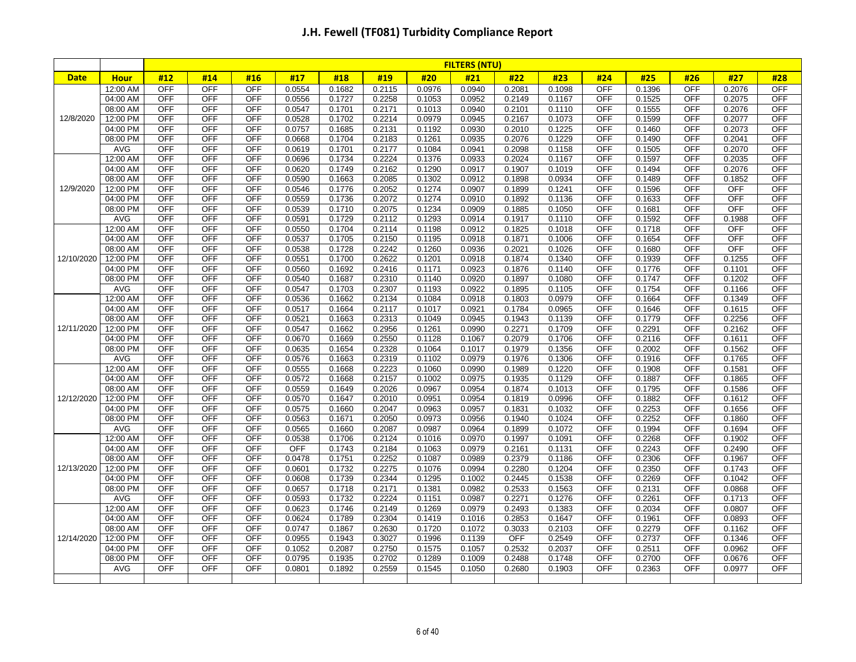|             |                        |                          |                          |                          |                  |                  |                  |                  | <b>FILTERS (NTU)</b> |                  |                  |                   |                  |                          |                  |                          |
|-------------|------------------------|--------------------------|--------------------------|--------------------------|------------------|------------------|------------------|------------------|----------------------|------------------|------------------|-------------------|------------------|--------------------------|------------------|--------------------------|
| <b>Date</b> | <b>Hour</b>            | #12                      | #14                      | #16                      | #17              | #18              | #19              | #20              | #21                  | #22              | #23              | #24               | #25              | #26                      | #27              | #28                      |
|             | 12:00 AM               | <b>OFF</b>               | <b>OFF</b>               | <b>OFF</b>               | 0.0554           | 0.1682           | 0.2115           | 0.0976           | 0.0940               | 0.2081           | 0.1098           | <b>OFF</b>        | 0.1396           | <b>OFF</b>               | 0.2076           | <b>OFF</b>               |
|             | 04:00 AM               | <b>OFF</b>               | <b>OFF</b>               | <b>OFF</b>               | 0.0556           | 0.1727           | 0.2258           | 0.1053           | 0.0952               | 0.2149           | 0.1167           | OFF               | 0.1525           | OFF                      | 0.2075           | <b>OFF</b>               |
|             | 08:00 AM               | <b>OFF</b>               | <b>OFF</b>               | <b>OFF</b>               | 0.0547           | 0.1701           | 0.2171           | 0.1013           | 0.0940               | 0.2101           | 0.1110           | <b>OFF</b>        | 0.1555           | <b>OFF</b>               | 0.2076           | <b>OFF</b>               |
| 12/8/2020   | 12:00 PM               | <b>OFF</b>               | <b>OFF</b>               | <b>OFF</b>               | 0.0528           | 0.1702           | 0.2214           | 0.0979           | 0.0945               | 0.2167           | 0.1073           | OFF               | 0.1599           | <b>OFF</b>               | 0.2077           | <b>OFF</b>               |
|             | 04:00 PM               | <b>OFF</b>               | <b>OFF</b>               | <b>OFF</b>               | 0.0757           | 0.1685           | 0.2131           | 0.1192           | 0.0930               | 0.2010           | 0.1225           | OFF               | 0.1460           | <b>OFF</b>               | 0.2073           | <b>OFF</b>               |
|             | 08:00 PM               | <b>OFF</b>               | <b>OFF</b>               | <b>OFF</b>               | 0.0668           | 0.1704           | 0.2183           | 0.1261           | 0.0935               | 0.2076           | 0.1229           | OFF               | 0.1490           | <b>OFF</b>               | 0.2041           | <b>OFF</b>               |
|             | <b>AVG</b>             | <b>OFF</b>               | <b>OFF</b>               | OFF                      | 0.0619           | 0.1701           | 0.2177           | 0.1084           | 0.0941               | 0.2098           | 0.1158           | OFF               | 0.1505           | OFF                      | 0.2070           | <b>OFF</b>               |
|             | 12:00 AM               | <b>OFF</b>               | <b>OFF</b>               | <b>OFF</b>               | 0.0696           | 0.1734           | 0.2224           | 0.1376           | 0.0933               | 0.2024           | 0.1167           | <b>OFF</b>        | 0.1597           | <b>OFF</b>               | 0.2035           | <b>OFF</b>               |
|             | 04:00 AM               | <b>OFF</b>               | <b>OFF</b>               | <b>OFF</b>               | 0.0620           | 0.1749           | 0.2162           | 0.1290           | 0.0917               | 0.1907           | 0.1019           | OFF               | 0.1494           | <b>OFF</b>               | 0.2076           | <b>OFF</b>               |
|             | 08:00 AM               | <b>OFF</b>               | <b>OFF</b>               | <b>OFF</b>               | 0.0590           | 0.1663           | 0.2085           | 0.1302           | 0.0912               | 0.1898           | 0.0934           | <b>OFF</b>        | 0.1489           | <b>OFF</b>               | 0.1852           | <b>OFF</b>               |
| 12/9/2020   | 12:00 PM               | <b>OFF</b>               | <b>OFF</b>               | <b>OFF</b>               | 0.0546           | 0.1776           | 0.2052           | 0.1274           | 0.0907               | 0.1899           | 0.1241           | OFF               | 0.1596           | <b>OFF</b>               | <b>OFF</b>       | <b>OFF</b>               |
|             | 04:00 PM               | <b>OFF</b>               | <b>OFF</b>               | <b>OFF</b>               | 0.0559           | 0.1736           | 0.2072           | 0.1274           | 0.0910               | 0.1892           | 0.1136           | OFF               | 0.1633           | <b>OFF</b>               | <b>OFF</b>       | <b>OFF</b>               |
|             | 08:00 PM               | <b>OFF</b>               | <b>OFF</b>               | <b>OFF</b>               | 0.0539           | 0.1710           | 0.2075           | 0.1234           | 0.0909               | 0.1885           | 0.1050           | <b>OFF</b>        | 0.1681           | <b>OFF</b>               | OFF              | <b>OFF</b>               |
|             | <b>AVG</b>             | <b>OFF</b>               | <b>OFF</b>               | OFF                      | 0.0591           | 0.1729           | 0.2112           | 0.1293           | 0.0914               | 0.1917           | 0.1110           | OFF               | 0.1592           | OFF                      | 0.1988           | <b>OFF</b>               |
|             | 12:00 AM               | <b>OFF</b>               | <b>OFF</b>               | <b>OFF</b>               | 0.0550           | 0.1704           | 0.2114           | 0.1198           | 0.0912               | 0.1825           | 0.1018           | OFF               | 0.1718           | <b>OFF</b>               | <b>OFF</b>       | <b>OFF</b>               |
|             | 04:00 AM               | <b>OFF</b>               | <b>OFF</b>               | <b>OFF</b>               | 0.0537           | 0.1705           | 0.2150           | 0.1195           | 0.0918               | 0.1871           | 0.1006           | OFF               | 0.1654           | <b>OFF</b>               | <b>OFF</b>       | <b>OFF</b>               |
|             | 08:00 AM               | <b>OFF</b>               | <b>OFF</b>               | <b>OFF</b>               | 0.0538           | 0.1728           | 0.2242           | 0.1260           | 0.0936               | 0.2021           | 0.1026           | OFF               | 0.1680           | <b>OFF</b>               | <b>OFF</b>       | <b>OFF</b>               |
| 12/10/2020  | 12:00 PM               | <b>OFF</b>               | <b>OFF</b>               | <b>OFF</b>               | 0.0551           | 0.1700           | 0.2622           | 0.1201           | 0.0918               | 0.1874           | 0.1340           | <b>OFF</b>        | 0.1939           | <b>OFF</b>               | 0.1255           | <b>OFF</b>               |
|             | 04:00 PM               | <b>OFF</b>               | <b>OFF</b>               | <b>OFF</b>               | 0.0560           | 0.1692           | 0.2416           | 0.1171           | 0.0923               | 0.1876           | 0.1140           | OFF               | 0.1776           | OFF                      | 0.1101           | <b>OFF</b>               |
|             | 08:00 PM               | <b>OFF</b>               | <b>OFF</b>               | <b>OFF</b>               | 0.0540           | 0.1687           | 0.2310           | 0.1140           | 0.0920               | 0.1897           | 0.1080           | <b>OFF</b>        | 0.1747           | <b>OFF</b>               | 0.1202           | <b>OFF</b>               |
|             | <b>AVG</b>             | <b>OFF</b>               | <b>OFF</b>               | OFF                      | 0.0547           | 0.1703           | 0.2307           | 0.1193           | 0.0922               | 0.1895           | 0.1105           | <b>OFF</b>        | 0.1754           | OFF                      | 0.1166           | <b>OFF</b>               |
|             | 12:00 AM               | <b>OFF</b>               | <b>OFF</b>               | <b>OFF</b>               | 0.0536           | 0.1662           | 0.2134           | 0.1084           | 0.0918               | 0.1803           | 0.0979           | OFF               | 0.1664           | <b>OFF</b>               | 0.1349           | <b>OFF</b>               |
|             | 04:00 AM               | <b>OFF</b>               | <b>OFF</b>               | <b>OFF</b>               | 0.0517           | 0.1664           | 0.2117           | 0.1017           | 0.0921               | 0.1784           | 0.0965           | OFF               | 0.1646           | OFF                      | 0.1615           | <b>OFF</b>               |
|             | 08:00 AM               | <b>OFF</b>               | <b>OFF</b>               | <b>OFF</b>               | 0.0521           | 0.1663           | 0.2313           | 0.1049           | 0.0945               | 0.1943           | 0.1139           | OFF               | 0.1779           | <b>OFF</b>               | 0.2256           | <b>OFF</b>               |
| 12/11/2020  | 12:00 PM               | <b>OFF</b>               | <b>OFF</b>               | <b>OFF</b>               | 0.0547           | 0.1662           | 0.2956           | 0.1261           | 0.0990               | 0.2271           | 0.1709           | <b>OFF</b>        | 0.2291           | <b>OFF</b>               | 0.2162           | <b>OFF</b>               |
|             | 04:00 PM               | <b>OFF</b>               | <b>OFF</b>               | <b>OFF</b>               | 0.0670           | 0.1669           | 0.2550           | 0.1128           | 0.1067               | 0.2079           | 0.1706           | OFF               | 0.2116           | OFF                      | 0.1611           | <b>OFF</b>               |
|             | 08:00 PM               | <b>OFF</b>               | <b>OFF</b>               | <b>OFF</b>               | 0.0635           | 0.1654           | 0.2328           | 0.1064           | 0.1017               | 0.1979           | 0.1356           | OFF               | 0.2002           | <b>OFF</b>               | 0.1562           | <b>OFF</b>               |
|             | <b>AVG</b>             | <b>OFF</b>               | <b>OFF</b>               | <b>OFF</b>               | 0.0576           | 0.1663           | 0.2319           | 0.1102           | 0.0979               | 0.1976           | 0.1306           | <b>OFF</b>        | 0.1916           | <b>OFF</b>               | 0.1765           | <b>OFF</b>               |
|             | 12:00 AM               | <b>OFF</b>               | <b>OFF</b>               | <b>OFF</b>               | 0.0555           | 0.1668           | 0.2223           | 0.1060           | 0.0990               | 0.1989           | 0.1220           | <b>OFF</b>        | 0.1908           | <b>OFF</b>               | 0.1581           | <b>OFF</b>               |
|             | 04:00 AM               | <b>OFF</b>               | <b>OFF</b>               | <b>OFF</b>               | 0.0572           | 0.1668           | 0.2157           | 0.1002           | 0.0975               | 0.1935           | 0.1129           | <b>OFF</b>        | 0.1887           | <b>OFF</b>               | 0.1865           | <b>OFF</b>               |
|             | 08:00 AM               | <b>OFF</b>               | <b>OFF</b>               | <b>OFF</b>               | 0.0559           | 0.1649           | 0.2026           | 0.0967           | 0.0954               | 0.1874           | 0.1013           | <b>OFF</b>        | 0.1795           | <b>OFF</b>               | 0.1586           | <b>OFF</b>               |
| 12/12/2020  | 12:00 PM               | <b>OFF</b>               | <b>OFF</b>               | <b>OFF</b>               | 0.0570           | 0.1647           | 0.2010           | 0.0951           | 0.0954               | 0.1819           | 0.0996           | <b>OFF</b>        | 0.1882           | <b>OFF</b>               | 0.1612           | <b>OFF</b>               |
|             | 04:00 PM               | <b>OFF</b>               | <b>OFF</b>               | <b>OFF</b>               | 0.0575           | 0.1660           | 0.2047           | 0.0963           | 0.0957               | 0.1831           | 0.1032           | OFF               | 0.2253           | <b>OFF</b>               | 0.1656           | <b>OFF</b>               |
|             | 08:00 PM<br><b>AVG</b> | <b>OFF</b><br><b>OFF</b> | <b>OFF</b><br><b>OFF</b> | <b>OFF</b><br><b>OFF</b> | 0.0563<br>0.0565 | 0.1671<br>0.1660 | 0.2050<br>0.2087 | 0.0973<br>0.0987 | 0.0956<br>0.0964     | 0.1940<br>0.1899 | 0.1024<br>0.1072 | OFF<br><b>OFF</b> | 0.2252<br>0.1994 | <b>OFF</b><br><b>OFF</b> | 0.1860<br>0.1694 | <b>OFF</b><br><b>OFF</b> |
|             | 12:00 AM               | <b>OFF</b>               | <b>OFF</b>               | <b>OFF</b>               | 0.0538           | 0.1706           | 0.2124           | 0.1016           | 0.0970               | 0.1997           | 0.1091           | <b>OFF</b>        | 0.2268           | <b>OFF</b>               | 0.1902           | <b>OFF</b>               |
|             | 04:00 AM               | <b>OFF</b>               | <b>OFF</b>               | <b>OFF</b>               | <b>OFF</b>       | 0.1743           | 0.2184           | 0.1063           | 0.0979               | 0.2161           | 0.1131           | OFF               | 0.2243           | <b>OFF</b>               | 0.2490           | <b>OFF</b>               |
|             | 08:00 AM               | <b>OFF</b>               | <b>OFF</b>               | <b>OFF</b>               | 0.0478           | 0.1751           | 0.2252           | 0.1087           | 0.0989               | 0.2379           | 0.1186           | <b>OFF</b>        | 0.2306           | <b>OFF</b>               | 0.1967           | OFF                      |
| 12/13/2020  | 12:00 PM               | <b>OFF</b>               | <b>OFF</b>               | <b>OFF</b>               | 0.0601           | 0.1732           | 0.2275           | 0.1076           | 0.0994               | 0.2280           | 0.1204           | <b>OFF</b>        | 0.2350           | <b>OFF</b>               | 0.1743           | <b>OFF</b>               |
|             | 04:00 PM               | <b>OFF</b>               | <b>OFF</b>               | <b>OFF</b>               | 0.0608           | 0.1739           | 0.2344           | 0.1295           | 0.1002               | 0.2445           | 0.1538           | <b>OFF</b>        | 0.2269           | <b>OFF</b>               | 0.1042           | <b>OFF</b>               |
|             | 08:00 PM               | <b>OFF</b>               | <b>OFF</b>               | <b>OFF</b>               | 0.0657           | 0.1718           | 0.2171           | 0.1381           | 0.0982               | 0.2533           | 0.1563           | <b>OFF</b>        | 0.2131           | <b>OFF</b>               | 0.0868           | <b>OFF</b>               |
|             | AVG                    | <b>OFF</b>               | <b>OFF</b>               | <b>OFF</b>               | 0.0593           | 0.1732           | 0.2224           | 0.1151           | 0.0987               | 0.2271           | 0.1276           | <b>OFF</b>        | 0.2261           | <b>OFF</b>               | 0.1713           | <b>OFF</b>               |
|             | 12:00 AM               | <b>OFF</b>               | <b>OFF</b>               | <b>OFF</b>               | 0.0623           | 0.1746           | 0.2149           | 0.1269           | 0.0979               | 0.2493           | 0.1383           | <b>OFF</b>        | 0.2034           | <b>OFF</b>               | 0.0807           | <b>OFF</b>               |
|             | 04:00 AM               | <b>OFF</b>               | <b>OFF</b>               | <b>OFF</b>               | 0.0624           | 0.1789           | 0.2304           | 0.1419           | 0.1016               | 0.2853           | 0.1647           | <b>OFF</b>        | 0.1961           | <b>OFF</b>               | 0.0893           | <b>OFF</b>               |
|             | 08:00 AM               | <b>OFF</b>               | <b>OFF</b>               | <b>OFF</b>               | 0.0747           | 0.1867           | 0.2630           | 0.1720           | 0.1072               | 0.3033           | 0.2103           | <b>OFF</b>        | 0.2279           | <b>OFF</b>               | 0.1162           | <b>OFF</b>               |
| 12/14/2020  | 12:00 PM               | <b>OFF</b>               | <b>OFF</b>               | <b>OFF</b>               | 0.0955           | 0.1943           | 0.3027           | 0.1996           | 0.1139               | <b>OFF</b>       | 0.2549           | <b>OFF</b>        | 0.2737           | <b>OFF</b>               | 0.1346           | <b>OFF</b>               |
|             | 04:00 PM               | <b>OFF</b>               | <b>OFF</b>               | <b>OFF</b>               | 0.1052           | 0.2087           | 0.2750           | 0.1575           | 0.1057               | 0.2532           | 0.2037           | <b>OFF</b>        | 0.2511           | <b>OFF</b>               | 0.0962           | <b>OFF</b>               |
|             | 08:00 PM               | <b>OFF</b>               | <b>OFF</b>               | <b>OFF</b>               | 0.0795           | 0.1935           | 0.2702           | 0.1289           | 0.1009               | 0.2488           | 0.1748           | <b>OFF</b>        | 0.2700           | <b>OFF</b>               | 0.0676           | <b>OFF</b>               |
|             | AVG                    | <b>OFF</b>               | <b>OFF</b>               | <b>OFF</b>               | 0.0801           | 0.1892           | 0.2559           | 0.1545           | 0.1050               | 0.2680           | 0.1903           | <b>OFF</b>        | 0.2363           | <b>OFF</b>               | 0.0977           | <b>OFF</b>               |
|             |                        |                          |                          |                          |                  |                  |                  |                  |                      |                  |                  |                   |                  |                          |                  |                          |
|             |                        |                          |                          |                          |                  |                  |                  |                  |                      |                  |                  |                   |                  |                          |                  |                          |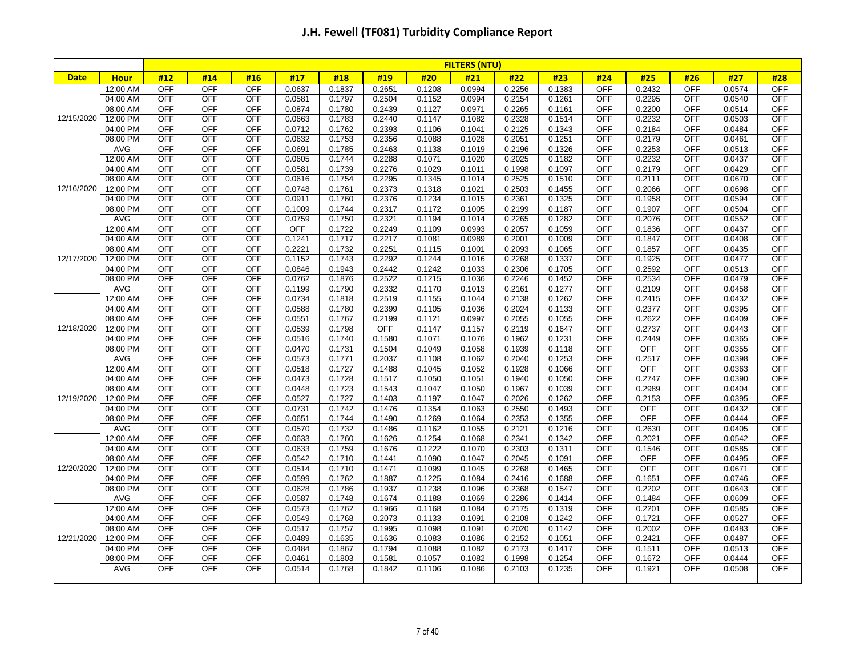|             |             |            |            |            |            |        |            |        | <b>FILTERS (NTU)</b> |        |                     |            |            |            |        |            |
|-------------|-------------|------------|------------|------------|------------|--------|------------|--------|----------------------|--------|---------------------|------------|------------|------------|--------|------------|
| <b>Date</b> | <b>Hour</b> | #12        | #14        | #16        | #17        | #18    | #19        | #20    | #21                  | #22    | #23                 | #24        | #25        | #26        | #27    | #28        |
|             | 12:00 AM    | <b>OFF</b> | <b>OFF</b> | <b>OFF</b> | 0.0637     | 0.1837 | 0.2651     | 0.1208 | 0.0994               | 0.2256 | 0.1383              | <b>OFF</b> | 0.2432     | <b>OFF</b> | 0.0574 | <b>OFF</b> |
|             | 04:00 AM    | <b>OFF</b> | <b>OFF</b> | <b>OFF</b> | 0.0581     | 0.1797 | 0.2504     | 0.1152 | 0.0994               | 0.2154 | 0.1261              | <b>OFF</b> | 0.2295     | <b>OFF</b> | 0.0540 | <b>OFF</b> |
|             | 08:00 AM    | <b>OFF</b> | <b>OFF</b> | <b>OFF</b> | 0.0874     | 0.1780 | 0.2439     | 0.1127 | 0.0971               | 0.2265 | 0.1161              | <b>OFF</b> | 0.2200     | <b>OFF</b> | 0.0514 | <b>OFF</b> |
| 12/15/2020  | 12:00 PM    | <b>OFF</b> | <b>OFF</b> | <b>OFF</b> | 0.0663     | 0.1783 | 0.2440     | 0.1147 | 0.1082               | 0.2328 | 0.1514              | <b>OFF</b> | 0.2232     | <b>OFF</b> | 0.0503 | <b>OFF</b> |
|             | 04:00 PM    | <b>OFF</b> | OFF        | <b>OFF</b> | 0.0712     | 0.1762 | 0.2393     | 0.1106 | 0.1041               | 0.2125 | 0.1343              | <b>OFF</b> | 0.2184     | <b>OFF</b> | 0.0484 | <b>OFF</b> |
|             | 08:00 PM    | <b>OFF</b> | <b>OFF</b> | <b>OFF</b> | 0.0632     | 0.1753 | 0.2356     | 0.1088 | 0.1028               | 0.2051 | 0.1251              | <b>OFF</b> | 0.2179     | <b>OFF</b> | 0.0461 | <b>OFF</b> |
|             | <b>AVG</b>  | <b>OFF</b> | <b>OFF</b> | OFF        | 0.0691     | 0.1785 | 0.2463     | 0.1138 | 0.1019               | 0.2196 | 0.1326              | <b>OFF</b> | 0.2253     | <b>OFF</b> | 0.0513 | <b>OFF</b> |
|             | 12:00 AM    | <b>OFF</b> | <b>OFF</b> | <b>OFF</b> | 0.0605     | 0.1744 | 0.2288     | 0.1071 | 0.1020               | 0.2025 | 0.1182              | <b>OFF</b> | 0.2232     | <b>OFF</b> | 0.0437 | <b>OFF</b> |
|             | 04:00 AM    | <b>OFF</b> | <b>OFF</b> | <b>OFF</b> | 0.0581     | 0.1739 | 0.2276     | 0.1029 | 0.1011               | 0.1998 | 0.1097              | <b>OFF</b> | 0.2179     | <b>OFF</b> | 0.0429 | <b>OFF</b> |
|             | 08:00 AM    | <b>OFF</b> | <b>OFF</b> | OFF        | 0.0616     | 0.1754 | 0.2295     | 0.1345 | 0.1014               | 0.2525 | 0.1510              | <b>OFF</b> | 0.2111     | <b>OFF</b> | 0.0670 | <b>OFF</b> |
| 12/16/2020  | 12:00 PM    | <b>OFF</b> | <b>OFF</b> | <b>OFF</b> | 0.0748     | 0.1761 | 0.2373     | 0.1318 | 0.1021               | 0.2503 | 0.1455              | <b>OFF</b> | 0.2066     | <b>OFF</b> | 0.0698 | <b>OFF</b> |
|             | 04:00 PM    | <b>OFF</b> | <b>OFF</b> | <b>OFF</b> | 0.0911     | 0.1760 | 0.2376     | 0.1234 | 0.1015               | 0.2361 | 0.1325              | <b>OFF</b> | 0.1958     | OFF        | 0.0594 | <b>OFF</b> |
|             | 08:00 PM    | <b>OFF</b> | <b>OFF</b> | <b>OFF</b> | 0.1009     | 0.1744 | 0.2317     | 0.1172 | 0.1005               | 0.2199 | 0.1187              | <b>OFF</b> | 0.1907     | <b>OFF</b> | 0.0504 | <b>OFF</b> |
|             | AVG         | <b>OFF</b> | <b>OFF</b> | OFF        | 0.0759     | 0.1750 | 0.2321     | 0.1194 | 0.1014               | 0.2265 | 0.1282              | <b>OFF</b> | 0.2076     | <b>OFF</b> | 0.0552 | <b>OFF</b> |
|             | 12:00 AM    | <b>OFF</b> | <b>OFF</b> | <b>OFF</b> | <b>OFF</b> | 0.1722 | 0.2249     | 0.1109 | 0.0993               | 0.2057 | 0.1059              | <b>OFF</b> | 0.1836     | <b>OFF</b> | 0.0437 | <b>OFF</b> |
|             | 04:00 AM    | <b>OFF</b> | <b>OFF</b> | <b>OFF</b> | 0.1241     | 0.1717 | 0.2217     | 0.1081 | 0.0989               | 0.2001 | 0.1009              | <b>OFF</b> | 0.1847     | <b>OFF</b> | 0.0408 | <b>OFF</b> |
|             | 08:00 AM    | <b>OFF</b> | <b>OFF</b> | OFF        | 0.2221     | 0.1732 | 0.2251     | 0.1115 | 0.1001               | 0.2093 | 0.1065              | <b>OFF</b> | 0.1857     | <b>OFF</b> | 0.0435 | <b>OFF</b> |
| 12/17/2020  | 12:00 PM    | <b>OFF</b> | <b>OFF</b> | <b>OFF</b> | 0.1152     | 0.1743 | 0.2292     | 0.1244 | 0.1016               | 0.2268 | 0.1337              | <b>OFF</b> | 0.1925     | <b>OFF</b> | 0.0477 | <b>OFF</b> |
|             | 04:00 PM    | <b>OFF</b> | <b>OFF</b> | <b>OFF</b> | 0.0846     | 0.1943 | 0.2442     | 0.1242 | 0.1033               | 0.2306 | 0.1705              | <b>OFF</b> | 0.2592     | <b>OFF</b> | 0.0513 | <b>OFF</b> |
|             | 08:00 PM    | <b>OFF</b> | <b>OFF</b> | <b>OFF</b> | 0.0762     | 0.1876 | 0.2522     | 0.1215 | 0.1036               | 0.2246 | 0.1452              | <b>OFF</b> | 0.2534     | <b>OFF</b> | 0.0479 | <b>OFF</b> |
|             | AVG         | <b>OFF</b> | <b>OFF</b> | OFF        | 0.1199     | 0.1790 | 0.2332     | 0.1170 | 0.1013               | 0.2161 | 0.1277              | <b>OFF</b> | 0.2109     | <b>OFF</b> | 0.0458 | <b>OFF</b> |
|             | 12:00 AM    | <b>OFF</b> | <b>OFF</b> | OFF        | 0.0734     | 0.1818 | 0.2519     | 0.1155 | 0.1044               | 0.2138 | 0.1262              | <b>OFF</b> | 0.2415     | <b>OFF</b> | 0.0432 | <b>OFF</b> |
|             | 04:00 AM    | <b>OFF</b> | <b>OFF</b> | <b>OFF</b> | 0.0588     | 0.1780 | 0.2399     | 0.1105 | 0.1036               | 0.2024 | 0.1133              | <b>OFF</b> | 0.2377     | <b>OFF</b> | 0.0395 | <b>OFF</b> |
|             | 08:00 AM    | <b>OFF</b> | <b>OFF</b> | <b>OFF</b> | 0.0551     | 0.1767 | 0.2199     | 0.1121 | 0.0997               | 0.2055 | 0.1055              | <b>OFF</b> | 0.2622     | <b>OFF</b> | 0.0409 | <b>OFF</b> |
| 12/18/2020  | 12:00 PM    | <b>OFF</b> | <b>OFF</b> | <b>OFF</b> | 0.0539     | 0.1798 | <b>OFF</b> | 0.1147 | 0.1157               | 0.2119 | 0.1647              | <b>OFF</b> | 0.2737     | <b>OFF</b> | 0.0443 | <b>OFF</b> |
|             | 04:00 PM    | <b>OFF</b> | <b>OFF</b> | OFF        | 0.0516     | 0.1740 | 0.1580     | 0.1071 | 0.1076               | 0.1962 | 0.1231              | <b>OFF</b> | 0.2449     | <b>OFF</b> | 0.0365 | <b>OFF</b> |
|             | 08:00 PM    | <b>OFF</b> | <b>OFF</b> | OFF        | 0.0470     | 0.1731 | 0.1504     | 0.1049 | 0.1058               | 0.1939 | 0.1118              | <b>OFF</b> | <b>OFF</b> | <b>OFF</b> | 0.0355 | <b>OFF</b> |
|             | AVG         | <b>OFF</b> | <b>OFF</b> | <b>OFF</b> | 0.0573     | 0.1771 | 0.2037     | 0.1108 | 0.1062               | 0.2040 | 0.1253              | <b>OFF</b> | 0.2517     | <b>OFF</b> | 0.0398 | <b>OFF</b> |
|             | 12:00 AM    | <b>OFF</b> | OFF        | OFF        | 0.0518     | 0.1727 | 0.1488     | 0.1045 | 0.1052               | 0.1928 | 0.1066              | <b>OFF</b> | OFF        | OFF        | 0.0363 | <b>OFF</b> |
|             | 04:00 AM    | <b>OFF</b> | <b>OFF</b> | <b>OFF</b> | 0.0473     | 0.1728 | 0.1517     | 0.1050 | 0.1051               | 0.1940 | 0.1050              | <b>OFF</b> | 0.2747     | <b>OFF</b> | 0.0390 | <b>OFF</b> |
|             | 08:00 AM    | <b>OFF</b> | <b>OFF</b> | OFF        | 0.0448     | 0.1723 | 0.1543     | 0.1047 | 0.1050               | 0.1967 | 0.1039              | <b>OFF</b> | 0.2989     | <b>OFF</b> | 0.0404 | <b>OFF</b> |
| 12/19/2020  | 12:00 PM    | <b>OFF</b> | <b>OFF</b> | <b>OFF</b> | 0.0527     | 0.1727 | 0.1403     | 0.1197 | 0.1047               | 0.2026 | 0.1262              | <b>OFF</b> | 0.2153     | <b>OFF</b> | 0.0395 | <b>OFF</b> |
|             | 04:00 PM    | <b>OFF</b> | <b>OFF</b> | <b>OFF</b> | 0.0731     | 0.1742 | 0.1476     | 0.1354 | 0.1063               | 0.2550 | 0.1493              | <b>OFF</b> | <b>OFF</b> | <b>OFF</b> | 0.0432 | <b>OFF</b> |
|             | 08:00 PM    | <b>OFF</b> | <b>OFF</b> | <b>OFF</b> | 0.0651     | 0.1744 | 0.1490     | 0.1269 | 0.1064               | 0.2353 | 0.1355              | <b>OFF</b> | <b>OFF</b> | <b>OFF</b> | 0.0444 | <b>OFF</b> |
|             | AVG         | <b>OFF</b> | <b>OFF</b> | <b>OFF</b> | 0.0570     | 0.1732 | 0.1486     | 0.1162 | 0.1055               | 0.2121 | 0.1216              | <b>OFF</b> | 0.2630     | <b>OFF</b> | 0.0405 | <b>OFF</b> |
|             | 12:00 AM    | <b>OFF</b> | <b>OFF</b> | OFF        | 0.0633     | 0.1760 | 0.1626     | 0.1254 | 0.1068               | 0.2341 | 0.1342              | <b>OFF</b> | 0.2021     | <b>OFF</b> | 0.0542 | <b>OFF</b> |
|             | 04:00 AM    | <b>OFF</b> | <b>OFF</b> | <b>OFF</b> | 0.0633     | 0.1759 | 0.1676     | 0.1222 | 0.1070               | 0.2303 | $0.131\overline{1}$ | <b>OFF</b> | 0.1546     | <b>OFF</b> | 0.0585 | <b>OFF</b> |
|             | 08:00 AM    | <b>OFF</b> | <b>OFF</b> | <b>OFF</b> | 0.0542     | 0.1710 | 0.1441     | 0.1090 | 0.1047               | 0.2045 | 0.1091              | <b>OFF</b> | OFF        | <b>OFF</b> | 0.0495 | OFF        |
| 12/20/2020  | 12:00 PM    | <b>OFF</b> | <b>OFF</b> | <b>OFF</b> | 0.0514     | 0.1710 | 0.1471     | 0.1099 | 0.1045               | 0.2268 | 0.1465              | <b>OFF</b> | <b>OFF</b> | <b>OFF</b> | 0.0671 | <b>OFF</b> |
|             | 04:00 PM    | <b>OFF</b> | <b>OFF</b> | <b>OFF</b> | 0.0599     | 0.1762 | 0.1887     | 0.1225 | 0.1084               | 0.2416 | 0.1688              | <b>OFF</b> | 0.1651     | <b>OFF</b> | 0.0746 | <b>OFF</b> |
|             | 08:00 PM    | <b>OFF</b> | OFF        | <b>OFF</b> | 0.0628     | 0.1786 | 0.1937     | 0.1238 | 0.1096               | 0.2368 | 0.1547              | <b>OFF</b> | 0.2202     | <b>OFF</b> | 0.0643 | <b>OFF</b> |
|             | AVG         | <b>OFF</b> | <b>OFF</b> | <b>OFF</b> | 0.0587     | 0.1748 | 0.1674     | 0.1188 | 0.1069               | 0.2286 | 0.1414              | <b>OFF</b> | 0.1484     | <b>OFF</b> | 0.0609 | <b>OFF</b> |
|             | 12:00 AM    | OFF        | OFF        | OFF        | 0.0573     | 0.1762 | 0.1966     | 0.1168 | 0.1084               | 0.2175 | 0.1319              | <b>OFF</b> | 0.2201     | OFF        | 0.0585 | <b>OFF</b> |
|             | 04:00 AM    | <b>OFF</b> | <b>OFF</b> | <b>OFF</b> | 0.0549     | 0.1768 | 0.2073     | 0.1133 | 0.1091               | 0.2108 | 0.1242              | <b>OFF</b> | 0.1721     | <b>OFF</b> | 0.0527 | <b>OFF</b> |
|             | 08:00 AM    | <b>OFF</b> | OFF        | <b>OFF</b> | 0.0517     | 0.1757 | 0.1995     | 0.1098 | 0.1091               | 0.2020 | 0.1142              | <b>OFF</b> | 0.2002     | <b>OFF</b> | 0.0483 | <b>OFF</b> |
| 12/21/2020  | 12:00 PM    | <b>OFF</b> | <b>OFF</b> | <b>OFF</b> | 0.0489     | 0.1635 | 0.1636     | 0.1083 | 0.1086               | 0.2152 | 0.1051              | <b>OFF</b> | 0.2421     | <b>OFF</b> | 0.0487 | <b>OFF</b> |
|             | 04:00 PM    | <b>OFF</b> | OFF        | <b>OFF</b> | 0.0484     | 0.1867 | 0.1794     | 0.1088 | 0.1082               | 0.2173 | 0.1417              | <b>OFF</b> | 0.1511     | <b>OFF</b> | 0.0513 | <b>OFF</b> |
|             | 08:00 PM    | OFF        | OFF        | <b>OFF</b> | 0.0461     | 0.1803 | 0.1581     | 0.1057 | 0.1082               | 0.1998 | 0.1254              | <b>OFF</b> | 0.1672     | <b>OFF</b> | 0.0444 | <b>OFF</b> |
|             | AVG         | <b>OFF</b> | <b>OFF</b> | <b>OFF</b> | 0.0514     | 0.1768 | 0.1842     | 0.1106 | 0.1086               | 0.2103 | 0.1235              | <b>OFF</b> | 0.1921     | <b>OFF</b> | 0.0508 | <b>OFF</b> |
|             |             |            |            |            |            |        |            |        |                      |        |                     |            |            |            |        |            |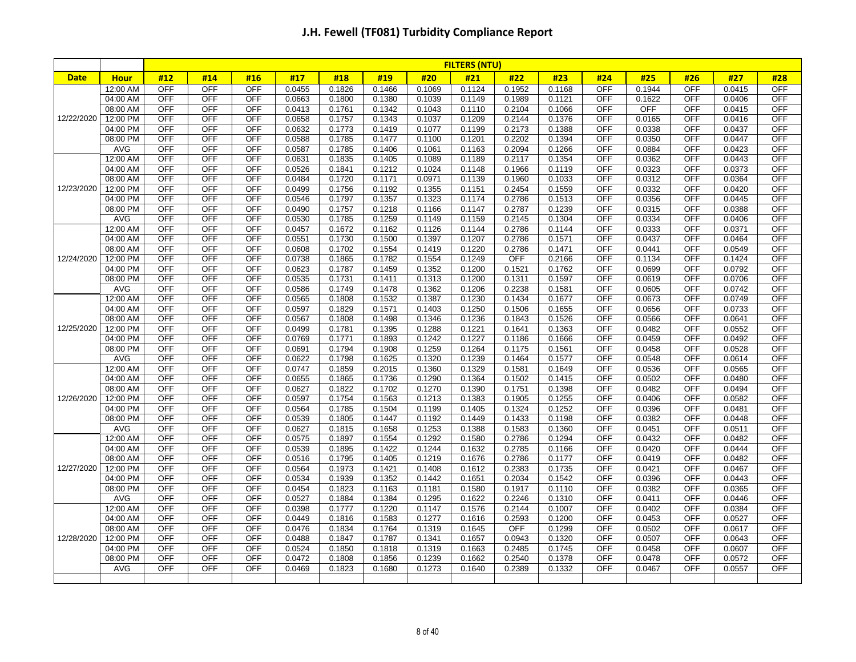|             |             |            |            |            |        |        |        |        | <b>FILTERS (NTU)</b> |        |        |            |            |            |        |            |
|-------------|-------------|------------|------------|------------|--------|--------|--------|--------|----------------------|--------|--------|------------|------------|------------|--------|------------|
| <b>Date</b> | <b>Hour</b> | #12        | #14        | #16        | #17    | #18    | #19    | #20    | #21                  | #22    | #23    | #24        | #25        | #26        | #27    | #28        |
|             | 12:00 AM    | <b>OFF</b> | <b>OFF</b> | <b>OFF</b> | 0.0455 | 0.1826 | 0.1466 | 0.1069 | 0.1124               | 0.1952 | 0.1168 | <b>OFF</b> | 0.1944     | <b>OFF</b> | 0.0415 | <b>OFF</b> |
|             | 04:00 AM    | <b>OFF</b> | <b>OFF</b> | OFF        | 0.0663 | 0.1800 | 0.1380 | 0.1039 | 0.1149               | 0.1989 | 0.1121 | <b>OFF</b> | 0.1622     | <b>OFF</b> | 0.0406 | <b>OFF</b> |
|             | 08:00 AM    | <b>OFF</b> | <b>OFF</b> | <b>OFF</b> | 0.0413 | 0.1761 | 0.1342 | 0.1043 | 0.1110               | 0.2104 | 0.1066 | <b>OFF</b> | <b>OFF</b> | <b>OFF</b> | 0.0415 | <b>OFF</b> |
| 12/22/2020  | 12:00 PM    | <b>OFF</b> | <b>OFF</b> | OFF        | 0.0658 | 0.1757 | 0.1343 | 0.1037 | 0.1209               | 0.2144 | 0.1376 | <b>OFF</b> | 0.0165     | <b>OFF</b> | 0.0416 | <b>OFF</b> |
|             | 04:00 PM    | <b>OFF</b> | <b>OFF</b> | <b>OFF</b> | 0.0632 | 0.1773 | 0.1419 | 0.1077 | 0.1199               | 0.2173 | 0.1388 | <b>OFF</b> | 0.0338     | <b>OFF</b> | 0.0437 | <b>OFF</b> |
|             | 08:00 PM    | <b>OFF</b> | <b>OFF</b> | <b>OFF</b> | 0.0588 | 0.1785 | 0.1477 | 0.1100 | 0.1201               | 0.2202 | 0.1394 | <b>OFF</b> | 0.0350     | <b>OFF</b> | 0.0447 | <b>OFF</b> |
|             | <b>AVG</b>  | <b>OFF</b> | <b>OFF</b> | <b>OFF</b> | 0.0587 | 0.1785 | 0.1406 | 0.1061 | 0.1163               | 0.2094 | 0.1266 | <b>OFF</b> | 0.0884     | <b>OFF</b> | 0.0423 | <b>OFF</b> |
|             | 12:00 AM    | <b>OFF</b> | OFF        | <b>OFF</b> | 0.0631 | 0.1835 | 0.1405 | 0.1089 | 0.1189               | 0.2117 | 0.1354 | <b>OFF</b> | 0.0362     | <b>OFF</b> | 0.0443 | <b>OFF</b> |
|             | 04:00 AM    | <b>OFF</b> | <b>OFF</b> | OFF        | 0.0526 | 0.1841 | 0.1212 | 0.1024 | 0.1148               | 0.1966 | 0.1119 | <b>OFF</b> | 0.0323     | <b>OFF</b> | 0.0373 | <b>OFF</b> |
|             | 08:00 AM    | <b>OFF</b> | <b>OFF</b> | <b>OFF</b> | 0.0484 | 0.1720 | 0.1171 | 0.0971 | 0.1139               | 0.1960 | 0.1033 | <b>OFF</b> | 0.0312     | <b>OFF</b> | 0.0364 | <b>OFF</b> |
| 12/23/2020  | 12:00 PM    | <b>OFF</b> | <b>OFF</b> | OFF        | 0.0499 | 0.1756 | 0.1192 | 0.1355 | 0.1151               | 0.2454 | 0.1559 | <b>OFF</b> | 0.0332     | <b>OFF</b> | 0.0420 | <b>OFF</b> |
|             | 04:00 PM    | <b>OFF</b> | OFF        | <b>OFF</b> | 0.0546 | 0.1797 | 0.1357 | 0.1323 | 0.1174               | 0.2786 | 0.1513 | <b>OFF</b> | 0.0356     | OFF        | 0.0445 | <b>OFF</b> |
|             | 08:00 PM    | <b>OFF</b> | <b>OFF</b> | <b>OFF</b> | 0.0490 | 0.1757 | 0.1218 | 0.1166 | 0.1147               | 0.2787 | 0.1239 | <b>OFF</b> | 0.0315     | OFF        | 0.0388 | <b>OFF</b> |
|             | <b>AVG</b>  | <b>OFF</b> | <b>OFF</b> | OFF        | 0.0530 | 0.1785 | 0.1259 | 0.1149 | 0.1159               | 0.2145 | 0.1304 | <b>OFF</b> | 0.0334     | <b>OFF</b> | 0.0406 | <b>OFF</b> |
|             | 12:00 AM    | <b>OFF</b> | <b>OFF</b> | <b>OFF</b> | 0.0457 | 0.1672 | 0.1162 | 0.1126 | 0.1144               | 0.2786 | 0.1144 | <b>OFF</b> | 0.0333     | <b>OFF</b> | 0.0371 | <b>OFF</b> |
|             | 04:00 AM    | OFF        | <b>OFF</b> | OFF        | 0.0551 | 0.1730 | 0.1500 | 0.1397 | 0.1207               | 0.2786 | 0.1571 | <b>OFF</b> | 0.0437     | OFF        | 0.0464 | <b>OFF</b> |
|             | 08:00 AM    | <b>OFF</b> | <b>OFF</b> | <b>OFF</b> | 0.0608 | 0.1702 | 0.1554 | 0.1419 | 0.1220               | 0.2786 | 0.1471 | <b>OFF</b> | 0.0441     | <b>OFF</b> | 0.0549 | <b>OFF</b> |
| 12/24/2020  | 12:00 PM    | <b>OFF</b> | <b>OFF</b> | <b>OFF</b> | 0.0738 | 0.1865 | 0.1782 | 0.1554 | 0.1249               | OFF    | 0.2166 | <b>OFF</b> | 0.1134     | <b>OFF</b> | 0.1424 | <b>OFF</b> |
|             | 04:00 PM    | <b>OFF</b> | <b>OFF</b> | <b>OFF</b> | 0.0623 | 0.1787 | 0.1459 | 0.1352 | 0.1200               | 0.1521 | 0.1762 | <b>OFF</b> | 0.0699     | <b>OFF</b> | 0.0792 | <b>OFF</b> |
|             | 08:00 PM    | <b>OFF</b> | <b>OFF</b> | <b>OFF</b> | 0.0535 | 0.1731 | 0.1411 | 0.1313 | 0.1200               | 0.1311 | 0.1597 | <b>OFF</b> | 0.0619     | <b>OFF</b> | 0.0706 | <b>OFF</b> |
|             | <b>AVG</b>  | <b>OFF</b> | <b>OFF</b> | <b>OFF</b> | 0.0586 | 0.1749 | 0.1478 | 0.1362 | 0.1206               | 0.2238 | 0.1581 | <b>OFF</b> | 0.0605     | <b>OFF</b> | 0.0742 | <b>OFF</b> |
|             | 12:00 AM    | <b>OFF</b> | <b>OFF</b> | OFF        | 0.0565 | 0.1808 | 0.1532 | 0.1387 | 0.1230               | 0.1434 | 0.1677 | <b>OFF</b> | 0.0673     | <b>OFF</b> | 0.0749 | <b>OFF</b> |
|             | 04:00 AM    | <b>OFF</b> | <b>OFF</b> | <b>OFF</b> | 0.0597 | 0.1829 | 0.1571 | 0.1403 | 0.1250               | 0.1506 | 0.1655 | <b>OFF</b> | 0.0656     | <b>OFF</b> | 0.0733 | <b>OFF</b> |
|             | 08:00 AM    | <b>OFF</b> | <b>OFF</b> | <b>OFF</b> | 0.0567 | 0.1808 | 0.1498 | 0.1346 | 0.1236               | 0.1843 | 0.1526 | <b>OFF</b> | 0.0566     | <b>OFF</b> | 0.0641 | <b>OFF</b> |
| 12/25/2020  | 12:00 PM    | <b>OFF</b> | <b>OFF</b> | <b>OFF</b> | 0.0499 | 0.1781 | 0.1395 | 0.1288 | 0.1221               | 0.1641 | 0.1363 | <b>OFF</b> | 0.0482     | <b>OFF</b> | 0.0552 | <b>OFF</b> |
|             | 04:00 PM    | <b>OFF</b> | <b>OFF</b> | <b>OFF</b> | 0.0769 | 0.1771 | 0.1893 | 0.1242 | 0.1227               | 0.1186 | 0.1666 | <b>OFF</b> | 0.0459     | <b>OFF</b> | 0.0492 | <b>OFF</b> |
|             | 08:00 PM    | <b>OFF</b> | <b>OFF</b> | OFF        | 0.0691 | 0.1794 | 0.1908 | 0.1259 | 0.1264               | 0.1175 | 0.1561 | <b>OFF</b> | 0.0458     | <b>OFF</b> | 0.0528 | <b>OFF</b> |
|             | <b>AVG</b>  | <b>OFF</b> | <b>OFF</b> | <b>OFF</b> | 0.0622 | 0.1798 | 0.1625 | 0.1320 | 0.1239               | 0.1464 | 0.1577 | <b>OFF</b> | 0.0548     | <b>OFF</b> | 0.0614 | <b>OFF</b> |
|             | 12:00 AM    | <b>OFF</b> | <b>OFF</b> | <b>OFF</b> | 0.0747 | 0.1859 | 0.2015 | 0.1360 | 0.1329               | 0.1581 | 0.1649 | <b>OFF</b> | 0.0536     | <b>OFF</b> | 0.0565 | <b>OFF</b> |
|             | 04:00 AM    | <b>OFF</b> | <b>OFF</b> | <b>OFF</b> | 0.0655 | 0.1865 | 0.1736 | 0.1290 | 0.1364               | 0.1502 | 0.1415 | <b>OFF</b> | 0.0502     | OFF        | 0.0480 | <b>OFF</b> |
|             | 08:00 AM    | <b>OFF</b> | <b>OFF</b> | <b>OFF</b> | 0.0627 | 0.1822 | 0.1702 | 0.1270 | 0.1390               | 0.1751 | 0.1398 | <b>OFF</b> | 0.0482     | <b>OFF</b> | 0.0494 | <b>OFF</b> |
| 12/26/2020  | 12:00 PM    | <b>OFF</b> | <b>OFF</b> | OFF        | 0.0597 | 0.1754 | 0.1563 | 0.1213 | 0.1383               | 0.1905 | 0.1255 | <b>OFF</b> | 0.0406     | <b>OFF</b> | 0.0582 | <b>OFF</b> |
|             | 04:00 PM    | <b>OFF</b> | <b>OFF</b> | <b>OFF</b> | 0.0564 | 0.1785 | 0.1504 | 0.1199 | 0.1405               | 0.1324 | 0.1252 | <b>OFF</b> | 0.0396     | <b>OFF</b> | 0.0481 | <b>OFF</b> |
|             | 08:00 PM    | OFF        | <b>OFF</b> | <b>OFF</b> | 0.0539 | 0.1805 | 0.1447 | 0.1192 | 0.1449               | 0.1433 | 0.1198 | <b>OFF</b> | 0.0382     | <b>OFF</b> | 0.0448 | <b>OFF</b> |
|             | <b>AVG</b>  | <b>OFF</b> | <b>OFF</b> | <b>OFF</b> | 0.0627 | 0.1815 | 0.1658 | 0.1253 | 0.1388               | 0.1583 | 0.1360 | <b>OFF</b> | 0.0451     | <b>OFF</b> | 0.0511 | <b>OFF</b> |
|             | 12:00 AM    | <b>OFF</b> | <b>OFF</b> | OFF        | 0.0575 | 0.1897 | 0.1554 | 0.1292 | 0.1580               | 0.2786 | 0.1294 | <b>OFF</b> | 0.0432     | <b>OFF</b> | 0.0482 | <b>OFF</b> |
|             | 04:00 AM    | OFF        | <b>OFF</b> | OFF        | 0.0539 | 0.1895 | 0.1422 | 0.1244 | 0.1632               | 0.2785 | 0.1166 | <b>OFF</b> | 0.0420     | <b>OFF</b> | 0.0444 | <b>OFF</b> |
|             | 08:00 AM    | <b>OFF</b> | <b>OFF</b> | OFF        | 0.0516 | 0.1795 | 0.1405 | 0.1219 | 0.1676               | 0.2786 | 0.1177 | <b>OFF</b> | 0.0419     | <b>OFF</b> | 0.0482 | OFF        |
| 12/27/2020  | 12:00 PM    | <b>OFF</b> | <b>OFF</b> | <b>OFF</b> | 0.0564 | 0.1973 | 0.1421 | 0.1408 | 0.1612               | 0.2383 | 0.1735 | <b>OFF</b> | 0.0421     | <b>OFF</b> | 0.0467 | <b>OFF</b> |
|             | 04:00 PM    | <b>OFF</b> | <b>OFF</b> | <b>OFF</b> | 0.0534 | 0.1939 | 0.1352 | 0.1442 | 0.1651               | 0.2034 | 0.1542 | <b>OFF</b> | 0.0396     | <b>OFF</b> | 0.0443 | <b>OFF</b> |
|             | 08:00 PM    | <b>OFF</b> | OFF        | <b>OFF</b> | 0.0454 | 0.1823 | 0.1163 | 0.1181 | 0.1580               | 0.1917 | 0.1110 | <b>OFF</b> | 0.0382     | <b>OFF</b> | 0.0365 | <b>OFF</b> |
|             | AVG         | <b>OFF</b> | <b>OFF</b> | <b>OFF</b> | 0.0527 | 0.1884 | 0.1384 | 0.1295 | 0.1622               | 0.2246 | 0.1310 | <b>OFF</b> | 0.0411     | <b>OFF</b> | 0.0446 | <b>OFF</b> |
|             | 12:00 AM    | <b>OFF</b> | <b>OFF</b> | <b>OFF</b> | 0.0398 | 0.1777 | 0.1220 | 0.1147 | 0.1576               | 0.2144 | 0.1007 | <b>OFF</b> | 0.0402     | <b>OFF</b> | 0.0384 | <b>OFF</b> |
|             | 04:00 AM    | <b>OFF</b> | <b>OFF</b> | OFF        | 0.0449 | 0.1816 | 0.1583 | 0.1277 | 0.1616               | 0.2593 | 0.1200 | <b>OFF</b> | 0.0453     | <b>OFF</b> | 0.0527 | <b>OFF</b> |
|             | 08:00 AM    | <b>OFF</b> | <b>OFF</b> | <b>OFF</b> | 0.0476 | 0.1834 | 0.1764 | 0.1319 | 0.1645               | OFF    | 0.1299 | <b>OFF</b> | 0.0502     | <b>OFF</b> | 0.0617 | <b>OFF</b> |
| 12/28/2020  | 12:00 PM    | <b>OFF</b> | OFF        | <b>OFF</b> | 0.0488 | 0.1847 | 0.1787 | 0.1341 | 0.1657               | 0.0943 | 0.1320 | <b>OFF</b> | 0.0507     | <b>OFF</b> | 0.0643 | <b>OFF</b> |
|             | 04:00 PM    | <b>OFF</b> | <b>OFF</b> | <b>OFF</b> | 0.0524 | 0.1850 | 0.1818 | 0.1319 | 0.1663               | 0.2485 | 0.1745 | <b>OFF</b> | 0.0458     | <b>OFF</b> | 0.0607 | <b>OFF</b> |
|             | 08:00 PM    | <b>OFF</b> | OFF        | <b>OFF</b> | 0.0472 | 0.1808 | 0.1856 | 0.1239 | 0.1662               | 0.2540 | 0.1378 | <b>OFF</b> | 0.0478     | <b>OFF</b> | 0.0572 | <b>OFF</b> |
|             | AVG         | <b>OFF</b> | <b>OFF</b> | <b>OFF</b> | 0.0469 | 0.1823 | 0.1680 | 0.1273 | 0.1640               | 0.2389 | 0.1332 | <b>OFF</b> | 0.0467     | <b>OFF</b> | 0.0557 | <b>OFF</b> |
|             |             |            |            |            |        |        |        |        |                      |        |        |            |            |            |        |            |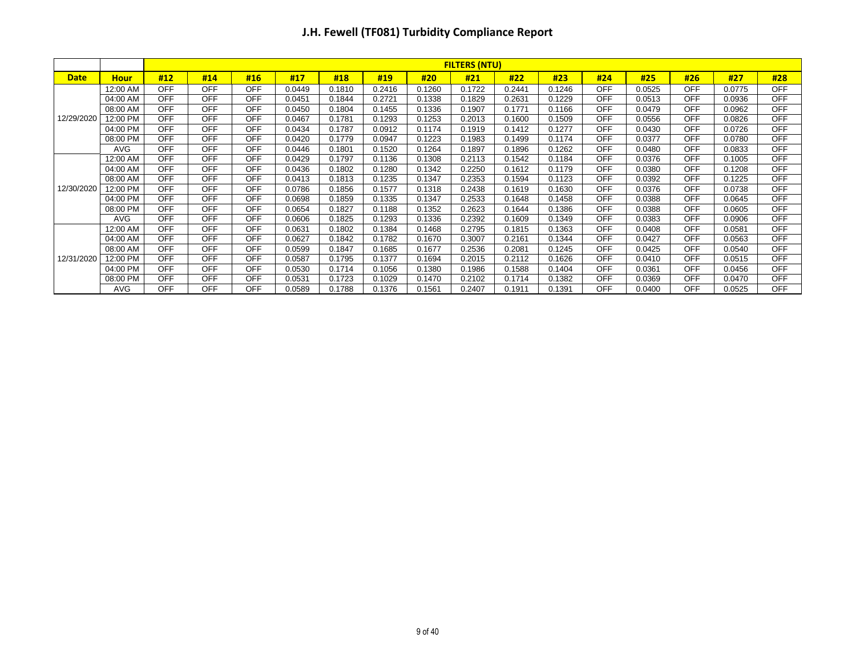|             |             |            |            |            |        |        |        |        | <b>FILTERS (NTU)</b> |        |        |            |        |            |        |            |
|-------------|-------------|------------|------------|------------|--------|--------|--------|--------|----------------------|--------|--------|------------|--------|------------|--------|------------|
| <b>Date</b> | <b>Hour</b> | #12        | #14        | #16        | #17    | #18    | #19    | #20    | #21                  | #22    | #23    | #24        | #25    | #26        | #27    | #28        |
|             | 12:00 AM    | <b>OFF</b> | <b>OFF</b> | <b>OFF</b> | 0.0449 | 0.1810 | 0.2416 | 0.1260 | 0.1722               | 0.2441 | 0.1246 | <b>OFF</b> | 0.0525 | <b>OFF</b> | 0.0775 | <b>OFF</b> |
|             | 04:00 AM    | OFF        | <b>OFF</b> | <b>OFF</b> | 0.0451 | 0.1844 | 0.2721 | 0.1338 | 0.1829               | 0.2631 | 0.1229 | <b>OFF</b> | 0.0513 | <b>OFF</b> | 0.0936 | <b>OFF</b> |
|             | 08:00 AM    | OFF        | <b>OFF</b> | <b>OFF</b> | 0.0450 | 0.1804 | 0.1455 | 0.1336 | 0.1907               | 0.1771 | 0.1166 | <b>OFF</b> | 0.0479 | <b>OFF</b> | 0.0962 | <b>OFF</b> |
| 12/29/2020  | 12:00 PM    | <b>OFF</b> | <b>OFF</b> | <b>OFF</b> | 0.0467 | 0.1781 | 0.1293 | 0.1253 | 0.2013               | 0.1600 | 0.1509 | <b>OFF</b> | 0.0556 | <b>OFF</b> | 0.0826 | <b>OFF</b> |
|             | 04:00 PM    | OFF        | <b>OFF</b> | <b>OFF</b> | 0.0434 | 0.1787 | 0.0912 | 0.1174 | 0.1919               | 0.1412 | 0.1277 | <b>OFF</b> | 0.0430 | <b>OFF</b> | 0.0726 | <b>OFF</b> |
|             | 08:00 PM    | <b>OFF</b> | <b>OFF</b> | <b>OFF</b> | 0.0420 | 0.1779 | 0.0947 | 0.1223 | 0.1983               | 0.1499 | 0.1174 | <b>OFF</b> | 0.0377 | <b>OFF</b> | 0.0780 | <b>OFF</b> |
|             | <b>AVG</b>  | OFF        | <b>OFF</b> | <b>OFF</b> | 0.0446 | 0.1801 | 0.1520 | 0.1264 | 0.1897               | 0.1896 | 0.1262 | <b>OFF</b> | 0.0480 | <b>OFF</b> | 0.0833 | <b>OFF</b> |
|             | 12:00 AM    | OFF        | <b>OFF</b> | <b>OFF</b> | 0.0429 | 0.1797 | 0.1136 | 0.1308 | 0.2113               | 0.1542 | 0.1184 | <b>OFF</b> | 0.0376 | <b>OFF</b> | 0.1005 | <b>OFF</b> |
|             | 04:00 AM    | OFF        | <b>OFF</b> | <b>OFF</b> | 0.0436 | 0.1802 | 0.1280 | 0.1342 | 0.2250               | 0.1612 | 0.1179 | <b>OFF</b> | 0.0380 | <b>OFF</b> | 0.1208 | <b>OFF</b> |
|             | 08:00 AM    | OFF        | <b>OFF</b> | <b>OFF</b> | 0.0413 | 0.1813 | 0.1235 | 0.1347 | 0.2353               | 0.1594 | 0.1123 | <b>OFF</b> | 0.0392 | <b>OFF</b> | 0.1225 | <b>OFF</b> |
| 12/30/2020  | 12:00 PM    | OFF        | <b>OFF</b> | <b>OFF</b> | 0.0786 | 0.1856 | 0.1577 | 0.1318 | 0.2438               | 0.1619 | 0.1630 | <b>OFF</b> | 0.0376 | <b>OFF</b> | 0.0738 | <b>OFF</b> |
|             | 04:00 PM    | <b>OFF</b> | <b>OFF</b> | <b>OFF</b> | 0.0698 | 0.1859 | 0.1335 | 0.1347 | 0.2533               | 0.1648 | 0.1458 | <b>OFF</b> | 0.0388 | <b>OFF</b> | 0.0645 | <b>OFF</b> |
|             | 08:00 PM    | <b>OFF</b> | <b>OFF</b> | <b>OFF</b> | 0.0654 | 0.1827 | 0.1188 | 0.1352 | 0.2623               | 0.1644 | 0.1386 | <b>OFF</b> | 0.0388 | <b>OFF</b> | 0.0605 | <b>OFF</b> |
|             | <b>AVG</b>  | OFF        | <b>OFF</b> | <b>OFF</b> | 0.0606 | 0.1825 | 0.1293 | 0.1336 | 0.2392               | 0.1609 | 0.1349 | <b>OFF</b> | 0.0383 | <b>OFF</b> | 0.0906 | <b>OFF</b> |
|             | 12:00 AM    | OFF        | <b>OFF</b> | <b>OFF</b> | 0.0631 | 0.1802 | 0.1384 | 0.1468 | 0.2795               | 0.1815 | 0.1363 | <b>OFF</b> | 0.0408 | <b>OFF</b> | 0.0581 | <b>OFF</b> |
|             | 04:00 AM    | OFF        | <b>OFF</b> | <b>OFF</b> | 0.0627 | 0.1842 | 0.1782 | 0.1670 | 0.3007               | 0.2161 | 0.1344 | <b>OFF</b> | 0.0427 | <b>OFF</b> | 0.0563 | <b>OFF</b> |
|             | 08:00 AM    | OFF        | <b>OFF</b> | <b>OFF</b> | 0.0599 | 0.1847 | 0.1685 | 0.1677 | 0.2536               | 0.2081 | 0.1245 | <b>OFF</b> | 0.0425 | <b>OFF</b> | 0.0540 | <b>OFF</b> |
| 12/31/2020  | 12:00 PM    | OFF        | <b>OFF</b> | OFF        | 0.0587 | 0.1795 | 0.1377 | 0.1694 | 0.2015               | 0.2112 | 0.1626 | <b>OFF</b> | 0.0410 | <b>OFF</b> | 0.0515 | <b>OFF</b> |
|             | 04:00 PM    | OFF        | <b>OFF</b> | <b>OFF</b> | 0.0530 | 0.1714 | 0.1056 | 0.1380 | 0.1986               | 0.1588 | 0.1404 | <b>OFF</b> | 0.0361 | <b>OFF</b> | 0.0456 | <b>OFF</b> |
|             | 08:00 PM    | <b>OFF</b> | <b>OFF</b> | <b>OFF</b> | 0.0531 | 0.1723 | 0.1029 | 0.1470 | 0.2102               | 0.1714 | 0.1382 | <b>OFF</b> | 0.0369 | <b>OFF</b> | 0.0470 | <b>OFF</b> |
|             | <b>AVG</b>  | <b>OFF</b> | <b>OFF</b> | <b>OFF</b> | 0.0589 | 0.1788 | 0.1376 | 0.1561 | 0.2407               | 0.1911 | 0.1391 | <b>OFF</b> | 0.0400 | <b>OFF</b> | 0.0525 | <b>OFF</b> |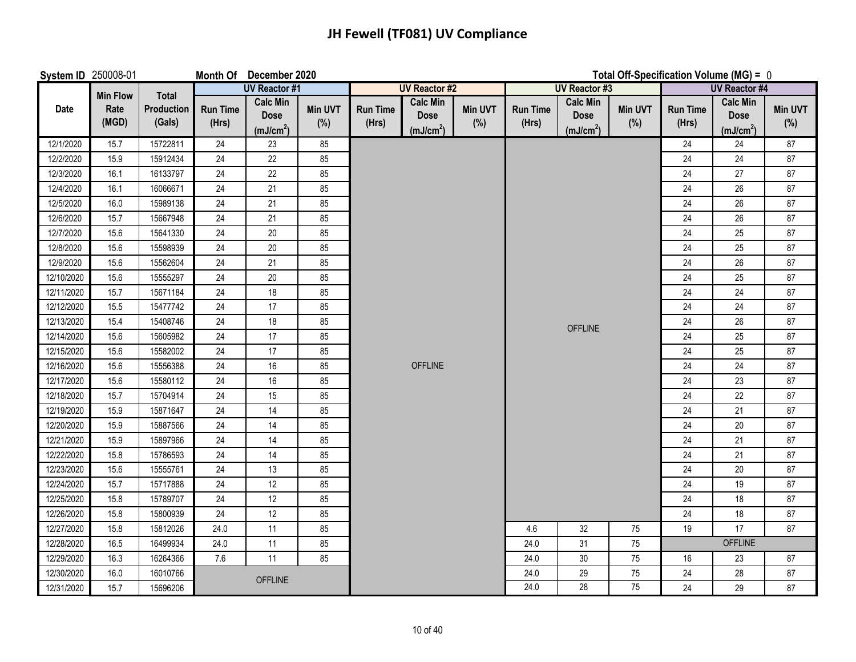## **JH Fewell (TF081) UV Compliance**

| System ID 250008-01 |                 |                             |                          | Month Of December 2020                                  |                       |                          |                                                         | Total Off-Specification Volume (MG) = 0 |                          |                                                         |                       |                          |                                                         |                       |  |
|---------------------|-----------------|-----------------------------|--------------------------|---------------------------------------------------------|-----------------------|--------------------------|---------------------------------------------------------|-----------------------------------------|--------------------------|---------------------------------------------------------|-----------------------|--------------------------|---------------------------------------------------------|-----------------------|--|
|                     | <b>Min Flow</b> | <b>Total</b>                |                          | <b>UV Reactor #1</b>                                    |                       |                          | <b>UV Reactor #2</b>                                    |                                         |                          | <b>UV Reactor #3</b>                                    |                       |                          | <b>UV Reactor #4</b>                                    |                       |  |
| Date                | Rate<br>(MGD)   | <b>Production</b><br>(Gals) | <b>Run Time</b><br>(Hrs) | <b>Calc Min</b><br><b>Dose</b><br>(mJ/cm <sup>2</sup> ) | <b>Min UVT</b><br>(%) | <b>Run Time</b><br>(Hrs) | <b>Calc Min</b><br><b>Dose</b><br>(mJ/cm <sup>2</sup> ) | <b>Min UVT</b><br>$(\% )$               | <b>Run Time</b><br>(Hrs) | <b>Calc Min</b><br><b>Dose</b><br>(mJ/cm <sup>2</sup> ) | <b>Min UVT</b><br>(%) | <b>Run Time</b><br>(Hrs) | <b>Calc Min</b><br><b>Dose</b><br>(mJ/cm <sup>2</sup> ) | <b>Min UVT</b><br>(%) |  |
| 12/1/2020           | 15.7            | 15722811                    | 24                       | 23                                                      | 85                    |                          |                                                         |                                         |                          |                                                         |                       | 24                       | 24                                                      | 87                    |  |
| 12/2/2020           | 15.9            | 15912434                    | 24                       | 22                                                      | 85                    |                          |                                                         |                                         |                          |                                                         |                       | 24                       | 24                                                      | 87                    |  |
| 12/3/2020           | 16.1            | 16133797                    | 24                       | 22                                                      | 85                    |                          |                                                         |                                         |                          |                                                         |                       | 24                       | 27                                                      | 87                    |  |
| 12/4/2020           | 16.1            | 16066671                    | 24                       | 21                                                      | 85                    |                          |                                                         |                                         |                          |                                                         |                       | 24                       | 26                                                      | 87                    |  |
| 12/5/2020           | 16.0            | 15989138                    | 24                       | 21                                                      | 85                    |                          |                                                         |                                         |                          |                                                         |                       | 24                       | 26                                                      | 87                    |  |
| 12/6/2020           | 15.7            | 15667948                    | 24                       | 21                                                      | 85                    |                          |                                                         |                                         |                          |                                                         |                       | 24                       | 26                                                      | 87                    |  |
| 12/7/2020           | 15.6            | 15641330                    | 24                       | $20\,$                                                  | 85                    |                          |                                                         |                                         |                          |                                                         |                       | 24                       | 25                                                      | 87                    |  |
| 12/8/2020           | 15.6            | 15598939                    | 24                       | 20                                                      | 85                    |                          |                                                         |                                         |                          |                                                         |                       | 24                       | 25                                                      | 87                    |  |
| 12/9/2020           | 15.6            | 15562604                    | 24                       | 21                                                      | 85                    |                          |                                                         |                                         |                          |                                                         |                       | 24                       | 26                                                      | 87                    |  |
| 12/10/2020          | 15.6            | 15555297                    | 24                       | 20                                                      | 85                    |                          |                                                         |                                         |                          |                                                         |                       | 24                       | 25                                                      | 87                    |  |
| 12/11/2020          | 15.7            | 15671184                    | 24                       | 18                                                      | 85                    |                          |                                                         |                                         |                          |                                                         |                       | 24                       | 24                                                      | 87                    |  |
| 12/12/2020          | 15.5            | 15477742                    | 24                       | 17                                                      | 85                    |                          |                                                         |                                         |                          |                                                         |                       | 24                       | 24                                                      | 87                    |  |
| 12/13/2020          | 15.4            | 15408746                    | 24                       | 18                                                      | 85                    |                          |                                                         |                                         |                          | <b>OFFLINE</b>                                          |                       | 24                       | 26                                                      | 87                    |  |
| 12/14/2020          | 15.6            | 15605982                    | 24                       | 17                                                      | 85                    |                          |                                                         |                                         |                          |                                                         |                       | 24                       | 25                                                      | 87                    |  |
| 12/15/2020          | 15.6            | 15582002                    | 24                       | 17                                                      | 85                    |                          |                                                         |                                         |                          |                                                         |                       | 24                       | 25                                                      | 87                    |  |
| 12/16/2020          | 15.6            | 15556388                    | 24                       | $16\,$                                                  | 85                    |                          | <b>OFFLINE</b>                                          |                                         |                          |                                                         |                       | 24                       | 24                                                      | 87                    |  |
| 12/17/2020          | 15.6            | 15580112                    | 24                       | 16                                                      | 85                    |                          |                                                         |                                         |                          |                                                         |                       | 24                       | 23                                                      | 87                    |  |
| 12/18/2020          | 15.7            | 15704914                    | 24                       | 15                                                      | 85                    |                          |                                                         |                                         |                          |                                                         |                       | 24                       | 22                                                      | 87                    |  |
| 12/19/2020          | 15.9            | 15871647                    | 24                       | 14                                                      | 85                    |                          |                                                         |                                         |                          |                                                         |                       | 24                       | 21                                                      | 87                    |  |
| 12/20/2020          | 15.9            | 15887566                    | 24                       | 14                                                      | 85                    |                          |                                                         |                                         |                          |                                                         |                       | 24                       | $20\,$                                                  | 87                    |  |
| 12/21/2020          | 15.9            | 15897966                    | 24                       | 14                                                      | 85                    |                          |                                                         |                                         |                          |                                                         |                       | 24                       | 21                                                      | 87                    |  |
| 12/22/2020          | 15.8            | 15786593                    | 24                       | 14                                                      | 85                    |                          |                                                         |                                         |                          |                                                         |                       | 24                       | 21                                                      | 87                    |  |
| 12/23/2020          | 15.6            | 15555761                    | 24                       | 13                                                      | 85                    |                          |                                                         |                                         |                          |                                                         |                       | 24                       | $20\,$                                                  | 87                    |  |
| 12/24/2020          | 15.7            | 15717888                    | 24                       | 12                                                      | 85                    |                          |                                                         |                                         |                          |                                                         |                       | 24                       | 19                                                      | 87                    |  |
| 12/25/2020          | 15.8            | 15789707                    | 24                       | 12                                                      | 85                    |                          |                                                         |                                         |                          |                                                         |                       | 24                       | 18                                                      | 87                    |  |
| 12/26/2020          | 15.8            | 15800939                    | 24                       | 12                                                      | 85                    |                          |                                                         |                                         |                          |                                                         |                       | 24                       | 18                                                      | 87                    |  |
| 12/27/2020          | 15.8            | 15812026                    | 24.0                     | 11                                                      | 85                    |                          |                                                         |                                         | 4.6                      | 32                                                      | 75                    | 19                       | 17                                                      | 87                    |  |
| 12/28/2020          | 16.5            | 16499934                    | 24.0                     | 11                                                      | 85                    |                          |                                                         |                                         | 24.0                     | 31                                                      | 75                    |                          | <b>OFFLINE</b>                                          |                       |  |
| 12/29/2020          | 16.3            | 16264366                    | 7.6                      | 11                                                      | 85                    |                          |                                                         |                                         | 24.0                     | 30 <sup>°</sup>                                         | 75                    | 16                       | 23                                                      | 87                    |  |
| 12/30/2020          | 16.0            | 16010766                    |                          | <b>OFFLINE</b>                                          |                       |                          |                                                         |                                         | 24.0                     | 29                                                      | 75                    | 24                       | 28                                                      | 87                    |  |
| 12/31/2020          | 15.7            | 15696206                    |                          |                                                         |                       |                          |                                                         |                                         | 24.0                     | 28                                                      | 75                    | 24                       | 29                                                      | 87                    |  |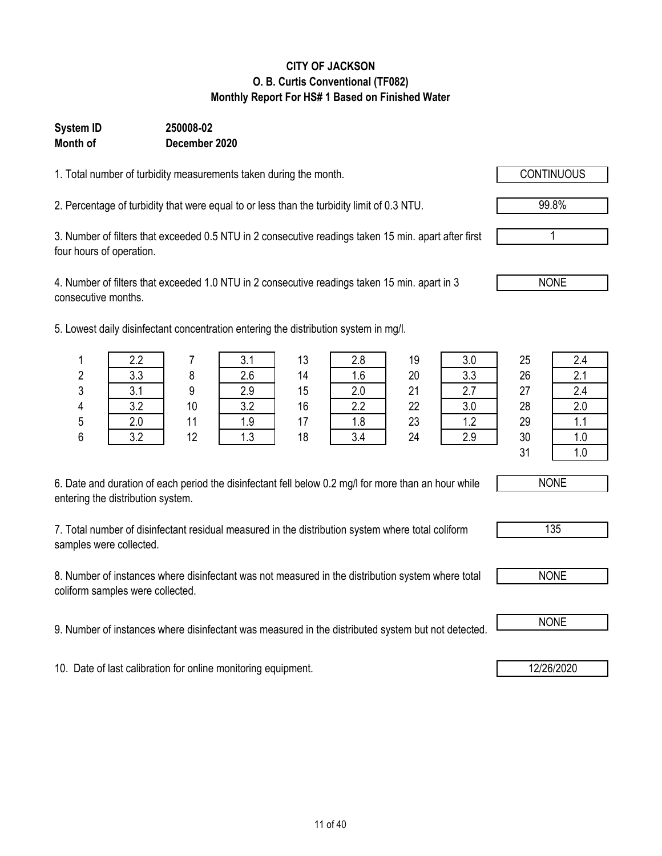### **CITY OF JACKSON O. B. Curtis Conventional (TF082) Monthly Report For HS# 1 Based on Finished Water**

#### **System ID 250008-02 Month of December 2020**

1. Total number of turbidity measurements taken during the month.

2. Percentage of turbidity that were equal to or less than the turbidity limit of 0.3 NTU.

3. Number of filters that exceeded 0.5 NTU in 2 consecutive readings taken 15 min. apart after first four hours of operation.

4. Number of filters that exceeded 1.0 NTU in 2 consecutive readings taken 15 min. apart in 3 consecutive months.

5. Lowest daily disinfectant concentration entering the distribution system in mg/l.

| 6. Date and duration of each period the disinfectant fell below 0.2 mg/l for more than an hour while |  |
|------------------------------------------------------------------------------------------------------|--|
| entering the distribution system.                                                                    |  |

7. Total number of disinfectant residual measured in the distribution system where total coliform samples were collected.

8. Number of instances where disinfectant was not measured in the distribution system where total coliform samples were collected.

9. Number of instances where disinfectant was measured in the distributed system but not detected. **I** NONE

10. Date of last calibration for online monitoring equipment. 12/26/2020

|         | 2.2                    |    | 3.1 | 13 | 2.8 | 19 | 3.0 | 25 |     |
|---------|------------------------|----|-----|----|-----|----|-----|----|-----|
| n.<br>4 | 3.3                    |    | 2.6 | 14 | 1.6 | 20 | 3.3 | 26 | C   |
| 3       | 3 <sub>1</sub><br>v. I |    | 2.9 | 15 | 2.0 | 21 | 2.7 | 27 | 2.4 |
| 4       | 3.2                    | 10 | 3.2 | 16 | 2.2 | 22 | 3.0 | 28 | 2.0 |
| 5       | 2.0                    | 11 | 1.9 | 17 | 1.8 | 23 | 1.2 | 29 | . . |
| 6       | 3.2                    | 12 | 1.3 | 18 | 3.4 | 24 | 2.9 | 30 | 1.U |
|         |                        |    |     |    |     |    |     | 31 | l.U |







99.8%

1

NONE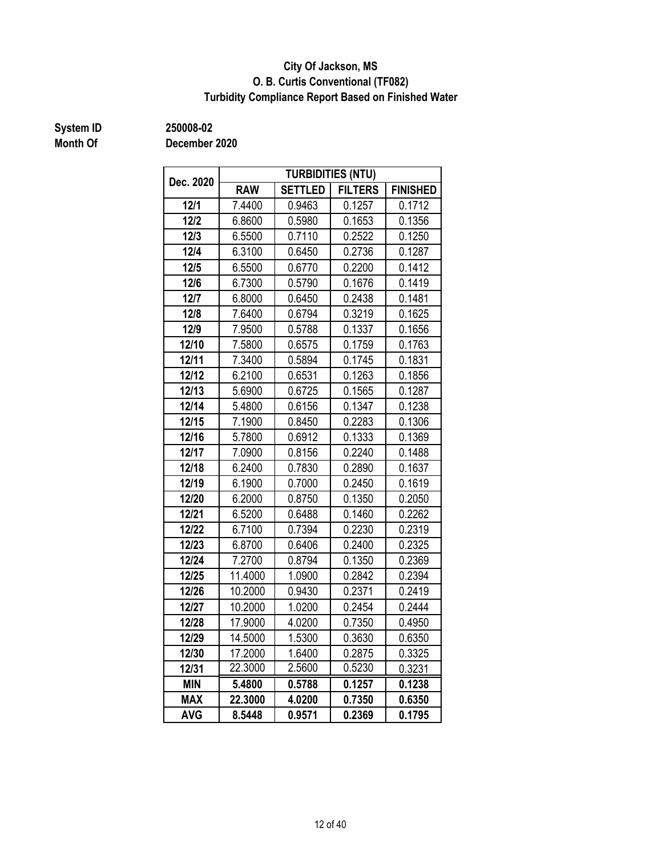### **O. B. Curtis Conventional (TF082) City Of Jackson, MS Turbidity Compliance Report Based on Finished Water**

## **Month Of**

**System ID 250008-02**

| Dec. 2020  |            |                | <b>TURBIDITIES (NTU)</b> |                 |  |
|------------|------------|----------------|--------------------------|-----------------|--|
|            | <b>RAW</b> | <b>SETTLED</b> | <b>FILTERS</b>           | <b>FINISHED</b> |  |
| 12/1       | 7.4400     | 0.9463         | 0.1257                   | 0.1712          |  |
| $12/2$     | 6.8600     | 0.5980         | 0.1653                   | 0.1356          |  |
| $12/3$     | 6.5500     | 0.7110         | 0.2522                   | 0.1250          |  |
| $12/4$     | 6.3100     | 0.6450         | 0.2736                   | 0.1287          |  |
| 12/5       | 6.5500     | 0.6770         | 0.2200                   | 0.1412          |  |
| 12/6       | 6.7300     | 0.5790         | 0.1676                   | 0.1419          |  |
| 12/7       | 6.8000     | 0.6450         | 0.2438                   | 0.1481          |  |
| 12/8       | 7.6400     | 0.6794         | 0.3219                   | 0.1625          |  |
| 12/9       | 7.9500     | 0.5788         | 0.1337                   | 0.1656          |  |
| 12/10      | 7.5800     | 0.6575         | 0.1759                   | 0.1763          |  |
| 12/11      | 7.3400     | 0.5894         | 0.1745                   | 0.1831          |  |
| 12/12      | 6.2100     | 0.6531         | 0.1263                   | 0.1856          |  |
| 12/13      | 5.6900     | 0.6725         | 0.1565                   | 0.1287          |  |
| 12/14      | 5.4800     | 0.6156         | 0.1347                   | 0.1238          |  |
| 12/15      | 7.1900     | 0.8450         | 0.2283                   | 0.1306          |  |
| 12/16      | 5.7800     | 0.6912         | 0.1333                   | 0.1369          |  |
| 12/17      | 7.0900     | 0.8156         | 0.2240                   | 0.1488          |  |
| 12/18      | 6.2400     | 0.7830         | 0.2890                   | 0.1637          |  |
| 12/19      | 6.1900     | 0.7000         | 0.2450                   | 0.1619          |  |
| 12/20      | 6.2000     | 0.8750         | 0.1350                   | 0.2050          |  |
| 12/21      | 6.5200     | 0.6488         | 0.1460                   | 0.2262          |  |
| 12/22      | 6.7100     | 0.7394         | 0.2230                   | 0.2319          |  |
| 12/23      | 6.8700     | 0.6406         | 0.2400                   | 0.2325          |  |
| 12/24      | 7.2700     | 0.8794         | 0.1350                   | 0.2369          |  |
| 12/25      | 11.4000    | 1.0900         | 0.2842                   | 0.2394          |  |
| 12/26      | 10.2000    | 0.9430         | 0.2371                   | 0.2419          |  |
| 12/27      | 10.2000    | 1.0200         | 0.2454                   | 0.2444          |  |
| 12/28      | 17.9000    | 4.0200         | 0.7350                   | 0.4950          |  |
| 12/29      | 14.5000    | 1.5300         | 0.3630                   | 0.6350          |  |
| 12/30      | 17.2000    | 1.6400         | 0.2875                   | 0.3325          |  |
| 12/31      | 22.3000    | 2.5600         | 0.5230                   | 0.3231          |  |
| <b>MIN</b> | 5.4800     | 0.5788         | 0.1257                   | 0.1238          |  |
| <b>MAX</b> | 22.3000    |                | 0.7350                   | 0.6350          |  |
| <b>AVG</b> | 8.5448     | 0.9571         | 0.2369                   | 0.1795          |  |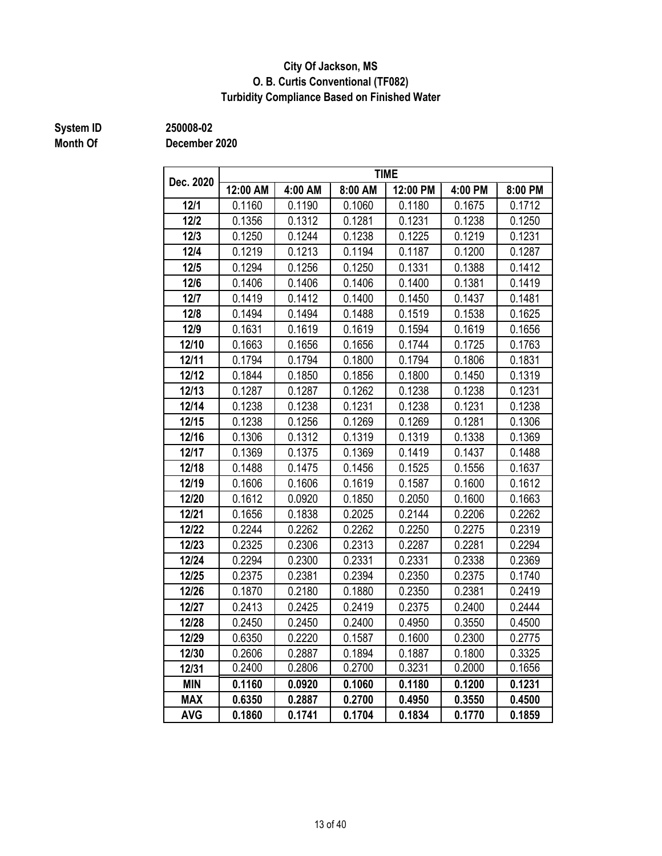### **City Of Jackson, MS O. B. Curtis Conventional (TF082) Turbidity Compliance Based on Finished Water**

## **Month Of**

**System ID 250008-02**

| Dec. 2020  |          |         |         | <b>TIME</b> |         |         |
|------------|----------|---------|---------|-------------|---------|---------|
|            | 12:00 AM | 4:00 AM | 8:00 AM | 12:00 PM    | 4:00 PM | 8:00 PM |
| 12/1       | 0.1160   | 0.1190  | 0.1060  | 0.1180      | 0.1675  | 0.1712  |
| $12/2$     | 0.1356   | 0.1312  | 0.1281  | 0.1231      | 0.1238  | 0.1250  |
| $12/3$     | 0.1250   | 0.1244  | 0.1238  | 0.1225      | 0.1219  | 0.1231  |
| $12/4$     | 0.1219   | 0.1213  | 0.1194  | 0.1187      | 0.1200  | 0.1287  |
| 12/5       | 0.1294   | 0.1256  | 0.1250  | 0.1331      | 0.1388  | 0.1412  |
| 12/6       | 0.1406   | 0.1406  | 0.1406  | 0.1400      | 0.1381  | 0.1419  |
| 12/7       | 0.1419   | 0.1412  | 0.1400  | 0.1450      | 0.1437  | 0.1481  |
| 12/8       | 0.1494   | 0.1494  | 0.1488  | 0.1519      | 0.1538  | 0.1625  |
| 12/9       | 0.1631   | 0.1619  | 0.1619  | 0.1594      | 0.1619  | 0.1656  |
| 12/10      | 0.1663   | 0.1656  | 0.1656  | 0.1744      | 0.1725  | 0.1763  |
| 12/11      | 0.1794   | 0.1794  | 0.1800  | 0.1794      | 0.1806  | 0.1831  |
| 12/12      | 0.1844   | 0.1850  | 0.1856  | 0.1800      | 0.1450  | 0.1319  |
| 12/13      | 0.1287   | 0.1287  | 0.1262  | 0.1238      | 0.1238  | 0.1231  |
| 12/14      | 0.1238   | 0.1238  | 0.1231  | 0.1238      | 0.1231  | 0.1238  |
| 12/15      | 0.1238   | 0.1256  | 0.1269  | 0.1269      | 0.1281  | 0.1306  |
| 12/16      | 0.1306   | 0.1312  | 0.1319  | 0.1319      | 0.1338  | 0.1369  |
| 12/17      | 0.1369   | 0.1375  | 0.1369  | 0.1419      | 0.1437  | 0.1488  |
| 12/18      | 0.1488   | 0.1475  | 0.1456  | 0.1525      | 0.1556  | 0.1637  |
| 12/19      | 0.1606   | 0.1606  | 0.1619  | 0.1587      | 0.1600  | 0.1612  |
| 12/20      | 0.1612   | 0.0920  | 0.1850  | 0.2050      | 0.1600  | 0.1663  |
| 12/21      | 0.1656   | 0.1838  | 0.2025  | 0.2144      | 0.2206  | 0.2262  |
| 12/22      | 0.2244   | 0.2262  | 0.2262  | 0.2250      | 0.2275  | 0.2319  |
| 12/23      | 0.2325   | 0.2306  | 0.2313  | 0.2287      | 0.2281  | 0.2294  |
| 12/24      | 0.2294   | 0.2300  | 0.2331  | 0.2331      | 0.2338  | 0.2369  |
| 12/25      | 0.2375   | 0.2381  | 0.2394  | 0.2350      | 0.2375  | 0.1740  |
| 12/26      | 0.1870   | 0.2180  | 0.1880  | 0.2350      | 0.2381  | 0.2419  |
| 12/27      | 0.2413   | 0.2425  | 0.2419  | 0.2375      | 0.2400  | 0.2444  |
| 12/28      | 0.2450   | 0.2450  | 0.2400  | 0.4950      | 0.3550  | 0.4500  |
| 12/29      | 0.6350   | 0.2220  | 0.1587  | 0.1600      | 0.2300  | 0.2775  |
| 12/30      | 0.2606   | 0.2887  | 0.1894  | 0.1887      | 0.1800  | 0.3325  |
| 12/31      | 0.2400   | 0.2806  | 0.2700  | 0.3231      | 0.2000  | 0.1656  |
| <b>MIN</b> | 0.1160   | 0.0920  | 0.1060  | 0.1180      | 0.1200  | 0.1231  |
| <b>MAX</b> | 0.6350   | 0.2887  | 0.2700  | 0.4950      | 0.3550  | 0.4500  |
| <b>AVG</b> | 0.1860   | 0.1741  | 0.1704  | 0.1834      | 0.1770  | 0.1859  |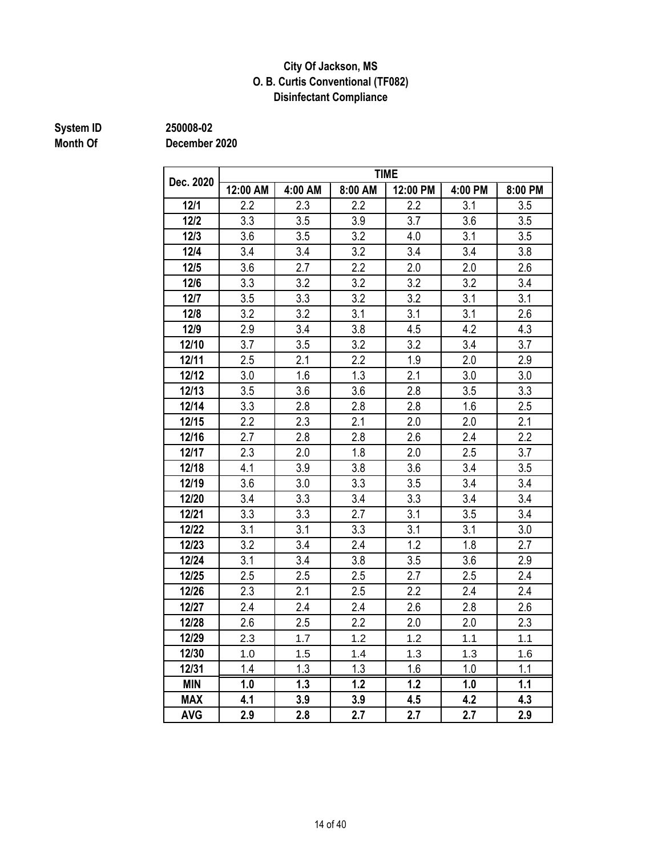### **Disinfectant Compliance City Of Jackson, MS O. B. Curtis Conventional (TF082)**

# **System ID** 250008-02<br> **Month Of** December

**Month Of December 2020**

| Dec. 2020  |          |         |         | <b>TIME</b> |         |         |
|------------|----------|---------|---------|-------------|---------|---------|
|            | 12:00 AM | 4:00 AM | 8:00 AM | 12:00 PM    | 4:00 PM | 8:00 PM |
| $12/1$     | 2.2      | 2.3     | 2.2     | 2.2         | 3.1     | 3.5     |
| $12/2$     | 3.3      | 3.5     | 3.9     | 3.7         | 3.6     | 3.5     |
| 12/3       | 3.6      | 3.5     | 3.2     | 4.0         | 3.1     | 3.5     |
| 12/4       | 3.4      | 3.4     | 3.2     | 3.4         | 3.4     | 3.8     |
| 12/5       | 3.6      | 2.7     | 2.2     | 2.0         | 2.0     | 2.6     |
| 12/6       | 3.3      | 3.2     | 3.2     | 3.2         | 3.2     | 3.4     |
| $12/7$     | 3.5      | 3.3     | 3.2     | 3.2         | 3.1     | 3.1     |
| 12/8       | 3.2      | 3.2     | 3.1     | 3.1         | 3.1     | 2.6     |
| 12/9       | 2.9      | 3.4     | 3.8     | 4.5         | 4.2     | 4.3     |
| 12/10      | 3.7      | 3.5     | 3.2     | 3.2         | 3.4     | 3.7     |
| 12/11      | 2.5      | 2.1     | 2.2     | 1.9         | 2.0     | 2.9     |
| 12/12      | 3.0      | 1.6     | 1.3     | 2.1         | 3.0     | 3.0     |
| 12/13      | 3.5      | 3.6     | 3.6     | 2.8         | 3.5     | 3.3     |
| 12/14      | 3.3      | 2.8     | 2.8     | 2.8         | 1.6     | 2.5     |
| 12/15      | 2.2      | 2.3     | 2.1     | 2.0         | 2.0     | 2.1     |
| 12/16      | 2.7      | 2.8     | 2.8     | 2.6         | 2.4     | 2.2     |
| 12/17      | 2.3      | 2.0     | 1.8     | 2.0         | 2.5     | 3.7     |
| 12/18      | 4.1      | 3.9     | 3.8     | 3.6         | 3.4     | 3.5     |
| 12/19      | 3.6      | 3.0     | 3.3     | 3.5         | 3.4     | 3.4     |
| 12/20      | 3.4      | 3.3     | 3.4     | 3.3         | 3.4     | 3.4     |
| 12/21      | 3.3      | 3.3     | 2.7     | 3.1         | 3.5     | 3.4     |
| 12/22      | 3.1      | 3.1     | 3.3     | 3.1         | 3.1     | 3.0     |
| 12/23      | 3.2      | 3.4     | 2.4     | 1.2         | 1.8     | 2.7     |
| 12/24      | 3.1      | 3.4     | 3.8     | 3.5         | 3.6     | 2.9     |
| 12/25      | 2.5      | 2.5     | 2.5     | 2.7         | 2.5     | 2.4     |
| 12/26      | 2.3      | 2.1     | 2.5     | 2.2         | 2.4     | 2.4     |
| 12/27      | 2.4      | 2.4     | 2.4     | 2.6         | 2.8     | 2.6     |
| 12/28      | 2.6      | 2.5     | 2.2     | 2.0         | 2.0     | 2.3     |
| 12/29      | 2.3      | 1.7     | 1.2     | 1.2         | 1.1     | 1.1     |
| 12/30      | 1.0      | 1.5     | 1.4     | 1.3         | 1.3     | 1.6     |
| 12/31      | 1.4      | 1.3     | 1.3     | 1.6         | 1.0     | 1.1     |
| <b>MIN</b> | 1.0      | 1.3     | 1.2     | 1.2         | 1.0     | 1.1     |
| <b>MAX</b> | 4.1      | 3.9     | 3.9     | 4.5         | 4.2     | 4.3     |
| <b>AVG</b> | 2.9      | 2.8     | 2.7     | 2.7         | 2.7     | 2.9     |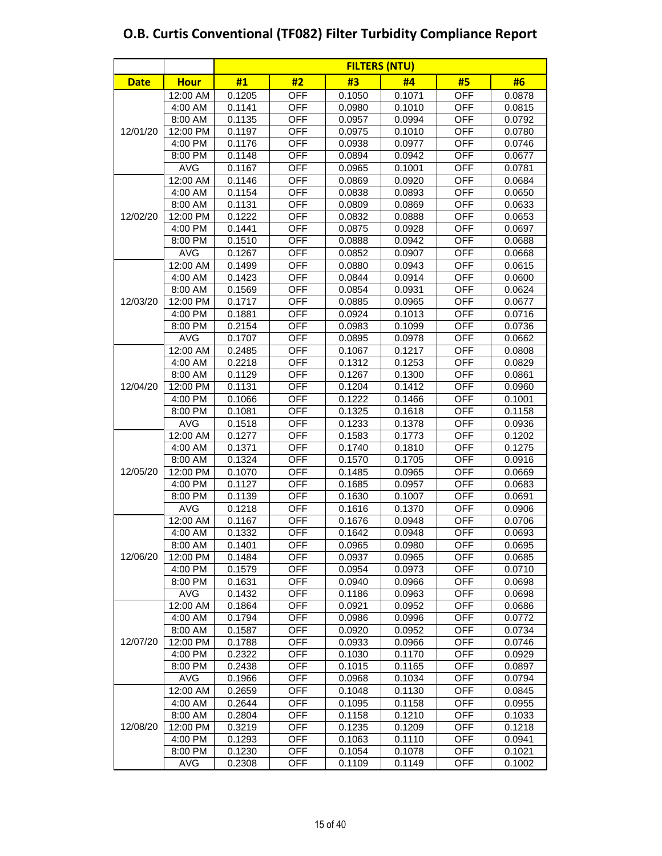|             |             | <b>FILTERS (NTU)</b> |            |        |        |            |        |  |  |  |  |
|-------------|-------------|----------------------|------------|--------|--------|------------|--------|--|--|--|--|
| <b>Date</b> | <b>Hour</b> | #1                   | #2         | #3     | #4     | #5         | #6     |  |  |  |  |
|             | 12:00 AM    | 0.1205               | <b>OFF</b> | 0.1050 | 0.1071 | <b>OFF</b> | 0.0878 |  |  |  |  |
|             | 4:00 AM     | 0.1141               | <b>OFF</b> | 0.0980 | 0.1010 | <b>OFF</b> | 0.0815 |  |  |  |  |
|             | 8:00 AM     | 0.1135               | <b>OFF</b> | 0.0957 | 0.0994 | <b>OFF</b> | 0.0792 |  |  |  |  |
| 12/01/20    | 12:00 PM    | 0.1197               | <b>OFF</b> | 0.0975 | 0.1010 | <b>OFF</b> | 0.0780 |  |  |  |  |
|             | 4:00 PM     | 0.1176               | <b>OFF</b> | 0.0938 | 0.0977 | <b>OFF</b> | 0.0746 |  |  |  |  |
|             | 8:00 PM     | 0.1148               | <b>OFF</b> | 0.0894 | 0.0942 | <b>OFF</b> | 0.0677 |  |  |  |  |
|             | <b>AVG</b>  | 0.1167               | <b>OFF</b> | 0.0965 | 0.1001 | <b>OFF</b> | 0.0781 |  |  |  |  |
|             | 12:00 AM    | 0.1146               | <b>OFF</b> | 0.0869 | 0.0920 | <b>OFF</b> | 0.0684 |  |  |  |  |
|             | 4:00 AM     | 0.1154               | <b>OFF</b> | 0.0838 | 0.0893 | <b>OFF</b> | 0.0650 |  |  |  |  |
|             | 8:00 AM     | 0.1131               | <b>OFF</b> | 0.0809 | 0.0869 | <b>OFF</b> | 0.0633 |  |  |  |  |
| 12/02/20    | 12:00 PM    | 0.1222               | <b>OFF</b> | 0.0832 | 0.0888 | <b>OFF</b> | 0.0653 |  |  |  |  |
|             | 4:00 PM     | 0.1441               | <b>OFF</b> | 0.0875 | 0.0928 | <b>OFF</b> | 0.0697 |  |  |  |  |
|             | 8:00 PM     | 0.1510               | <b>OFF</b> | 0.0888 | 0.0942 | OFF        | 0.0688 |  |  |  |  |
|             | AVG         | 0.1267               | <b>OFF</b> | 0.0852 | 0.0907 | <b>OFF</b> | 0.0668 |  |  |  |  |
|             | 12:00 AM    | 0.1499               | <b>OFF</b> | 0.0880 | 0.0943 | <b>OFF</b> | 0.0615 |  |  |  |  |
|             | 4:00 AM     | 0.1423               | <b>OFF</b> | 0.0844 | 0.0914 | <b>OFF</b> | 0.0600 |  |  |  |  |
|             | 8:00 AM     | 0.1569               | <b>OFF</b> | 0.0854 | 0.0931 | <b>OFF</b> | 0.0624 |  |  |  |  |
| 12/03/20    | 12:00 PM    | 0.1717               | <b>OFF</b> | 0.0885 | 0.0965 | <b>OFF</b> | 0.0677 |  |  |  |  |
|             | 4:00 PM     | 0.1881               | <b>OFF</b> | 0.0924 | 0.1013 | <b>OFF</b> | 0.0716 |  |  |  |  |
|             | 8:00 PM     | 0.2154               | <b>OFF</b> | 0.0983 | 0.1099 | <b>OFF</b> | 0.0736 |  |  |  |  |
|             | <b>AVG</b>  | 0.1707               | <b>OFF</b> | 0.0895 | 0.0978 | <b>OFF</b> | 0.0662 |  |  |  |  |
|             | 12:00 AM    | 0.2485               | <b>OFF</b> | 0.1067 | 0.1217 | <b>OFF</b> | 0.0808 |  |  |  |  |
| 12/04/20    | 4:00 AM     | 0.2218               | <b>OFF</b> | 0.1312 | 0.1253 | <b>OFF</b> | 0.0829 |  |  |  |  |
|             | 8:00 AM     | 0.1129               | <b>OFF</b> | 0.1267 | 0.1300 | <b>OFF</b> | 0.0861 |  |  |  |  |
|             | 12:00 PM    | 0.1131               | <b>OFF</b> | 0.1204 | 0.1412 | OFF        | 0.0960 |  |  |  |  |
|             | 4:00 PM     | 0.1066               | <b>OFF</b> | 0.1222 | 0.1466 | <b>OFF</b> | 0.1001 |  |  |  |  |
|             | 8:00 PM     | 0.1081               | <b>OFF</b> | 0.1325 | 0.1618 | <b>OFF</b> | 0.1158 |  |  |  |  |
|             | <b>AVG</b>  | 0.1518               | <b>OFF</b> | 0.1233 | 0.1378 | <b>OFF</b> | 0.0936 |  |  |  |  |
|             | 12:00 AM    | 0.1277               | <b>OFF</b> | 0.1583 | 0.1773 | <b>OFF</b> | 0.1202 |  |  |  |  |
|             | 4:00 AM     | 0.1371               | <b>OFF</b> | 0.1740 | 0.1810 | <b>OFF</b> | 0.1275 |  |  |  |  |
|             | 8:00 AM     | 0.1324               | <b>OFF</b> | 0.1570 | 0.1705 | <b>OFF</b> | 0.0916 |  |  |  |  |
| 12/05/20    | 12:00 PM    | 0.1070               | <b>OFF</b> | 0.1485 | 0.0965 | <b>OFF</b> | 0.0669 |  |  |  |  |
|             | 4:00 PM     | 0.1127               | <b>OFF</b> | 0.1685 | 0.0957 | <b>OFF</b> | 0.0683 |  |  |  |  |
|             | 8:00 PM     | 0.1139               | <b>OFF</b> | 0.1630 | 0.1007 | <b>OFF</b> | 0.0691 |  |  |  |  |
|             | AVG         | 0.1218               | <b>OFF</b> | 0.1616 | 0.1370 | <b>OFF</b> | 0.0906 |  |  |  |  |
|             | 12:00 AM    | 0.1167               | <b>OFF</b> | 0.1676 | 0.0948 | <b>OFF</b> | 0.0706 |  |  |  |  |
|             | 4:00 AM     | 0.1332               | <b>OFF</b> | 0.1642 | 0.0948 | <b>OFF</b> | 0.0693 |  |  |  |  |
|             | 8:00 AM     | 0.1401               | <b>OFF</b> | 0.0965 | 0.0980 | <b>OFF</b> | 0.0695 |  |  |  |  |
| 12/06/20    | 12:00 PM    | 0.1484               | <b>OFF</b> | 0.0937 | 0.0965 | <b>OFF</b> | 0.0685 |  |  |  |  |
|             | 4:00 PM     | 0.1579               | <b>OFF</b> | 0.0954 | 0.0973 | <b>OFF</b> | 0.0710 |  |  |  |  |
|             | 8:00 PM     | 0.1631               | OFF        | 0.0940 | 0.0966 | OFF        | 0.0698 |  |  |  |  |
|             | <b>AVG</b>  | 0.1432               | <b>OFF</b> | 0.1186 | 0.0963 | <b>OFF</b> | 0.0698 |  |  |  |  |
|             | 12:00 AM    | 0.1864               | <b>OFF</b> | 0.0921 | 0.0952 | <b>OFF</b> | 0.0686 |  |  |  |  |
|             | 4:00 AM     | 0.1794               | <b>OFF</b> | 0.0986 | 0.0996 | <b>OFF</b> | 0.0772 |  |  |  |  |
|             | 8:00 AM     | 0.1587               | <b>OFF</b> | 0.0920 | 0.0952 | <b>OFF</b> | 0.0734 |  |  |  |  |
| 12/07/20    | 12:00 PM    | 0.1788               | <b>OFF</b> | 0.0933 | 0.0966 | OFF        | 0.0746 |  |  |  |  |
|             | 4:00 PM     | 0.2322               | <b>OFF</b> | 0.1030 | 0.1170 | <b>OFF</b> | 0.0929 |  |  |  |  |
|             | 8:00 PM     | 0.2438               | <b>OFF</b> | 0.1015 | 0.1165 | <b>OFF</b> | 0.0897 |  |  |  |  |
|             | <b>AVG</b>  | 0.1966               | <b>OFF</b> | 0.0968 | 0.1034 | <b>OFF</b> | 0.0794 |  |  |  |  |
|             | 12:00 AM    | 0.2659               | <b>OFF</b> | 0.1048 | 0.1130 | <b>OFF</b> | 0.0845 |  |  |  |  |
|             | 4:00 AM     | 0.2644               | <b>OFF</b> | 0.1095 | 0.1158 | <b>OFF</b> | 0.0955 |  |  |  |  |
|             | 8:00 AM     | 0.2804               | <b>OFF</b> | 0.1158 | 0.1210 | <b>OFF</b> | 0.1033 |  |  |  |  |
| 12/08/20    | 12:00 PM    | 0.3219               | <b>OFF</b> | 0.1235 | 0.1209 | <b>OFF</b> | 0.1218 |  |  |  |  |
|             | 4:00 PM     | 0.1293               | <b>OFF</b> | 0.1063 | 0.1110 | <b>OFF</b> | 0.0941 |  |  |  |  |
|             | 8:00 PM     | 0.1230               | <b>OFF</b> | 0.1054 | 0.1078 | <b>OFF</b> | 0.1021 |  |  |  |  |
|             | <b>AVG</b>  | 0.2308               | <b>OFF</b> | 0.1109 | 0.1149 | <b>OFF</b> | 0.1002 |  |  |  |  |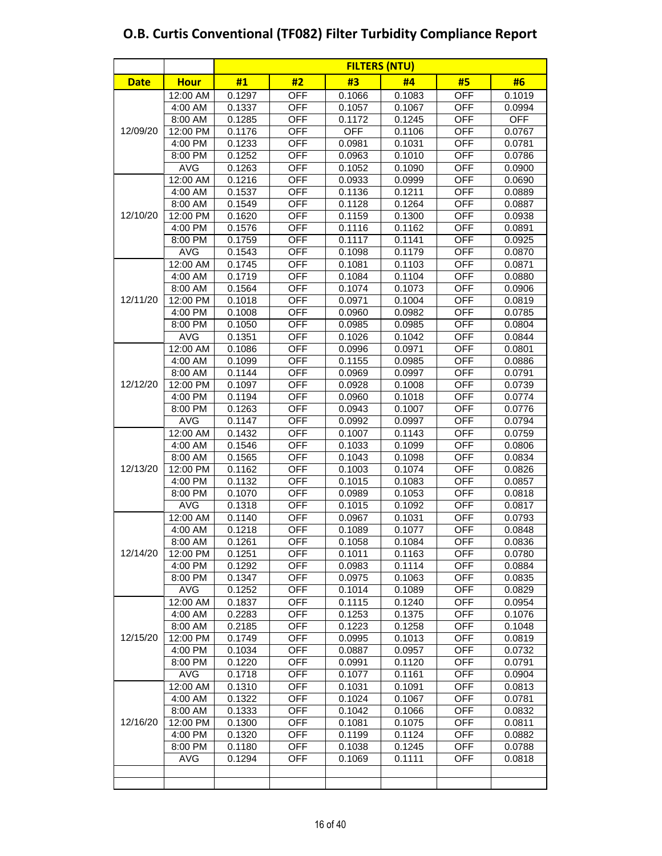|             |                        | <b>FILTERS (NTU)</b> |                          |                  |                  |                          |                  |  |  |  |
|-------------|------------------------|----------------------|--------------------------|------------------|------------------|--------------------------|------------------|--|--|--|
| <b>Date</b> | <b>Hour</b>            | #1                   | #2                       | #3               | #4               | #5                       | #6               |  |  |  |
|             | 12:00 AM               | 0.1297               | <b>OFF</b>               | 0.1066           | 0.1083           | <b>OFF</b>               | 0.1019           |  |  |  |
|             | 4:00 AM                | 0.1337               | <b>OFF</b>               | 0.1057           | 0.1067           | <b>OFF</b>               | 0.0994           |  |  |  |
|             | 8:00 AM                | 0.1285               | <b>OFF</b>               | 0.1172           | 0.1245           | <b>OFF</b>               | <b>OFF</b>       |  |  |  |
| 12/09/20    | 12:00 PM               | 0.1176               | <b>OFF</b>               | <b>OFF</b>       | 0.1106           | <b>OFF</b>               | 0.0767           |  |  |  |
|             | 4:00 PM                | 0.1233               | <b>OFF</b>               | 0.0981           | 0.1031           | <b>OFF</b>               | 0.0781           |  |  |  |
|             | 8:00 PM                | 0.1252               | <b>OFF</b>               | 0.0963           | 0.1010           | <b>OFF</b>               | 0.0786           |  |  |  |
|             | <b>AVG</b>             | 0.1263               | <b>OFF</b>               | 0.1052           | 0.1090           | <b>OFF</b>               | 0.0900           |  |  |  |
|             | 12:00 AM               | 0.1216               | <b>OFF</b>               | 0.0933           | 0.0999           | <b>OFF</b>               | 0.0690           |  |  |  |
|             | 4:00 AM                | 0.1537               | <b>OFF</b>               | 0.1136           | 0.1211           | <b>OFF</b>               | 0.0889           |  |  |  |
|             | 8:00 AM                | 0.1549               | <b>OFF</b>               | 0.1128           | 0.1264           | <b>OFF</b>               | 0.0887           |  |  |  |
| 12/10/20    | 12:00 PM               | 0.1620               | <b>OFF</b>               | 0.1159           | 0.1300           | <b>OFF</b>               | 0.0938           |  |  |  |
|             | 4:00 PM                | 0.1576               | <b>OFF</b>               | 0.1116           | 0.1162           | <b>OFF</b>               | 0.0891           |  |  |  |
|             | 8:00 PM                | 0.1759               | <b>OFF</b>               | 0.1117           | 0.1141           | <b>OFF</b>               | 0.0925           |  |  |  |
|             | <b>AVG</b>             | 0.1543               | <b>OFF</b>               | 0.1098           | 0.1179           | <b>OFF</b>               | 0.0870           |  |  |  |
|             | 12:00 AM               | 0.1745               | <b>OFF</b>               | 0.1081           | 0.1103           | <b>OFF</b>               | 0.0871           |  |  |  |
|             | 4:00 AM                | 0.1719               | <b>OFF</b>               | 0.1084           | 0.1104           | <b>OFF</b>               | 0.0880           |  |  |  |
|             | 8:00 AM                | 0.1564               | <b>OFF</b>               | 0.1074           | 0.1073           | <b>OFF</b>               | 0.0906           |  |  |  |
| 12/11/20    | 12:00 PM               | 0.1018               | <b>OFF</b>               | 0.0971           | 0.1004           | <b>OFF</b>               | 0.0819           |  |  |  |
|             | 4:00 PM                | 0.1008               | <b>OFF</b>               | 0.0960           | 0.0982           | <b>OFF</b>               | 0.0785           |  |  |  |
|             | 8:00 PM                | 0.1050               | <b>OFF</b>               | 0.0985           | 0.0985           | <b>OFF</b>               | 0.0804           |  |  |  |
|             | <b>AVG</b>             | 0.1351               | <b>OFF</b>               | 0.1026           | 0.1042           | <b>OFF</b>               | 0.0844           |  |  |  |
|             | 12:00 AM               | 0.1086               | <b>OFF</b>               | 0.0996           | 0.0971           | <b>OFF</b>               | 0.0801           |  |  |  |
|             | 4:00 AM                | 0.1099               | <b>OFF</b>               | 0.1155           | 0.0985           | <b>OFF</b>               | 0.0886           |  |  |  |
|             | 8:00 AM                | 0.1144               | <b>OFF</b>               | 0.0969           | 0.0997           | <b>OFF</b>               | 0.0791           |  |  |  |
| 12/12/20    | 12:00 PM               | 0.1097               | <b>OFF</b>               | 0.0928           | 0.1008           | <b>OFF</b>               | 0.0739           |  |  |  |
|             | 4:00 PM                | 0.1194               | <b>OFF</b>               | 0.0960           | 0.1018           | <b>OFF</b>               | 0.0774           |  |  |  |
|             | 8:00 PM                | 0.1263               | <b>OFF</b>               | 0.0943           | 0.1007           | <b>OFF</b>               | 0.0776           |  |  |  |
|             | <b>AVG</b>             | 0.1147               | <b>OFF</b>               | 0.0992           | 0.0997           | <b>OFF</b>               | 0.0794           |  |  |  |
|             | 12:00 AM               | 0.1432               | <b>OFF</b>               | 0.1007           | 0.1143           | <b>OFF</b>               | 0.0759           |  |  |  |
|             | 4:00 AM                | 0.1546               | <b>OFF</b>               | 0.1033           | 0.1099           | <b>OFF</b>               | 0.0806           |  |  |  |
|             | 8:00 AM                | 0.1565               | <b>OFF</b>               | 0.1043           | 0.1098           | <b>OFF</b>               | 0.0834           |  |  |  |
| 12/13/20    | 12:00 PM               | 0.1162               | <b>OFF</b>               | 0.1003           | 0.1074           | <b>OFF</b>               | 0.0826           |  |  |  |
|             | 4:00 PM                | 0.1132               | <b>OFF</b>               | 0.1015           | 0.1083           | <b>OFF</b>               | 0.0857           |  |  |  |
|             | 8:00 PM                | 0.1070               | <b>OFF</b><br><b>OFF</b> | 0.0989           | 0.1053           | <b>OFF</b><br><b>OFF</b> | 0.0818           |  |  |  |
|             | <b>AVG</b><br>12:00 AM | 0.1318<br>0.1140     | <b>OFF</b>               | 0.1015           | 0.1092           | <b>OFF</b>               | 0.0817           |  |  |  |
|             |                        | 0.1218               | <b>OFF</b>               | 0.0967<br>0.1089 | 0.1031           | <b>OFF</b>               | 0.0793           |  |  |  |
|             | 4:00 AM<br>8:00 AM     | 0.1261               | <b>OFF</b>               | 0.1058           | 0.1077<br>0.1084 | <b>OFF</b>               | 0.0848<br>0.0836 |  |  |  |
| 12/14/20    | 12:00 PM               | 0.1251               | <b>OFF</b>               | 0.1011           | 0.1163           | <b>OFF</b>               | 0.0780           |  |  |  |
|             | 4:00 PM                | 0.1292               | <b>OFF</b>               | 0.0983           | 0.1114           | OFF                      | 0.0884           |  |  |  |
|             | 8:00 PM                | 0.1347               | <b>OFF</b>               | 0.0975           | 0.1063           | <b>OFF</b>               | 0.0835           |  |  |  |
|             | <b>AVG</b>             | 0.1252               | <b>OFF</b>               | 0.1014           | 0.1089           | <b>OFF</b>               | 0.0829           |  |  |  |
|             | 12:00 AM               | 0.1837               | <b>OFF</b>               | 0.1115           | 0.1240           | <b>OFF</b>               | 0.0954           |  |  |  |
|             | 4:00 AM                | 0.2283               | <b>OFF</b>               | 0.1253           | 0.1375           | <b>OFF</b>               | 0.1076           |  |  |  |
|             | 8:00 AM                | 0.2185               | <b>OFF</b>               | 0.1223           | 0.1258           | <b>OFF</b>               | 0.1048           |  |  |  |
| 12/15/20    | 12:00 PM               | 0.1749               | <b>OFF</b>               | 0.0995           | 0.1013           | <b>OFF</b>               | 0.0819           |  |  |  |
|             | 4:00 PM                | 0.1034               | <b>OFF</b>               | 0.0887           | 0.0957           | <b>OFF</b>               | 0.0732           |  |  |  |
|             | 8:00 PM                | 0.1220               | <b>OFF</b>               | 0.0991           | 0.1120           | <b>OFF</b>               | 0.0791           |  |  |  |
|             | AVG                    | 0.1718               | <b>OFF</b>               | 0.1077           | 0.1161           | <b>OFF</b>               | 0.0904           |  |  |  |
|             | 12:00 AM               | 0.1310               | <b>OFF</b>               | 0.1031           | 0.1091           | OFF                      | 0.0813           |  |  |  |
|             | 4:00 AM                | 0.1322               | <b>OFF</b>               | 0.1024           | 0.1067           | <b>OFF</b>               | 0.0781           |  |  |  |
|             | 8:00 AM                | 0.1333               | <b>OFF</b>               | 0.1042           | 0.1066           | <b>OFF</b>               | 0.0832           |  |  |  |
| 12/16/20    | 12:00 PM               | 0.1300               | <b>OFF</b>               | 0.1081           | 0.1075           | <b>OFF</b>               | 0.0811           |  |  |  |
|             | 4:00 PM                | 0.1320               | <b>OFF</b>               | 0.1199           | 0.1124           | <b>OFF</b>               | 0.0882           |  |  |  |
|             | 8:00 PM                | 0.1180               | <b>OFF</b>               | 0.1038           | 0.1245           | OFF                      | 0.0788           |  |  |  |
|             | <b>AVG</b>             | 0.1294               | <b>OFF</b>               | 0.1069           | 0.1111           | <b>OFF</b>               | 0.0818           |  |  |  |
|             |                        |                      |                          |                  |                  |                          |                  |  |  |  |
|             |                        |                      |                          |                  |                  |                          |                  |  |  |  |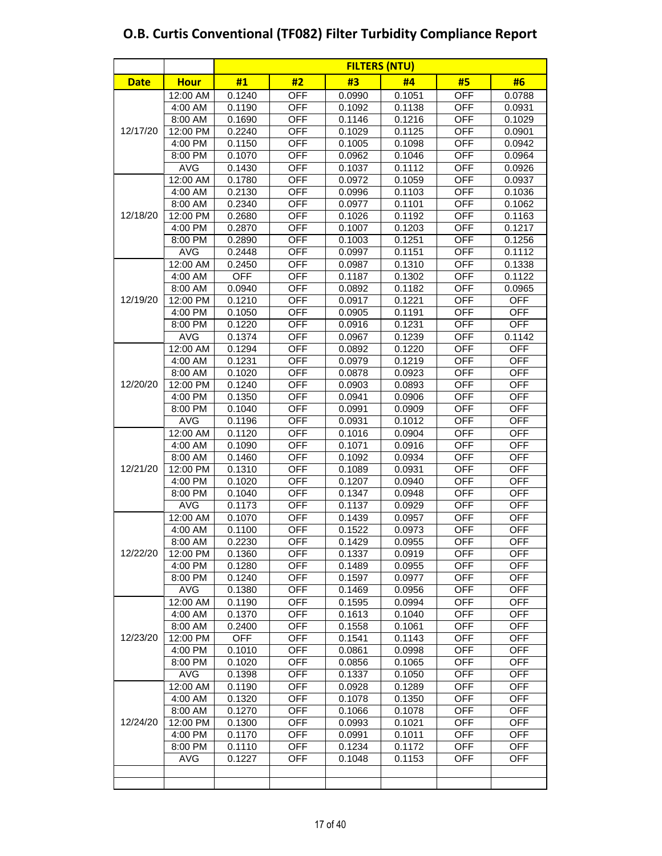|             |             | <b>FILTERS (NTU)</b> |            |        |        |            |            |  |  |  |  |
|-------------|-------------|----------------------|------------|--------|--------|------------|------------|--|--|--|--|
| <b>Date</b> | <b>Hour</b> | #1                   | #2         | #3     | #4     | #5         | #6         |  |  |  |  |
|             | 12:00 AM    | 0.1240               | <b>OFF</b> | 0.0990 | 0.1051 | <b>OFF</b> | 0.0788     |  |  |  |  |
|             | 4:00 AM     | 0.1190               | <b>OFF</b> | 0.1092 | 0.1138 | <b>OFF</b> | 0.0931     |  |  |  |  |
|             | 8:00 AM     | 0.1690               | <b>OFF</b> | 0.1146 | 0.1216 | <b>OFF</b> | 0.1029     |  |  |  |  |
| 12/17/20    | 12:00 PM    | 0.2240               | <b>OFF</b> | 0.1029 | 0.1125 | <b>OFF</b> | 0.0901     |  |  |  |  |
|             | 4:00 PM     | 0.1150               | <b>OFF</b> | 0.1005 | 0.1098 | <b>OFF</b> | 0.0942     |  |  |  |  |
|             | 8:00 PM     | 0.1070               | <b>OFF</b> | 0.0962 | 0.1046 | <b>OFF</b> | 0.0964     |  |  |  |  |
|             | <b>AVG</b>  | 0.1430               | <b>OFF</b> | 0.1037 | 0.1112 | <b>OFF</b> | 0.0926     |  |  |  |  |
|             | 12:00 AM    | 0.1780               | <b>OFF</b> | 0.0972 | 0.1059 | <b>OFF</b> | 0.0937     |  |  |  |  |
|             | 4:00 AM     | 0.2130               | <b>OFF</b> | 0.0996 | 0.1103 | <b>OFF</b> | 0.1036     |  |  |  |  |
|             | 8:00 AM     | 0.2340               | <b>OFF</b> | 0.0977 | 0.1101 | <b>OFF</b> | 0.1062     |  |  |  |  |
| 12/18/20    | 12:00 PM    | 0.2680               | <b>OFF</b> | 0.1026 | 0.1192 | <b>OFF</b> | 0.1163     |  |  |  |  |
|             | 4:00 PM     | 0.2870               | <b>OFF</b> | 0.1007 | 0.1203 | <b>OFF</b> | 0.1217     |  |  |  |  |
|             | 8:00 PM     | 0.2890               | <b>OFF</b> | 0.1003 | 0.1251 | <b>OFF</b> | 0.1256     |  |  |  |  |
|             | <b>AVG</b>  | 0.2448               | <b>OFF</b> | 0.0997 | 0.1151 | <b>OFF</b> | 0.1112     |  |  |  |  |
|             | 12:00 AM    | 0.2450               | <b>OFF</b> | 0.0987 | 0.1310 | <b>OFF</b> | 0.1338     |  |  |  |  |
|             | 4:00 AM     | <b>OFF</b>           | <b>OFF</b> | 0.1187 | 0.1302 | <b>OFF</b> | 0.1122     |  |  |  |  |
|             | 8:00 AM     | 0.0940               | <b>OFF</b> | 0.0892 | 0.1182 | <b>OFF</b> | 0.0965     |  |  |  |  |
| 12/19/20    | 12:00 PM    | 0.1210               | <b>OFF</b> | 0.0917 | 0.1221 | <b>OFF</b> | <b>OFF</b> |  |  |  |  |
|             | 4:00 PM     | 0.1050               | <b>OFF</b> | 0.0905 | 0.1191 | <b>OFF</b> | <b>OFF</b> |  |  |  |  |
|             | 8:00 PM     | 0.1220               | <b>OFF</b> | 0.0916 | 0.1231 | <b>OFF</b> | <b>OFF</b> |  |  |  |  |
|             | <b>AVG</b>  | 0.1374               | <b>OFF</b> | 0.0967 | 0.1239 | <b>OFF</b> | 0.1142     |  |  |  |  |
|             | 12:00 AM    | 0.1294               | <b>OFF</b> | 0.0892 | 0.1220 | <b>OFF</b> | <b>OFF</b> |  |  |  |  |
|             | 4:00 AM     | 0.1231               | <b>OFF</b> | 0.0979 | 0.1219 | <b>OFF</b> | <b>OFF</b> |  |  |  |  |
|             | 8:00 AM     | 0.1020               | <b>OFF</b> | 0.0878 | 0.0923 | <b>OFF</b> | <b>OFF</b> |  |  |  |  |
| 12/20/20    | 12:00 PM    | 0.1240               | <b>OFF</b> | 0.0903 | 0.0893 | <b>OFF</b> | <b>OFF</b> |  |  |  |  |
|             | 4:00 PM     | 0.1350               | <b>OFF</b> | 0.0941 | 0.0906 | <b>OFF</b> | <b>OFF</b> |  |  |  |  |
|             | 8:00 PM     | 0.1040               | <b>OFF</b> | 0.0991 | 0.0909 | <b>OFF</b> | <b>OFF</b> |  |  |  |  |
|             | <b>AVG</b>  | 0.1196               | <b>OFF</b> | 0.0931 | 0.1012 | <b>OFF</b> | <b>OFF</b> |  |  |  |  |
|             | 12:00 AM    | 0.1120               | <b>OFF</b> | 0.1016 | 0.0904 | <b>OFF</b> | <b>OFF</b> |  |  |  |  |
|             | 4:00 AM     | 0.1090               | <b>OFF</b> | 0.1071 | 0.0916 | <b>OFF</b> | <b>OFF</b> |  |  |  |  |
|             | 8:00 AM     | 0.1460               | <b>OFF</b> | 0.1092 | 0.0934 | <b>OFF</b> | <b>OFF</b> |  |  |  |  |
| 12/21/20    | 12:00 PM    | 0.1310               | <b>OFF</b> | 0.1089 | 0.0931 | <b>OFF</b> | <b>OFF</b> |  |  |  |  |
|             | 4:00 PM     | 0.1020               | <b>OFF</b> | 0.1207 | 0.0940 | <b>OFF</b> | <b>OFF</b> |  |  |  |  |
|             | 8:00 PM     | 0.1040               | <b>OFF</b> | 0.1347 | 0.0948 | <b>OFF</b> | <b>OFF</b> |  |  |  |  |
|             | <b>AVG</b>  | 0.1173               | <b>OFF</b> | 0.1137 | 0.0929 | <b>OFF</b> | <b>OFF</b> |  |  |  |  |
|             | 12:00 AM    | 0.1070               | <b>OFF</b> | 0.1439 | 0.0957 | <b>OFF</b> | <b>OFF</b> |  |  |  |  |
|             | 4:00 AM     | 0.1100               | <b>OFF</b> | 0.1522 | 0.0973 | <b>OFF</b> | <b>OFF</b> |  |  |  |  |
|             | 8:00 AM     | 0.2230               | <b>OFF</b> | 0.1429 | 0.0955 | <b>OFF</b> | <b>OFF</b> |  |  |  |  |
| 12/22/20    | 12:00 PM    | 0.1360               | <b>OFF</b> | 0.1337 | 0.0919 | <b>OFF</b> | <b>OFF</b> |  |  |  |  |
|             | 4:00 PM     | 0.1280               | <b>OFF</b> | 0.1489 | 0.0955 | <b>OFF</b> | <b>OFF</b> |  |  |  |  |
|             | 8:00 PM     | 0.1240               | <b>OFF</b> | 0.1597 | 0.0977 | <b>OFF</b> | <b>OFF</b> |  |  |  |  |
|             | <b>AVG</b>  | 0.1380               | OFF        | 0.1469 | 0.0956 | <b>OFF</b> | <b>OFF</b> |  |  |  |  |
|             | 12:00 AM    | 0.1190               | <b>OFF</b> | 0.1595 | 0.0994 | <b>OFF</b> | <b>OFF</b> |  |  |  |  |
|             | 4:00 AM     | 0.1370               | <b>OFF</b> | 0.1613 | 0.1040 | <b>OFF</b> | <b>OFF</b> |  |  |  |  |
|             | 8:00 AM     | 0.2400               | <b>OFF</b> | 0.1558 | 0.1061 | <b>OFF</b> | <b>OFF</b> |  |  |  |  |
| 12/23/20    | 12:00 PM    | <b>OFF</b>           | <b>OFF</b> | 0.1541 | 0.1143 | <b>OFF</b> | <b>OFF</b> |  |  |  |  |
|             | 4:00 PM     | 0.1010               | <b>OFF</b> | 0.0861 | 0.0998 | <b>OFF</b> | <b>OFF</b> |  |  |  |  |
|             | 8:00 PM     | 0.1020               | <b>OFF</b> | 0.0856 | 0.1065 | <b>OFF</b> | <b>OFF</b> |  |  |  |  |
|             | <b>AVG</b>  | 0.1398               | <b>OFF</b> | 0.1337 | 0.1050 | <b>OFF</b> | <b>OFF</b> |  |  |  |  |
|             | 12:00 AM    | 0.1190               | <b>OFF</b> | 0.0928 | 0.1289 | <b>OFF</b> | <b>OFF</b> |  |  |  |  |
|             | 4:00 AM     | 0.1320               | <b>OFF</b> | 0.1078 | 0.1350 | <b>OFF</b> | <b>OFF</b> |  |  |  |  |
|             | 8:00 AM     | 0.1270               | <b>OFF</b> | 0.1066 | 0.1078 | <b>OFF</b> | <b>OFF</b> |  |  |  |  |
| 12/24/20    | 12:00 PM    | 0.1300               | <b>OFF</b> | 0.0993 | 0.1021 | <b>OFF</b> | <b>OFF</b> |  |  |  |  |
|             | 4:00 PM     | 0.1170               | <b>OFF</b> | 0.0991 | 0.1011 | <b>OFF</b> | <b>OFF</b> |  |  |  |  |
|             | 8:00 PM     | 0.1110               | <b>OFF</b> | 0.1234 | 0.1172 | <b>OFF</b> | <b>OFF</b> |  |  |  |  |
|             | <b>AVG</b>  | 0.1227               | <b>OFF</b> | 0.1048 | 0.1153 | <b>OFF</b> | <b>OFF</b> |  |  |  |  |
|             |             |                      |            |        |        |            |            |  |  |  |  |
|             |             |                      |            |        |        |            |            |  |  |  |  |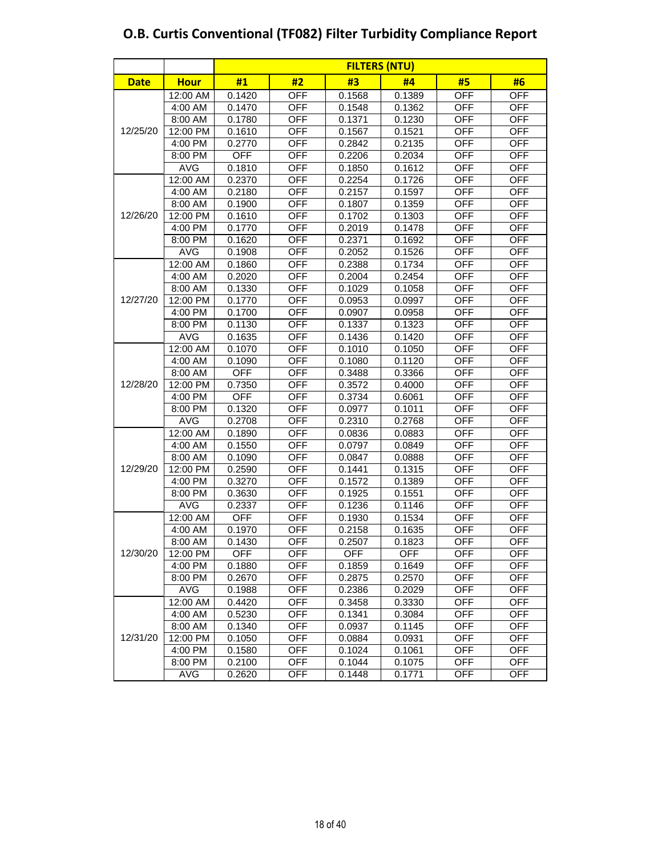|             |             |            | <b>FILTERS (NTU)</b> |            |            |            |            |  |  |  |  |
|-------------|-------------|------------|----------------------|------------|------------|------------|------------|--|--|--|--|
| <b>Date</b> | <b>Hour</b> | #1         | #2                   | #3         | #4         | #5         | #6         |  |  |  |  |
|             | 12:00 AM    | 0.1420     | <b>OFF</b>           | 0.1568     | 0.1389     | <b>OFF</b> | <b>OFF</b> |  |  |  |  |
|             | 4:00 AM     | 0.1470     | <b>OFF</b>           | 0.1548     | 0.1362     | <b>OFF</b> | <b>OFF</b> |  |  |  |  |
|             | 8:00 AM     | 0.1780     | <b>OFF</b>           | 0.1371     | 0.1230     | <b>OFF</b> | <b>OFF</b> |  |  |  |  |
| 12/25/20    | 12:00 PM    | 0.1610     | <b>OFF</b>           | 0.1567     | 0.1521     | <b>OFF</b> | <b>OFF</b> |  |  |  |  |
|             | 4:00 PM     | 0.2770     | <b>OFF</b>           | 0.2842     | 0.2135     | <b>OFF</b> | <b>OFF</b> |  |  |  |  |
|             | 8:00 PM     | <b>OFF</b> | <b>OFF</b>           | 0.2206     | 0.2034     | <b>OFF</b> | <b>OFF</b> |  |  |  |  |
|             | <b>AVG</b>  | 0.1810     | <b>OFF</b>           | 0.1850     | 0.1612     | <b>OFF</b> | <b>OFF</b> |  |  |  |  |
|             | 12:00 AM    | 0.2370     | <b>OFF</b>           | 0.2254     | 0.1726     | <b>OFF</b> | <b>OFF</b> |  |  |  |  |
|             | 4:00 AM     | 0.2180     | <b>OFF</b>           | 0.2157     | 0.1597     | <b>OFF</b> | <b>OFF</b> |  |  |  |  |
|             | 8:00 AM     | 0.1900     | <b>OFF</b>           | 0.1807     | 0.1359     | <b>OFF</b> | <b>OFF</b> |  |  |  |  |
| 12/26/20    | 12:00 PM    | 0.1610     | <b>OFF</b>           | 0.1702     | 0.1303     | <b>OFF</b> | <b>OFF</b> |  |  |  |  |
|             | 4:00 PM     | 0.1770     | <b>OFF</b>           | 0.2019     | 0.1478     | <b>OFF</b> | <b>OFF</b> |  |  |  |  |
|             | 8:00 PM     | 0.1620     | <b>OFF</b>           | 0.2371     | 0.1692     | <b>OFF</b> | <b>OFF</b> |  |  |  |  |
|             | <b>AVG</b>  | 0.1908     | <b>OFF</b>           | 0.2052     | 0.1526     | <b>OFF</b> | <b>OFF</b> |  |  |  |  |
|             | 12:00 AM    | 0.1860     | <b>OFF</b>           | 0.2388     | 0.1734     | <b>OFF</b> | <b>OFF</b> |  |  |  |  |
|             | 4:00 AM     | 0.2020     | <b>OFF</b>           | 0.2004     | 0.2454     | <b>OFF</b> | <b>OFF</b> |  |  |  |  |
|             | 8:00 AM     | 0.1330     | <b>OFF</b>           | 0.1029     | 0.1058     | <b>OFF</b> | <b>OFF</b> |  |  |  |  |
| 12/27/20    | 12:00 PM    | 0.1770     | <b>OFF</b>           | 0.0953     | 0.0997     | <b>OFF</b> | <b>OFF</b> |  |  |  |  |
|             | 4:00 PM     | 0.1700     | <b>OFF</b>           | 0.0907     | 0.0958     | <b>OFF</b> | <b>OFF</b> |  |  |  |  |
|             | 8:00 PM     | 0.1130     | <b>OFF</b>           | 0.1337     | 0.1323     | <b>OFF</b> | <b>OFF</b> |  |  |  |  |
|             | <b>AVG</b>  | 0.1635     | <b>OFF</b>           | 0.1436     | 0.1420     | <b>OFF</b> | <b>OFF</b> |  |  |  |  |
|             | 12:00 AM    | 0.1070     | <b>OFF</b>           | 0.1010     | 0.1050     | <b>OFF</b> | <b>OFF</b> |  |  |  |  |
|             | 4:00 AM     | 0.1090     | <b>OFF</b>           | 0.1080     | 0.1120     | <b>OFF</b> | <b>OFF</b> |  |  |  |  |
|             | 8:00 AM     | <b>OFF</b> | <b>OFF</b>           | 0.3488     | 0.3366     | <b>OFF</b> | <b>OFF</b> |  |  |  |  |
| 12/28/20    | 12:00 PM    | 0.7350     | <b>OFF</b>           | 0.3572     | 0.4000     | <b>OFF</b> | <b>OFF</b> |  |  |  |  |
|             | 4:00 PM     | <b>OFF</b> | <b>OFF</b>           | 0.3734     | 0.6061     | <b>OFF</b> | <b>OFF</b> |  |  |  |  |
|             | 8:00 PM     | 0.1320     | <b>OFF</b>           | 0.0977     | 0.1011     | <b>OFF</b> | <b>OFF</b> |  |  |  |  |
|             | <b>AVG</b>  | 0.2708     | <b>OFF</b>           | 0.2310     | 0.2768     | <b>OFF</b> | <b>OFF</b> |  |  |  |  |
|             | 12:00 AM    | 0.1890     | <b>OFF</b>           | 0.0836     | 0.0883     | <b>OFF</b> | <b>OFF</b> |  |  |  |  |
|             | 4:00 AM     | 0.1550     | <b>OFF</b>           | 0.0797     | 0.0849     | <b>OFF</b> | <b>OFF</b> |  |  |  |  |
|             | 8:00 AM     | 0.1090     | <b>OFF</b>           | 0.0847     | 0.0888     | <b>OFF</b> | <b>OFF</b> |  |  |  |  |
| 12/29/20    | 12:00 PM    | 0.2590     | <b>OFF</b>           | 0.1441     | 0.1315     | <b>OFF</b> | <b>OFF</b> |  |  |  |  |
|             | 4:00 PM     | 0.3270     | <b>OFF</b>           | 0.1572     | 0.1389     | <b>OFF</b> | <b>OFF</b> |  |  |  |  |
|             | 8:00 PM     | 0.3630     | <b>OFF</b>           | 0.1925     | 0.1551     | <b>OFF</b> | <b>OFF</b> |  |  |  |  |
|             | <b>AVG</b>  | 0.2337     | <b>OFF</b>           | 0.1236     | 0.1146     | <b>OFF</b> | <b>OFF</b> |  |  |  |  |
|             | 12:00 AM    | <b>OFF</b> | <b>OFF</b>           | 0.1930     | 0.1534     | <b>OFF</b> | <b>OFF</b> |  |  |  |  |
|             | 4:00 AM     | 0.1970     | <b>OFF</b>           | 0.2158     | 0.1635     | OFF        | OFF        |  |  |  |  |
|             | 8:00 AM     | 0.1430     | <b>OFF</b>           | 0.2507     | 0.1823     | OFF        | <b>OFF</b> |  |  |  |  |
| 12/30/20    | 12:00 PM    | OFF        | <b>OFF</b>           | <b>OFF</b> | <b>OFF</b> | <b>OFF</b> | <b>OFF</b> |  |  |  |  |
|             | 4:00 PM     | 0.1880     | <b>OFF</b>           | 0.1859     | 0.1649     | <b>OFF</b> | <b>OFF</b> |  |  |  |  |
|             | 8:00 PM     | 0.2670     | <b>OFF</b>           | 0.2875     | 0.2570     | <b>OFF</b> | <b>OFF</b> |  |  |  |  |
|             | <b>AVG</b>  | 0.1988     | <b>OFF</b>           | 0.2386     | 0.2029     | <b>OFF</b> | <b>OFF</b> |  |  |  |  |
|             | 12:00 AM    | 0.4420     | OFF                  | 0.3458     | 0.3330     | <b>OFF</b> | <b>OFF</b> |  |  |  |  |
|             | 4:00 AM     | 0.5230     | <b>OFF</b>           | 0.1341     | 0.3084     | <b>OFF</b> | <b>OFF</b> |  |  |  |  |
|             | 8:00 AM     | 0.1340     | <b>OFF</b>           | 0.0937     | 0.1145     | <b>OFF</b> | <b>OFF</b> |  |  |  |  |
| 12/31/20    | 12:00 PM    | 0.1050     | <b>OFF</b>           | 0.0884     | 0.0931     | <b>OFF</b> | <b>OFF</b> |  |  |  |  |
|             | 4:00 PM     | 0.1580     | <b>OFF</b>           | 0.1024     | 0.1061     | <b>OFF</b> | <b>OFF</b> |  |  |  |  |
|             | 8:00 PM     | 0.2100     | <b>OFF</b>           | 0.1044     | 0.1075     | <b>OFF</b> | <b>OFF</b> |  |  |  |  |
|             | AVG         | 0.2620     | <b>OFF</b>           | 0.1448     | 0.1771     | OFF        | <b>OFF</b> |  |  |  |  |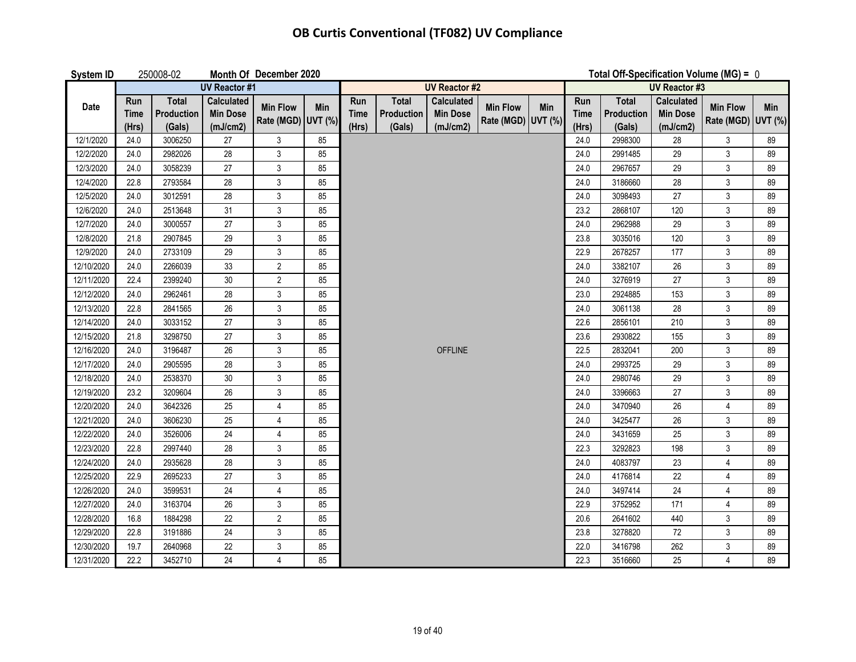| <b>System ID</b> |                             | 250008-02                            |                                                  | Month Of December 2020                |     |                             |                                      |                                                  |                                       |     | Total Off-Specification Volume (MG) = $0$ |                                             |                                                  |                                       |     |
|------------------|-----------------------------|--------------------------------------|--------------------------------------------------|---------------------------------------|-----|-----------------------------|--------------------------------------|--------------------------------------------------|---------------------------------------|-----|-------------------------------------------|---------------------------------------------|--------------------------------------------------|---------------------------------------|-----|
|                  |                             |                                      | <b>UV Reactor #1</b>                             |                                       |     |                             |                                      | <b>UV Reactor #2</b>                             |                                       |     |                                           |                                             | <b>UV Reactor #3</b>                             |                                       |     |
| <b>Date</b>      | Run<br><b>Time</b><br>(Hrs) | <b>Total</b><br>Production<br>(Gals) | <b>Calculated</b><br><b>Min Dose</b><br>(mJ/cm2) | <b>Min Flow</b><br>Rate (MGD) UVT (%) | Min | Run<br><b>Time</b><br>(Hrs) | <b>Total</b><br>Production<br>(Gals) | <b>Calculated</b><br><b>Min Dose</b><br>(mJ/cm2) | <b>Min Flow</b><br>Rate (MGD) UVT (%) | Min | Run<br><b>Time</b><br>(Hrs)               | <b>Total</b><br><b>Production</b><br>(Gals) | <b>Calculated</b><br><b>Min Dose</b><br>(mJ/cm2) | <b>Min Flow</b><br>Rate (MGD) UVT (%) | Min |
| 12/1/2020        | 24.0                        | 3006250                              | 27                                               | $\mathsf 3$                           | 85  |                             |                                      |                                                  |                                       |     | 24.0                                      | 2998300                                     | 28                                               | 3                                     | 89  |
| 12/2/2020        | 24.0                        | 2982026                              | 28                                               | $\mathfrak{Z}$                        | 85  |                             |                                      |                                                  |                                       |     | 24.0                                      | 2991485                                     | 29                                               | 3                                     | 89  |
| 12/3/2020        | 24.0                        | 3058239                              | 27                                               | $\mathfrak{Z}$                        | 85  |                             |                                      |                                                  |                                       |     | 24.0                                      | 2967657                                     | 29                                               | 3                                     | 89  |
| 12/4/2020        | 22.8                        | 2793584                              | 28                                               | $\mathfrak{Z}$                        | 85  |                             |                                      |                                                  |                                       |     | 24.0                                      | 3186660                                     | 28                                               | $\mathfrak{Z}$                        | 89  |
| 12/5/2020        | 24.0                        | 3012591                              | 28                                               | $\mathbf{3}$                          | 85  |                             |                                      |                                                  |                                       |     | 24.0                                      | 3098493                                     | 27                                               | $\mathfrak{Z}$                        | 89  |
| 12/6/2020        | 24.0                        | 2513648                              | 31                                               | $\mathfrak{Z}$                        | 85  |                             |                                      |                                                  |                                       |     | 23.2                                      | 2868107                                     | 120                                              | $\mathfrak{S}$                        | 89  |
| 12/7/2020        | 24.0                        | 3000557                              | 27                                               | $\mathfrak{Z}$                        | 85  |                             |                                      |                                                  |                                       |     | 24.0                                      | 2962988                                     | 29                                               | 3                                     | 89  |
| 12/8/2020        | 21.8                        | 2907845                              | 29                                               | $\mathfrak{Z}$                        | 85  |                             |                                      |                                                  |                                       |     | 23.8                                      | 3035016                                     | 120                                              | $\mathsf 3$                           | 89  |
| 12/9/2020        | 24.0                        | 2733109                              | 29                                               | $\mathfrak{Z}$                        | 85  |                             |                                      |                                                  |                                       |     | 22.9                                      | 2678257                                     | 177                                              | $\mathsf 3$                           | 89  |
| 12/10/2020       | 24.0                        | 2266039                              | 33                                               | $\overline{2}$                        | 85  |                             |                                      |                                                  |                                       |     | 24.0                                      | 3382107                                     | 26                                               | 3                                     | 89  |
| 12/11/2020       | 22.4                        | 2399240                              | 30                                               | $\overline{2}$                        | 85  |                             |                                      |                                                  |                                       |     | 24.0                                      | 3276919                                     | 27                                               | 3                                     | 89  |
| 12/12/2020       | 24.0                        | 2962461                              | 28                                               | $\mathfrak{Z}$                        | 85  |                             |                                      |                                                  |                                       |     | 23.0                                      | 2924885                                     | 153                                              | 3                                     | 89  |
| 12/13/2020       | 22.8                        | 2841565                              | 26                                               | $\mathfrak{Z}$                        | 85  |                             |                                      |                                                  |                                       |     | 24.0                                      | 3061138                                     | 28                                               | $\mathfrak{S}$                        | 89  |
| 12/14/2020       | 24.0                        | 3033152                              | 27                                               | $\mathfrak{Z}$                        | 85  |                             |                                      |                                                  |                                       |     | 22.6                                      | 2856101                                     | 210                                              | 3                                     | 89  |
| 12/15/2020       | 21.8                        | 3298750                              | 27                                               | 3                                     | 85  |                             |                                      |                                                  |                                       |     | 23.6                                      | 2930822                                     | 155                                              | 3                                     | 89  |
| 12/16/2020       | 24.0                        | 3196487                              | 26                                               | $\mathfrak{Z}$                        | 85  |                             |                                      | <b>OFFLINE</b>                                   |                                       |     | 22.5                                      | 2832041                                     | 200                                              | $\mathfrak{S}$                        | 89  |
| 12/17/2020       | 24.0                        | 2905595                              | 28                                               | $\mathfrak{Z}$                        | 85  |                             |                                      |                                                  |                                       |     | 24.0                                      | 2993725                                     | 29                                               | 3                                     | 89  |
| 12/18/2020       | 24.0                        | 2538370                              | 30                                               | $\sqrt{3}$                            | 85  |                             |                                      |                                                  |                                       |     | 24.0                                      | 2980746                                     | 29                                               | $\mathsf 3$                           | 89  |
| 12/19/2020       | 23.2                        | 3209604                              | 26                                               | $\mathfrak{Z}$                        | 85  |                             |                                      |                                                  |                                       |     | 24.0                                      | 3396663                                     | 27                                               | $\mathsf 3$                           | 89  |
| 12/20/2020       | 24.0                        | 3642326                              | 25                                               | 4                                     | 85  |                             |                                      |                                                  |                                       |     | 24.0                                      | 3470940                                     | 26                                               | 4                                     | 89  |
| 12/21/2020       | 24.0                        | 3606230                              | 25                                               | $\overline{4}$                        | 85  |                             |                                      |                                                  |                                       |     | 24.0                                      | 3425477                                     | 26                                               | 3                                     | 89  |
| 12/22/2020       | 24.0                        | 3526006                              | 24                                               | 4                                     | 85  |                             |                                      |                                                  |                                       |     | 24.0                                      | 3431659                                     | 25                                               | $\mathfrak{Z}$                        | 89  |
| 12/23/2020       | 22.8                        | 2997440                              | 28                                               | $\mathfrak{Z}$                        | 85  |                             |                                      |                                                  |                                       |     | 22.3                                      | 3292823                                     | 198                                              | $\mathfrak{Z}$                        | 89  |
| 12/24/2020       | 24.0                        | 2935628                              | 28                                               | $\mathfrak{Z}$                        | 85  |                             |                                      |                                                  |                                       |     | 24.0                                      | 4083797                                     | 23                                               | 4                                     | 89  |
| 12/25/2020       | 22.9                        | 2695233                              | 27                                               | $\mathfrak{Z}$                        | 85  |                             |                                      |                                                  |                                       |     | 24.0                                      | 4176814                                     | 22                                               | $\overline{4}$                        | 89  |
| 12/26/2020       | 24.0                        | 3599531                              | 24                                               | $\overline{4}$                        | 85  |                             |                                      |                                                  |                                       |     | 24.0                                      | 3497414                                     | 24                                               | $\overline{4}$                        | 89  |
| 12/27/2020       | 24.0                        | 3163704                              | 26                                               | $\mathfrak{Z}$                        | 85  |                             |                                      |                                                  |                                       |     | 22.9                                      | 3752952                                     | 171                                              | 4                                     | 89  |
| 12/28/2020       | 16.8                        | 1884298                              | 22                                               | $\overline{2}$                        | 85  |                             |                                      |                                                  |                                       |     | 20.6                                      | 2641602                                     | 440                                              | $\mathfrak{Z}$                        | 89  |
| 12/29/2020       | 22.8                        | 3191886                              | 24                                               | $\mathfrak{Z}$                        | 85  |                             |                                      |                                                  |                                       |     | 23.8                                      | 3278820                                     | 72                                               | 3                                     | 89  |
| 12/30/2020       | 19.7                        | 2640968                              | 22                                               | $\mathsf 3$                           | 85  |                             |                                      |                                                  |                                       |     | 22.0                                      | 3416798                                     | 262                                              | 3                                     | 89  |
| 12/31/2020       | 22.2                        | 3452710                              | 24                                               | $\overline{4}$                        | 85  |                             |                                      |                                                  |                                       |     | 22.3                                      | 3516660                                     | 25                                               | 4                                     | 89  |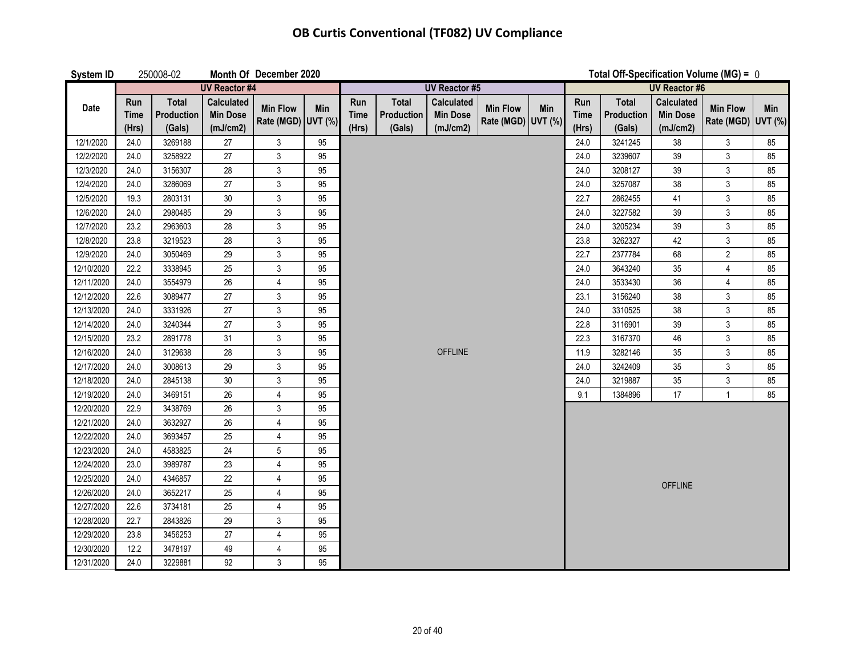| <b>System ID</b> |                             | 250008-02                            |                                                  | Month Of December 2020                | Total Off-Specification Volume (MG) = $0$ |                             |                                      |                                                  |                                       |     |                             |                                             |                                                  |                                       |     |
|------------------|-----------------------------|--------------------------------------|--------------------------------------------------|---------------------------------------|-------------------------------------------|-----------------------------|--------------------------------------|--------------------------------------------------|---------------------------------------|-----|-----------------------------|---------------------------------------------|--------------------------------------------------|---------------------------------------|-----|
|                  |                             |                                      | <b>UV Reactor #4</b>                             |                                       |                                           |                             |                                      | <b>UV Reactor #5</b>                             |                                       |     |                             |                                             | <b>UV Reactor #6</b>                             |                                       |     |
| Date             | Run<br><b>Time</b><br>(Hrs) | <b>Total</b><br>Production<br>(Gals) | <b>Calculated</b><br><b>Min Dose</b><br>(mJ/cm2) | <b>Min Flow</b><br>Rate (MGD) UVT (%) | Min                                       | Run<br><b>Time</b><br>(Hrs) | <b>Total</b><br>Production<br>(Gals) | <b>Calculated</b><br><b>Min Dose</b><br>(mJ/cm2) | <b>Min Flow</b><br>Rate (MGD) UVT (%) | Min | Run<br><b>Time</b><br>(Hrs) | <b>Total</b><br><b>Production</b><br>(Gals) | <b>Calculated</b><br><b>Min Dose</b><br>(mJ/cm2) | <b>Min Flow</b><br>Rate (MGD) UVT (%) | Min |
| 12/1/2020        | 24.0                        | 3269188                              | 27                                               | $\mathfrak{Z}$                        | 95                                        |                             |                                      |                                                  |                                       |     | 24.0                        | 3241245                                     | 38                                               | $\mathfrak{Z}$                        | 85  |
| 12/2/2020        | 24.0                        | 3258922                              | 27                                               | $\mathfrak{Z}$                        | 95                                        |                             |                                      |                                                  |                                       |     | 24.0                        | 3239607                                     | 39                                               | $\mathfrak{Z}$                        | 85  |
| 12/3/2020        | 24.0                        | 3156307                              | 28                                               | $\mathbf{3}$                          | 95                                        |                             |                                      |                                                  |                                       |     | 24.0                        | 3208127                                     | 39                                               | $\mathfrak{Z}$                        | 85  |
| 12/4/2020        | 24.0                        | 3286069                              | $\overline{27}$                                  | $\mathfrak{Z}$                        | 95                                        |                             |                                      |                                                  |                                       |     | 24.0                        | 3257087                                     | 38                                               | $\mathfrak{Z}$                        | 85  |
| 12/5/2020        | 19.3                        | 2803131                              | 30                                               | $\mathfrak{Z}$                        | 95                                        |                             |                                      |                                                  |                                       |     | 22.7                        | 2862455                                     | 41                                               | $\mathfrak{Z}$                        | 85  |
| 12/6/2020        | 24.0                        | 2980485                              | 29                                               | $\mathfrak{Z}$                        | 95                                        |                             |                                      |                                                  |                                       |     | 24.0                        | 3227582                                     | 39                                               | $\mathfrak{Z}$                        | 85  |
| 12/7/2020        | 23.2                        | 2963603                              | 28                                               | $\mathbf{3}$                          | 95                                        |                             |                                      |                                                  |                                       |     | 24.0                        | 3205234                                     | 39                                               | $\mathfrak{Z}$                        | 85  |
| 12/8/2020        | 23.8                        | 3219523                              | 28                                               | $\mathfrak{Z}$                        | 95                                        |                             |                                      |                                                  |                                       |     | 23.8                        | 3262327                                     | 42                                               | $\mathfrak{Z}$                        | 85  |
| 12/9/2020        | 24.0                        | 3050469                              | 29                                               | $\mathbf{3}$                          | 95                                        |                             |                                      |                                                  |                                       |     | 22.7                        | 2377784                                     | 68                                               | $\overline{2}$                        | 85  |
| 12/10/2020       | 22.2                        | 3338945                              | 25                                               | $\mathfrak{S}$                        | 95                                        |                             |                                      |                                                  |                                       |     | 24.0                        | 3643240                                     | 35                                               | $\overline{4}$                        | 85  |
| 12/11/2020       | 24.0                        | 3554979                              | 26                                               | $\pmb{4}$                             | 95                                        |                             |                                      |                                                  |                                       |     | 24.0                        | 3533430                                     | 36                                               | $\overline{4}$                        | 85  |
| 12/12/2020       | 22.6                        | 3089477                              | 27                                               | $\mathfrak{Z}$                        | 95                                        |                             |                                      |                                                  |                                       |     | 23.1                        | 3156240                                     | 38                                               | 3                                     | 85  |
| 12/13/2020       | 24.0                        | 3331926                              | 27                                               | $\mathsf 3$                           | 95                                        |                             |                                      |                                                  |                                       |     | 24.0                        | 3310525                                     | 38                                               | $\mathfrak{Z}$                        | 85  |
| 12/14/2020       | 24.0                        | 3240344                              | 27                                               | $\mathsf 3$                           | 95                                        |                             |                                      |                                                  |                                       |     | 22.8                        | 3116901                                     | 39                                               | $\mathfrak{Z}$                        | 85  |
| 12/15/2020       | 23.2                        | 2891778                              | 31                                               | $\mathfrak{Z}$                        | 95                                        |                             |                                      |                                                  |                                       |     | 22.3                        | 3167370                                     | 46                                               | $\mathfrak{Z}$                        | 85  |
| 12/16/2020       | 24.0                        | 3129638                              | 28                                               | $\mathfrak{S}$                        | 95                                        |                             |                                      | <b>OFFLINE</b>                                   |                                       |     | 11.9                        | 3282146                                     | 35                                               | $\mathfrak{Z}$                        | 85  |
| 12/17/2020       | 24.0                        | 3008613                              | 29                                               | $\mathfrak{Z}$                        | 95                                        |                             |                                      |                                                  |                                       |     | 24.0                        | 3242409                                     | 35                                               | $\mathfrak{Z}$                        | 85  |
| 12/18/2020       | 24.0                        | 2845138                              | 30                                               | $\mathfrak{Z}$                        | 95                                        |                             |                                      |                                                  |                                       |     | 24.0                        | 3219887                                     | $35\,$                                           | $\mathfrak{Z}$                        | 85  |
| 12/19/2020       | 24.0                        | 3469151                              | 26                                               | $\overline{4}$                        | 95                                        |                             |                                      |                                                  |                                       |     | 9.1                         | 1384896                                     | 17                                               | $\mathbf{1}$                          | 85  |
| 12/20/2020       | 22.9                        | 3438769                              | 26                                               | $\mathfrak{Z}$                        | 95                                        |                             |                                      |                                                  |                                       |     |                             |                                             |                                                  |                                       |     |
| 12/21/2020       | 24.0                        | 3632927                              | 26                                               | $\pmb{4}$                             | 95                                        |                             |                                      |                                                  |                                       |     |                             |                                             |                                                  |                                       |     |
| 12/22/2020       | 24.0                        | 3693457                              | 25                                               | $\overline{4}$                        | 95                                        |                             |                                      |                                                  |                                       |     |                             |                                             |                                                  |                                       |     |
| 12/23/2020       | 24.0                        | 4583825                              | 24                                               | $5\phantom{.0}$                       | 95                                        |                             |                                      |                                                  |                                       |     |                             |                                             |                                                  |                                       |     |
| 12/24/2020       | 23.0                        | 3989787                              | 23                                               | $\overline{4}$                        | 95                                        |                             |                                      |                                                  |                                       |     |                             |                                             |                                                  |                                       |     |
| 12/25/2020       | 24.0                        | 4346857                              | 22                                               | $\overline{4}$                        | 95                                        |                             |                                      |                                                  |                                       |     |                             |                                             | <b>OFFLINE</b>                                   |                                       |     |
| 12/26/2020       | 24.0                        | 3652217                              | 25                                               | $\overline{4}$                        | 95                                        |                             |                                      |                                                  |                                       |     |                             |                                             |                                                  |                                       |     |
| 12/27/2020       | 22.6                        | 3734181                              | 25                                               | $\overline{4}$                        | 95                                        |                             |                                      |                                                  |                                       |     |                             |                                             |                                                  |                                       |     |
| 12/28/2020       | 22.7                        | 2843826                              | 29                                               | $\mathsf 3$                           | 95                                        |                             |                                      |                                                  |                                       |     |                             |                                             |                                                  |                                       |     |
| 12/29/2020       | 23.8                        | 3456253                              | 27                                               | 4                                     | 95                                        |                             |                                      |                                                  |                                       |     |                             |                                             |                                                  |                                       |     |
| 12/30/2020       | 12.2                        | 3478197                              | 49                                               | $\overline{4}$                        | 95                                        |                             |                                      |                                                  |                                       |     |                             |                                             |                                                  |                                       |     |
| 12/31/2020       | 24.0                        | 3229881                              | 92                                               | $\mathfrak{Z}$                        | 95                                        |                             |                                      |                                                  |                                       |     |                             |                                             |                                                  |                                       |     |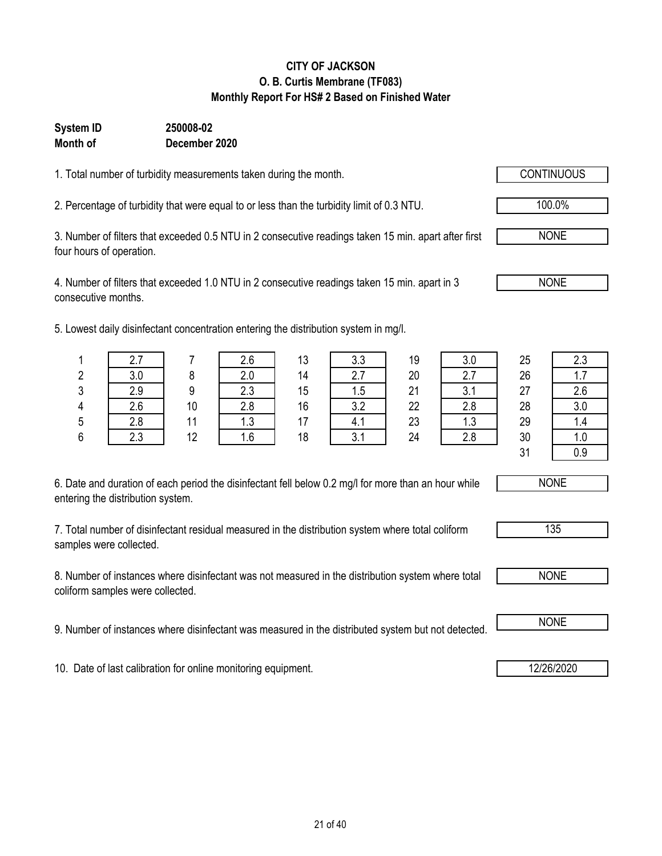### **CITY OF JACKSON O. B. Curtis Membrane (TF083) Monthly Report For HS# 2 Based on Finished Water**

#### **Month of System ID 250008-02 December 2020**

1. Total number of turbidity measurements taken during the month.

2. Percentage of turbidity that were equal to or less than the turbidity limit of 0.3 NTU. 100.0%

3. Number of filters that exceeded 0.5 NTU in 2 consecutive readings taken 15 min. apart after first four hours of operation.

4. Number of filters that exceeded 1.0 NTU in 2 consecutive readings taken 15 min. apart in 3 consecutive months.

5. Lowest daily disinfectant concentration entering the distribution system in mg/l.

| 6. Date and duration of each period the disinfectant fell below 0.2 mg/l for more than an hour while |  |
|------------------------------------------------------------------------------------------------------|--|
| entering the distribution system.                                                                    |  |

7. Total number of disinfectant residual measured in the distribution system where total coliform samples were collected.

8. Number of instances where disinfectant was not measured in the distribution system where total coliform samples were collected.

9. Number of instances where disinfectant was measured in the distributed system but not detected. **I** NONE

10. Date of last calibration for online monitoring equipment. 12/26/2020

|               | ٠٠  |    | 2.6 | 13 | 3.3 | 19 | 3.0        | 25 | 2.3 |
|---------------|-----|----|-----|----|-----|----|------------|----|-----|
| n<br><u>L</u> | 3.0 |    | 2.0 | 14 | 2.7 | 20 | 2.7        | 26 | .   |
| C<br>J        | 2.9 | a  | 2.3 | 15 | 1.5 | 21 | 21<br>v. I | 27 | 2.6 |
| 4             | 2.6 | 10 | 2.8 | 16 | 3.2 | 22 | 2.8        | 28 | 3.0 |
| 5             | 2.8 | 11 | 1.3 | 17 | 4.1 | 23 | 1.3        | 29 | l.4 |
| 6             | 2.3 | 12 | 1.6 | 18 | 3.1 | 24 | 2.8        | 30 | ı.u |
|               |     |    |     |    |     |    |            | 21 | 0.9 |



| н<br>-<br>ပပ |  |
|--------------|--|
|              |  |



NONE

NONE

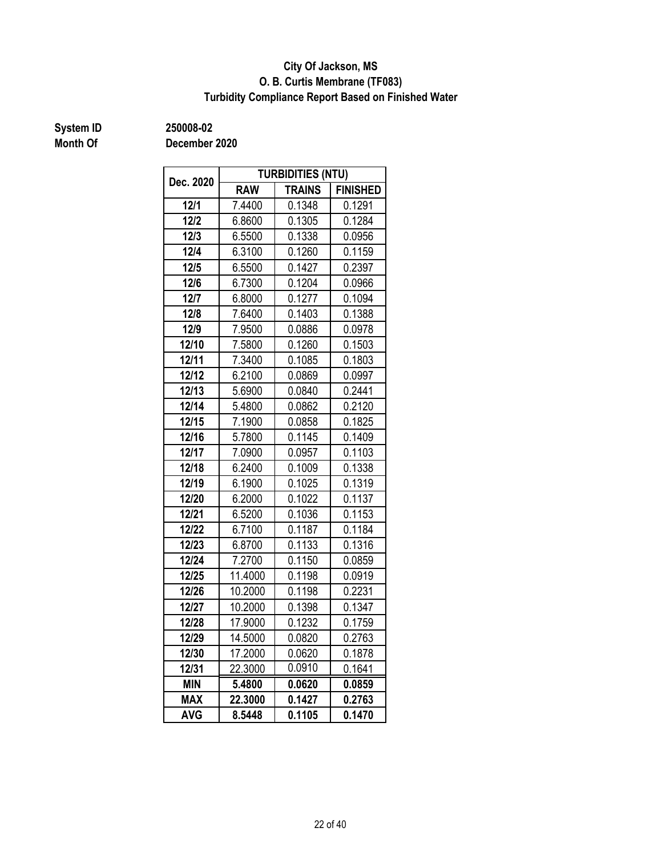### **O. B. Curtis Membrane (TF083) City Of Jackson, MS Turbidity Compliance Report Based on Finished Water**

**Month Of**

**System ID 250008-02**

| Dec. 2020  |            | <b>TURBIDITIES (NTU)</b> |                 |
|------------|------------|--------------------------|-----------------|
|            | <b>RAW</b> | <b>TRAINS</b>            | <b>FINISHED</b> |
| 12/1       | 7.4400     | 0.1348                   | 0.1291          |
| $12/2$     | 6.8600     | 0.1305                   | 0.1284          |
| $12/3$     | 6.5500     | 0.1338                   | 0.0956          |
| $12/4$     | 6.3100     | 0.1260                   | 0.1159          |
| 12/5       | 6.5500     | 0.1427                   | 0.2397          |
| 12/6       | 6.7300     | 0.1204                   | 0.0966          |
| 12/7       | 6.8000     | 0.1277                   | 0.1094          |
| 12/8       | 7.6400     | 0.1403                   | 0.1388          |
| 12/9       | 7.9500     | 0.0886                   | 0.0978          |
| 12/10      | 7.5800     | 0.1260                   | 0.1503          |
| 12/11      | 7.3400     | 0.1085                   | 0.1803          |
| 12/12      | 6.2100     | 0.0869                   | 0.0997          |
| 12/13      | 5.6900     | 0.0840                   | 0.2441          |
| 12/14      | 5.4800     | 0.0862                   | 0.2120          |
| 12/15      | 7.1900     | 0.0858                   | 0.1825          |
| 12/16      | 5.7800     | 0.1145                   | 0.1409          |
| 12/17      | 7.0900     | 0.0957                   | 0.1103          |
| 12/18      | 6.2400     | 0.1009                   | 0.1338          |
| 12/19      | 6.1900     | 0.1025                   | 0.1319          |
| 12/20      | 6.2000     | 0.1022                   | 0.1137          |
| 12/21      | 6.5200     | 0.1036                   | 0.1153          |
| 12/22      | 6.7100     | 0.1187                   | 0.1184          |
| 12/23      | 6.8700     | 0.1133                   | 0.1316          |
| 12/24      | 7.2700     | 0.1150                   | 0.0859          |
| 12/25      | 11.4000    | 0.1198                   | 0.0919          |
| 12/26      | 10.2000    | 0.1198                   | 0.2231          |
| 12/27      | 10.2000    | 0.1398                   | 0.1347          |
| 12/28      | 17.9000    | 0.1232                   | 0.1759          |
| 12/29      | 14.5000    | 0.0820                   | 0.2763          |
| 12/30      | 17.2000    | 0.0620                   | 0.1878          |
| 12/31      | 22.3000    | 0.0910                   | 0.1641          |
| <b>MIN</b> | 5.4800     | 0.0620                   | 0.0859          |
| <b>MAX</b> | 22.3000    | 0.1427                   | 0.2763          |
| <b>AVG</b> | 8.5448     | 0.1105                   | 0.1470          |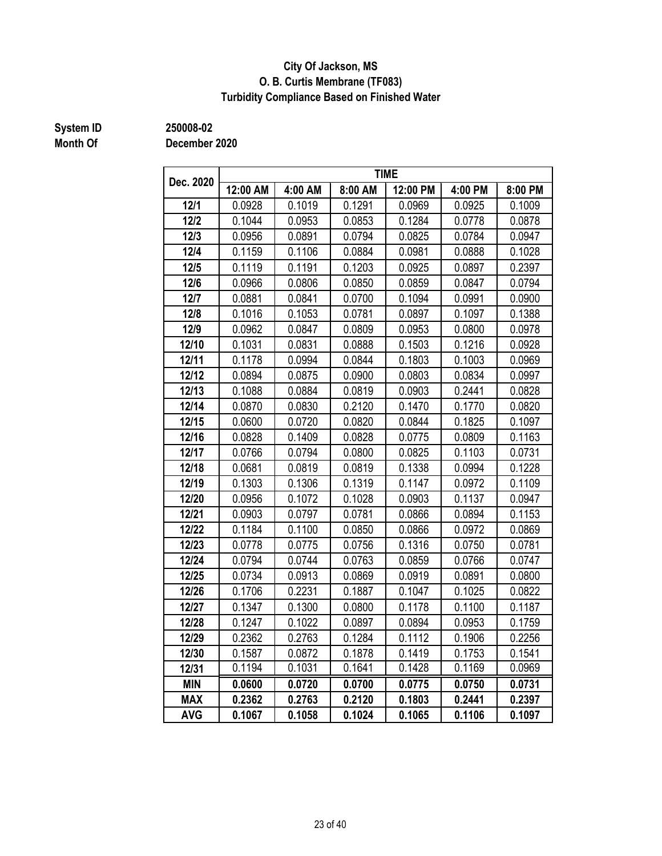### **City Of Jackson, MS O. B. Curtis Membrane (TF083) Turbidity Compliance Based on Finished Water**

## **Month Of**

**System ID 250008-02**

| Dec. 2020  |          |         |         | <b>TIME</b> |         |         |
|------------|----------|---------|---------|-------------|---------|---------|
|            | 12:00 AM | 4:00 AM | 8:00 AM | 12:00 PM    | 4:00 PM | 8:00 PM |
| 12/1       | 0.0928   | 0.1019  | 0.1291  | 0.0969      | 0.0925  | 0.1009  |
| $12/2$     | 0.1044   | 0.0953  | 0.0853  | 0.1284      | 0.0778  | 0.0878  |
| 12/3       | 0.0956   | 0.0891  | 0.0794  | 0.0825      | 0.0784  | 0.0947  |
| $12/4$     | 0.1159   | 0.1106  | 0.0884  | 0.0981      | 0.0888  | 0.1028  |
| 12/5       | 0.1119   | 0.1191  | 0.1203  | 0.0925      | 0.0897  | 0.2397  |
| 12/6       | 0.0966   | 0.0806  | 0.0850  | 0.0859      | 0.0847  | 0.0794  |
| 12/7       | 0.0881   | 0.0841  | 0.0700  | 0.1094      | 0.0991  | 0.0900  |
| 12/8       | 0.1016   | 0.1053  | 0.0781  | 0.0897      | 0.1097  | 0.1388  |
| 12/9       | 0.0962   | 0.0847  | 0.0809  | 0.0953      | 0.0800  | 0.0978  |
| 12/10      | 0.1031   | 0.0831  | 0.0888  | 0.1503      | 0.1216  | 0.0928  |
| 12/11      | 0.1178   | 0.0994  | 0.0844  | 0.1803      | 0.1003  | 0.0969  |
| 12/12      | 0.0894   | 0.0875  | 0.0900  | 0.0803      | 0.0834  | 0.0997  |
| 12/13      | 0.1088   | 0.0884  | 0.0819  | 0.0903      | 0.2441  | 0.0828  |
| 12/14      | 0.0870   | 0.0830  | 0.2120  | 0.1470      | 0.1770  | 0.0820  |
| 12/15      | 0.0600   | 0.0720  | 0.0820  | 0.0844      | 0.1825  | 0.1097  |
| 12/16      | 0.0828   | 0.1409  | 0.0828  | 0.0775      | 0.0809  | 0.1163  |
| 12/17      | 0.0766   | 0.0794  | 0.0800  | 0.0825      | 0.1103  | 0.0731  |
| 12/18      | 0.0681   | 0.0819  | 0.0819  | 0.1338      | 0.0994  | 0.1228  |
| 12/19      | 0.1303   | 0.1306  | 0.1319  | 0.1147      | 0.0972  | 0.1109  |
| 12/20      | 0.0956   | 0.1072  | 0.1028  | 0.0903      | 0.1137  | 0.0947  |
| 12/21      | 0.0903   | 0.0797  | 0.0781  | 0.0866      | 0.0894  | 0.1153  |
| 12/22      | 0.1184   | 0.1100  | 0.0850  | 0.0866      | 0.0972  | 0.0869  |
| 12/23      | 0.0778   | 0.0775  | 0.0756  | 0.1316      | 0.0750  | 0.0781  |
| 12/24      | 0.0794   | 0.0744  | 0.0763  | 0.0859      | 0.0766  | 0.0747  |
| 12/25      | 0.0734   | 0.0913  | 0.0869  | 0.0919      | 0.0891  | 0.0800  |
| 12/26      | 0.1706   | 0.2231  | 0.1887  | 0.1047      | 0.1025  | 0.0822  |
| 12/27      | 0.1347   | 0.1300  | 0.0800  | 0.1178      | 0.1100  | 0.1187  |
| 12/28      | 0.1247   | 0.1022  | 0.0897  | 0.0894      | 0.0953  | 0.1759  |
| 12/29      | 0.2362   | 0.2763  | 0.1284  | 0.1112      | 0.1906  | 0.2256  |
| 12/30      | 0.1587   | 0.0872  | 0.1878  | 0.1419      | 0.1753  | 0.1541  |
| 12/31      | 0.1194   | 0.1031  | 0.1641  | 0.1428      | 0.1169  | 0.0969  |
| <b>MIN</b> | 0.0600   | 0.0720  | 0.0700  | 0.0775      | 0.0750  | 0.0731  |
| <b>MAX</b> | 0.2362   | 0.2763  | 0.2120  | 0.1803      | 0.2441  | 0.2397  |
| <b>AVG</b> | 0.1067   | 0.1058  | 0.1024  | 0.1065      | 0.1106  | 0.1097  |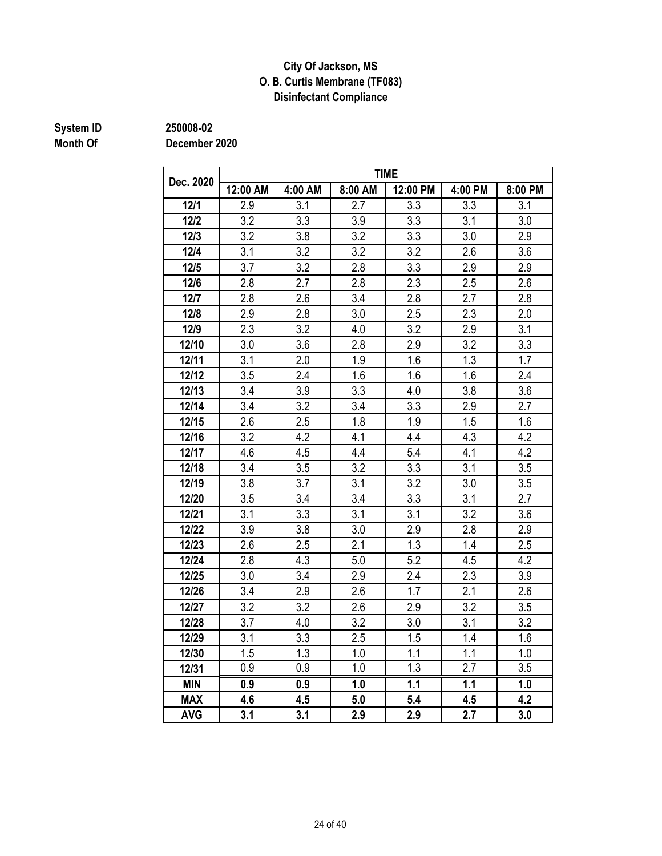### **City Of Jackson, MS O. B. Curtis Membrane (TF083) Disinfectant Compliance**

## **Month Of**

**System ID 250008-02**

|            |          |         |         | <b>TIME</b> |         |         |
|------------|----------|---------|---------|-------------|---------|---------|
| Dec. 2020  | 12:00 AM | 4:00 AM | 8:00 AM | 12:00 PM    | 4:00 PM | 8:00 PM |
| 12/1       | 2.9      | 3.1     | 2.7     | 3.3         | 3.3     | 3.1     |
| $12/2$     | 3.2      | 3.3     | 3.9     | 3.3         | 3.1     | 3.0     |
| $12/3$     | 3.2      | 3.8     | 3.2     | 3.3         | 3.0     | 2.9     |
| $12/4$     | 3.1      | 3.2     | 3.2     | 3.2         | 2.6     | 3.6     |
| 12/5       | 3.7      | 3.2     | 2.8     | 3.3         | 2.9     | 2.9     |
| 12/6       | 2.8      | 2.7     | 2.8     | 2.3         | 2.5     | 2.6     |
| 12/7       | 2.8      | 2.6     | 3.4     | 2.8         | 2.7     | 2.8     |
| 12/8       | 2.9      | 2.8     | 3.0     | 2.5         | 2.3     | 2.0     |
| 12/9       | 2.3      | 3.2     | 4.0     | 3.2         | 2.9     | 3.1     |
| 12/10      | 3.0      | 3.6     | 2.8     | 2.9         | 3.2     | 3.3     |
| 12/11      | 3.1      | 2.0     | 1.9     | 1.6         | 1.3     | 1.7     |
| 12/12      | 3.5      | 2.4     | 1.6     | 1.6         | 1.6     | 2.4     |
| 12/13      | 3.4      | 3.9     | 3.3     | 4.0         | 3.8     | 3.6     |
| 12/14      | 3.4      | 3.2     | 3.4     | 3.3         | 2.9     | 2.7     |
| 12/15      | 2.6      | 2.5     | 1.8     | 1.9         | 1.5     | 1.6     |
| 12/16      | 3.2      | 4.2     | 4.1     | 4.4         | 4.3     | 4.2     |
| 12/17      | 4.6      | 4.5     | 4.4     | 5.4         | 4.1     | 4.2     |
| 12/18      | 3.4      | 3.5     | 3.2     | 3.3         | 3.1     | 3.5     |
| 12/19      | 3.8      | 3.7     | 3.1     | 3.2         | 3.0     | 3.5     |
| 12/20      | 3.5      | 3.4     | 3.4     | 3.3         | 3.1     | 2.7     |
| 12/21      | 3.1      | 3.3     | 3.1     | 3.1         | 3.2     | 3.6     |
| 12/22      | 3.9      | 3.8     | 3.0     | 2.9         | 2.8     | 2.9     |
| 12/23      | 2.6      | 2.5     | 2.1     | 1.3         | 1.4     | 2.5     |
| 12/24      | 2.8      | 4.3     | 5.0     | 5.2         | 4.5     | 4.2     |
| 12/25      | 3.0      | 3.4     | 2.9     | 2.4         | 2.3     | 3.9     |
| 12/26      | 3.4      | 2.9     | 2.6     | 1.7         | 2.1     | 2.6     |
| 12/27      | 3.2      | 3.2     | 2.6     | 2.9         | 3.2     | 3.5     |
| 12/28      | 3.7      | 4.0     | 3.2     | 3.0         | 3.1     | 3.2     |
| 12/29      | 3.1      | 3.3     | 2.5     | 1.5         | 1.4     | 1.6     |
| 12/30      | 1.5      | 1.3     | 1.0     | 1.1         | 1.1     | 1.0     |
| 12/31      | 0.9      | 0.9     | 1.0     | 1.3         | 2.7     | 3.5     |
| <b>MIN</b> | 0.9      | 0.9     | 1.0     | 1.1         | 1.1     | 1.0     |
| <b>MAX</b> | 4.6      | 4.5     | 5.0     | 5.4         | 4.5     | 4.2     |
| <b>AVG</b> | 3.1      | 3.1     | 2.9     | 2.9         | 2.7     | 3.0     |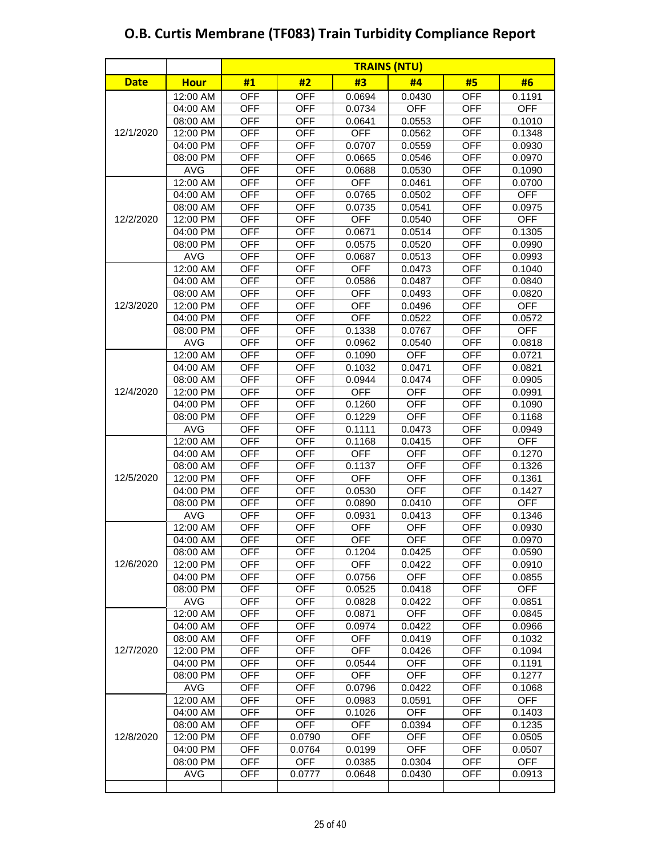|             |             | <b>TRAINS (NTU)</b> |            |            |            |            |            |  |
|-------------|-------------|---------------------|------------|------------|------------|------------|------------|--|
| <b>Date</b> | <b>Hour</b> | #1                  | #2         | #3         | #4         | #5         | #6         |  |
|             | 12:00 AM    | <b>OFF</b>          | <b>OFF</b> | 0.0694     | 0.0430     | <b>OFF</b> | 0.1191     |  |
|             | 04:00 AM    | <b>OFF</b>          | <b>OFF</b> | 0.0734     | <b>OFF</b> | OFF        | <b>OFF</b> |  |
|             | 08:00 AM    | <b>OFF</b>          | <b>OFF</b> | 0.0641     | 0.0553     | <b>OFF</b> | 0.1010     |  |
| 12/1/2020   | 12:00 PM    | <b>OFF</b>          | <b>OFF</b> | <b>OFF</b> | 0.0562     | <b>OFF</b> | 0.1348     |  |
|             | 04:00 PM    | <b>OFF</b>          | <b>OFF</b> | 0.0707     | 0.0559     | <b>OFF</b> | 0.0930     |  |
|             | 08:00 PM    | <b>OFF</b>          | <b>OFF</b> | 0.0665     | 0.0546     | <b>OFF</b> | 0.0970     |  |
|             | <b>AVG</b>  | <b>OFF</b>          | <b>OFF</b> | 0.0688     | 0.0530     | <b>OFF</b> | 0.1090     |  |
|             | 12:00 AM    | <b>OFF</b>          | <b>OFF</b> | <b>OFF</b> | 0.0461     | <b>OFF</b> | 0.0700     |  |
|             | 04:00 AM    | <b>OFF</b>          | <b>OFF</b> | 0.0765     | 0.0502     | <b>OFF</b> | <b>OFF</b> |  |
|             | 08:00 AM    | <b>OFF</b>          | <b>OFF</b> | 0.0735     | 0.0541     | <b>OFF</b> | 0.0975     |  |
| 12/2/2020   | 12:00 PM    | <b>OFF</b>          | <b>OFF</b> | <b>OFF</b> | 0.0540     | <b>OFF</b> | <b>OFF</b> |  |
|             | 04:00 PM    | <b>OFF</b>          | <b>OFF</b> | 0.0671     | 0.0514     | <b>OFF</b> | 0.1305     |  |
|             | 08:00 PM    | <b>OFF</b>          | <b>OFF</b> | 0.0575     | 0.0520     | <b>OFF</b> | 0.0990     |  |
|             | <b>AVG</b>  | <b>OFF</b>          | <b>OFF</b> | 0.0687     | 0.0513     | <b>OFF</b> | 0.0993     |  |
|             | 12:00 AM    | <b>OFF</b>          | <b>OFF</b> | <b>OFF</b> | 0.0473     | <b>OFF</b> | 0.1040     |  |
|             | 04:00 AM    | <b>OFF</b>          | <b>OFF</b> | 0.0586     | 0.0487     | <b>OFF</b> | 0.0840     |  |
|             | 08:00 AM    | <b>OFF</b>          | <b>OFF</b> | <b>OFF</b> | 0.0493     | <b>OFF</b> | 0.0820     |  |
| 12/3/2020   | 12:00 PM    | <b>OFF</b>          | <b>OFF</b> | <b>OFF</b> | 0.0496     | <b>OFF</b> | <b>OFF</b> |  |
|             | 04:00 PM    | <b>OFF</b>          | <b>OFF</b> | <b>OFF</b> | 0.0522     | <b>OFF</b> | 0.0572     |  |
|             | 08:00 PM    | <b>OFF</b>          | <b>OFF</b> | 0.1338     | 0.0767     | <b>OFF</b> | <b>OFF</b> |  |
|             | <b>AVG</b>  | <b>OFF</b>          | <b>OFF</b> | 0.0962     | 0.0540     | <b>OFF</b> | 0.0818     |  |
|             | 12:00 AM    | <b>OFF</b>          | <b>OFF</b> | 0.1090     | <b>OFF</b> | <b>OFF</b> | 0.0721     |  |
|             | 04:00 AM    | <b>OFF</b>          | <b>OFF</b> | 0.1032     | 0.0471     | <b>OFF</b> | 0.0821     |  |
|             | 08:00 AM    | <b>OFF</b>          | <b>OFF</b> | 0.0944     | 0.0474     | <b>OFF</b> | 0.0905     |  |
| 12/4/2020   | 12:00 PM    | <b>OFF</b>          | <b>OFF</b> | <b>OFF</b> | <b>OFF</b> | <b>OFF</b> | 0.0991     |  |
|             | 04:00 PM    | <b>OFF</b>          | <b>OFF</b> | 0.1260     | <b>OFF</b> | <b>OFF</b> | 0.1090     |  |
|             | 08:00 PM    | <b>OFF</b>          | <b>OFF</b> | 0.1229     | <b>OFF</b> | <b>OFF</b> | 0.1168     |  |
|             | <b>AVG</b>  | <b>OFF</b>          | <b>OFF</b> | 0.1111     | 0.0473     | <b>OFF</b> | 0.0949     |  |
|             | 12:00 AM    | <b>OFF</b>          | <b>OFF</b> | 0.1168     | 0.0415     | <b>OFF</b> | <b>OFF</b> |  |
|             | 04:00 AM    | <b>OFF</b>          | <b>OFF</b> | <b>OFF</b> | <b>OFF</b> | <b>OFF</b> | 0.1270     |  |
|             | 08:00 AM    | <b>OFF</b>          | <b>OFF</b> | 0.1137     | <b>OFF</b> | <b>OFF</b> | 0.1326     |  |
| 12/5/2020   | 12:00 PM    | <b>OFF</b>          | <b>OFF</b> | <b>OFF</b> | <b>OFF</b> | <b>OFF</b> | 0.1361     |  |
|             | 04:00 PM    | <b>OFF</b>          | <b>OFF</b> | 0.0530     | <b>OFF</b> | <b>OFF</b> | 0.1427     |  |
|             | 08:00 PM    | <b>OFF</b>          | <b>OFF</b> | 0.0890     | 0.0410     | <b>OFF</b> | <b>OFF</b> |  |
|             | <b>AVG</b>  | <b>OFF</b>          | <b>OFF</b> | 0.0931     | 0.0413     | <b>OFF</b> | 0.1346     |  |
|             | 12:00 AM    | <b>OFF</b>          | <b>OFF</b> | <b>OFF</b> | <b>OFF</b> | <b>OFF</b> | 0.0930     |  |
|             | 04:00 AM    | <b>OFF</b>          | <b>OFF</b> | OFF        | OFF        | <b>OFF</b> | 0.0970     |  |
|             | 08:00 AM    | <b>OFF</b>          | <b>OFF</b> | 0.1204     | 0.0425     | <b>OFF</b> | 0.0590     |  |
| 12/6/2020   | 12:00 PM    | <b>OFF</b>          | <b>OFF</b> | <b>OFF</b> | 0.0422     | <b>OFF</b> | 0.0910     |  |
|             | 04:00 PM    | <b>OFF</b>          | <b>OFF</b> | 0.0756     | <b>OFF</b> | OFF        | 0.0855     |  |
|             | 08:00 PM    | <b>OFF</b>          | <b>OFF</b> | 0.0525     | 0.0418     | <b>OFF</b> | <b>OFF</b> |  |
|             | AVG         | <b>OFF</b>          | <b>OFF</b> | 0.0828     | 0.0422     | OFF        | 0.0851     |  |
|             | 12:00 AM    | <b>OFF</b>          | <b>OFF</b> | 0.0871     | <b>OFF</b> | <b>OFF</b> | 0.0845     |  |
|             | 04:00 AM    | <b>OFF</b>          | <b>OFF</b> | 0.0974     | 0.0422     | <b>OFF</b> | 0.0966     |  |
|             | 08:00 AM    | <b>OFF</b>          | <b>OFF</b> | <b>OFF</b> | 0.0419     | <b>OFF</b> | 0.1032     |  |
| 12/7/2020   | 12:00 PM    | <b>OFF</b>          | <b>OFF</b> | <b>OFF</b> | 0.0426     | <b>OFF</b> | 0.1094     |  |
|             | 04:00 PM    | <b>OFF</b>          | <b>OFF</b> | 0.0544     | <b>OFF</b> | <b>OFF</b> | 0.1191     |  |
|             | 08:00 PM    | <b>OFF</b>          | <b>OFF</b> | <b>OFF</b> | <b>OFF</b> | <b>OFF</b> | 0.1277     |  |
|             | AVG         | <b>OFF</b>          | <b>OFF</b> | 0.0796     | 0.0422     | <b>OFF</b> | 0.1068     |  |
|             | 12:00 AM    | <b>OFF</b>          | <b>OFF</b> | 0.0983     | 0.0591     | OFF        | <b>OFF</b> |  |
|             | 04:00 AM    | <b>OFF</b>          | <b>OFF</b> | 0.1026     | <b>OFF</b> | <b>OFF</b> | 0.1403     |  |
|             | 08:00 AM    | <b>OFF</b>          | <b>OFF</b> | <b>OFF</b> | 0.0394     | OFF        | 0.1235     |  |
| 12/8/2020   | 12:00 PM    | <b>OFF</b>          | 0.0790     | <b>OFF</b> | <b>OFF</b> | <b>OFF</b> | 0.0505     |  |
|             | 04:00 PM    | <b>OFF</b>          | 0.0764     | 0.0199     | <b>OFF</b> | OFF        | 0.0507     |  |
|             | 08:00 PM    | <b>OFF</b>          | <b>OFF</b> | 0.0385     | 0.0304     | <b>OFF</b> | <b>OFF</b> |  |
|             | <b>AVG</b>  | <b>OFF</b>          | 0.0777     | 0.0648     | 0.0430     | <b>OFF</b> | 0.0913     |  |
|             |             |                     |            |            |            |            |            |  |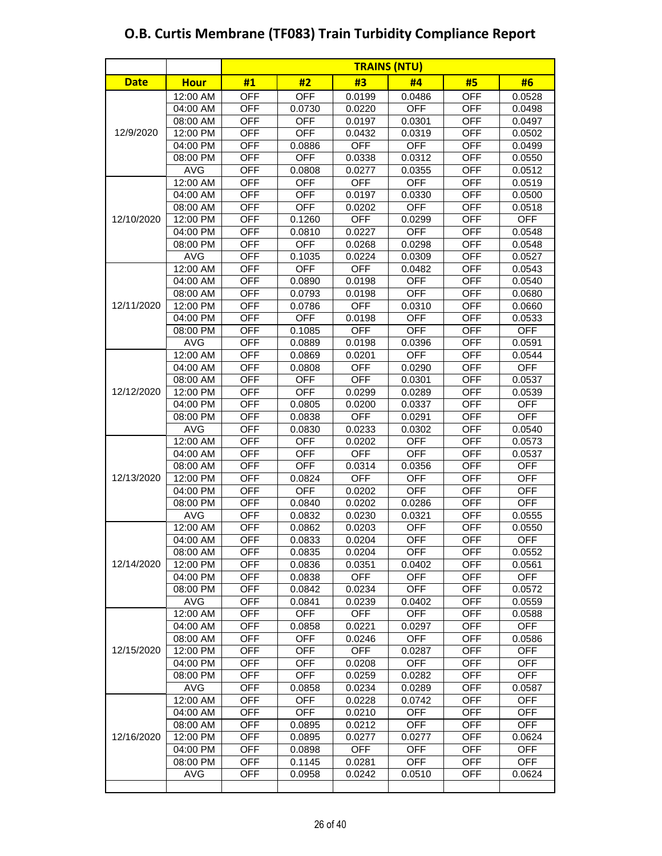|             |             | <b>TRAINS (NTU)</b> |            |            |            |            |            |  |
|-------------|-------------|---------------------|------------|------------|------------|------------|------------|--|
| <b>Date</b> | <b>Hour</b> | #1                  | #2         | #3         | #4         | #5         | #6         |  |
|             | 12:00 AM    | <b>OFF</b>          | <b>OFF</b> | 0.0199     | 0.0486     | <b>OFF</b> | 0.0528     |  |
|             | 04:00 AM    | <b>OFF</b>          | 0.0730     | 0.0220     | <b>OFF</b> | OFF        | 0.0498     |  |
|             | 08:00 AM    | <b>OFF</b>          | <b>OFF</b> | 0.0197     | 0.0301     | <b>OFF</b> | 0.0497     |  |
| 12/9/2020   | 12:00 PM    | <b>OFF</b>          | <b>OFF</b> | 0.0432     | 0.0319     | <b>OFF</b> | 0.0502     |  |
|             | 04:00 PM    | <b>OFF</b>          | 0.0886     | <b>OFF</b> | <b>OFF</b> | <b>OFF</b> | 0.0499     |  |
|             | 08:00 PM    | <b>OFF</b>          | <b>OFF</b> | 0.0338     | 0.0312     | <b>OFF</b> | 0.0550     |  |
|             | <b>AVG</b>  | <b>OFF</b>          | 0.0808     | 0.0277     | 0.0355     | <b>OFF</b> | 0.0512     |  |
|             | 12:00 AM    | <b>OFF</b>          | <b>OFF</b> | <b>OFF</b> | <b>OFF</b> | <b>OFF</b> | 0.0519     |  |
|             | 04:00 AM    | <b>OFF</b>          | <b>OFF</b> | 0.0197     | 0.0330     | <b>OFF</b> | 0.0500     |  |
|             | 08:00 AM    | <b>OFF</b>          | <b>OFF</b> | 0.0202     | <b>OFF</b> | <b>OFF</b> | 0.0518     |  |
| 12/10/2020  | 12:00 PM    | <b>OFF</b>          | 0.1260     | <b>OFF</b> | 0.0299     | <b>OFF</b> | <b>OFF</b> |  |
|             | 04:00 PM    | <b>OFF</b>          | 0.0810     | 0.0227     | <b>OFF</b> | <b>OFF</b> | 0.0548     |  |
|             | 08:00 PM    | <b>OFF</b>          | <b>OFF</b> | 0.0268     | 0.0298     | <b>OFF</b> | 0.0548     |  |
|             | <b>AVG</b>  | <b>OFF</b>          | 0.1035     | 0.0224     | 0.0309     | <b>OFF</b> | 0.0527     |  |
|             | 12:00 AM    | <b>OFF</b>          | <b>OFF</b> | <b>OFF</b> | 0.0482     | <b>OFF</b> | 0.0543     |  |
|             | 04:00 AM    | <b>OFF</b>          | 0.0890     | 0.0198     | <b>OFF</b> | <b>OFF</b> | 0.0540     |  |
|             | 08:00 AM    | <b>OFF</b>          | 0.0793     | 0.0198     | <b>OFF</b> | <b>OFF</b> | 0.0680     |  |
| 12/11/2020  | 12:00 PM    | <b>OFF</b>          | 0.0786     | <b>OFF</b> | 0.0310     | <b>OFF</b> | 0.0660     |  |
|             | 04:00 PM    | <b>OFF</b>          | <b>OFF</b> | 0.0198     | <b>OFF</b> | <b>OFF</b> | 0.0533     |  |
|             | 08:00 PM    | <b>OFF</b>          | 0.1085     | <b>OFF</b> | <b>OFF</b> | <b>OFF</b> | <b>OFF</b> |  |
|             | <b>AVG</b>  | <b>OFF</b>          | 0.0889     | 0.0198     | 0.0396     | <b>OFF</b> | 0.0591     |  |
|             | 12:00 AM    | <b>OFF</b>          | 0.0869     | 0.0201     | <b>OFF</b> | <b>OFF</b> | 0.0544     |  |
|             | 04:00 AM    | <b>OFF</b>          | 0.0808     | <b>OFF</b> | 0.0290     | <b>OFF</b> | <b>OFF</b> |  |
|             | 08:00 AM    | <b>OFF</b>          | <b>OFF</b> | <b>OFF</b> | 0.0301     | <b>OFF</b> | 0.0537     |  |
| 12/12/2020  | 12:00 PM    | <b>OFF</b>          | <b>OFF</b> | 0.0299     | 0.0289     | <b>OFF</b> | 0.0539     |  |
|             | 04:00 PM    | <b>OFF</b>          | 0.0805     | 0.0200     | 0.0337     | <b>OFF</b> | <b>OFF</b> |  |
|             | 08:00 PM    | <b>OFF</b>          | 0.0838     | <b>OFF</b> | 0.0291     | <b>OFF</b> | <b>OFF</b> |  |
|             | <b>AVG</b>  | <b>OFF</b>          | 0.0830     | 0.0233     | 0.0302     | <b>OFF</b> | 0.0540     |  |
|             | 12:00 AM    | <b>OFF</b>          | <b>OFF</b> | 0.0202     | <b>OFF</b> | <b>OFF</b> | 0.0573     |  |
|             | 04:00 AM    | <b>OFF</b>          | <b>OFF</b> | <b>OFF</b> | <b>OFF</b> | <b>OFF</b> | 0.0537     |  |
|             | 08:00 AM    | <b>OFF</b>          | <b>OFF</b> | 0.0314     | 0.0356     | <b>OFF</b> | <b>OFF</b> |  |
| 12/13/2020  | 12:00 PM    | <b>OFF</b>          | 0.0824     | <b>OFF</b> | <b>OFF</b> | <b>OFF</b> | <b>OFF</b> |  |
|             | 04:00 PM    | <b>OFF</b>          | <b>OFF</b> | 0.0202     | <b>OFF</b> | <b>OFF</b> | <b>OFF</b> |  |
|             | 08:00 PM    | <b>OFF</b>          | 0.0840     | 0.0202     | 0.0286     | <b>OFF</b> | <b>OFF</b> |  |
|             | <b>AVG</b>  | <b>OFF</b>          | 0.0832     | 0.0230     | 0.0321     | <b>OFF</b> | 0.0555     |  |
|             | 12:00 AM    | <b>OFF</b>          | 0.0862     | 0.0203     | <b>OFF</b> | <b>OFF</b> | 0.0550     |  |
|             | 04:00 AM    | <b>OFF</b>          | 0.0833     | 0.0204     | <b>OFF</b> | <b>OFF</b> | <b>OFF</b> |  |
|             | 08:00 AM    | <b>OFF</b>          | 0.0835     | 0.0204     | <b>OFF</b> | <b>OFF</b> | 0.0552     |  |
| 12/14/2020  | 12:00 PM    | <b>OFF</b>          | 0.0836     | 0.0351     | 0.0402     | <b>OFF</b> | 0.0561     |  |
|             | 04:00 PM    | <b>OFF</b>          | 0.0838     | <b>OFF</b> | <b>OFF</b> | <b>OFF</b> | <b>OFF</b> |  |
|             | 08:00 PM    | <b>OFF</b>          | 0.0842     | 0.0234     | <b>OFF</b> | <b>OFF</b> | 0.0572     |  |
|             | AVG         | <b>OFF</b>          | 0.0841     | 0.0239     | 0.0402     | OFF        | 0.0559     |  |
|             | 12:00 AM    | <b>OFF</b>          | <b>OFF</b> | <b>OFF</b> | <b>OFF</b> | <b>OFF</b> | 0.0588     |  |
|             | 04:00 AM    | <b>OFF</b>          | 0.0858     | 0.0221     | 0.0297     | <b>OFF</b> | <b>OFF</b> |  |
|             | 08:00 AM    | <b>OFF</b>          | <b>OFF</b> | 0.0246     | <b>OFF</b> | <b>OFF</b> | 0.0586     |  |
| 12/15/2020  | 12:00 PM    | <b>OFF</b>          | <b>OFF</b> | <b>OFF</b> | 0.0287     | <b>OFF</b> | <b>OFF</b> |  |
|             | 04:00 PM    | <b>OFF</b>          | <b>OFF</b> | 0.0208     | <b>OFF</b> | <b>OFF</b> | <b>OFF</b> |  |
|             | 08:00 PM    | <b>OFF</b>          | <b>OFF</b> | 0.0259     | 0.0282     | <b>OFF</b> | <b>OFF</b> |  |
|             | <b>AVG</b>  | <b>OFF</b>          | 0.0858     | 0.0234     | 0.0289     | <b>OFF</b> | 0.0587     |  |
|             | 12:00 AM    | <b>OFF</b>          | <b>OFF</b> | 0.0228     | 0.0742     | <b>OFF</b> | <b>OFF</b> |  |
|             | 04:00 AM    | <b>OFF</b>          | <b>OFF</b> | 0.0210     | <b>OFF</b> | <b>OFF</b> | <b>OFF</b> |  |
|             | 08:00 AM    | <b>OFF</b>          | 0.0895     | 0.0212     | <b>OFF</b> | OFF        | <b>OFF</b> |  |
| 12/16/2020  | 12:00 PM    | <b>OFF</b>          | 0.0895     | 0.0277     | 0.0277     | <b>OFF</b> | 0.0624     |  |
|             | 04:00 PM    | <b>OFF</b>          | 0.0898     | <b>OFF</b> | <b>OFF</b> | <b>OFF</b> | <b>OFF</b> |  |
|             | 08:00 PM    | <b>OFF</b>          | 0.1145     | 0.0281     | <b>OFF</b> | <b>OFF</b> | <b>OFF</b> |  |
|             | <b>AVG</b>  | <b>OFF</b>          | 0.0958     | 0.0242     | 0.0510     | <b>OFF</b> | 0.0624     |  |
|             |             |                     |            |            |            |            |            |  |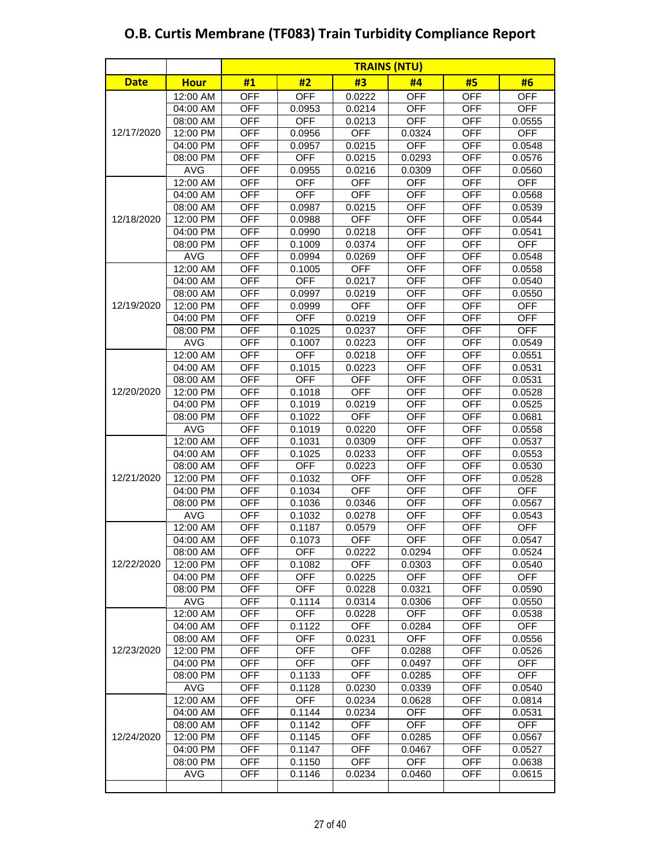|             |             | <b>TRAINS (NTU)</b> |            |            |            |            |            |
|-------------|-------------|---------------------|------------|------------|------------|------------|------------|
| <b>Date</b> | <b>Hour</b> | #1                  | #2         | #3         | #4         | #5         | #6         |
|             | 12:00 AM    | <b>OFF</b>          | <b>OFF</b> | 0.0222     | <b>OFF</b> | <b>OFF</b> | <b>OFF</b> |
|             | 04:00 AM    | <b>OFF</b>          | 0.0953     | 0.0214     | <b>OFF</b> | <b>OFF</b> | <b>OFF</b> |
|             | 08:00 AM    | <b>OFF</b>          | <b>OFF</b> | 0.0213     | <b>OFF</b> | <b>OFF</b> | 0.0555     |
| 12/17/2020  | 12:00 PM    | <b>OFF</b>          | 0.0956     | <b>OFF</b> | 0.0324     | <b>OFF</b> | <b>OFF</b> |
|             | 04:00 PM    | <b>OFF</b>          | 0.0957     | 0.0215     | <b>OFF</b> | <b>OFF</b> | 0.0548     |
|             | 08:00 PM    | <b>OFF</b>          | <b>OFF</b> | 0.0215     | 0.0293     | <b>OFF</b> | 0.0576     |
|             | <b>AVG</b>  | <b>OFF</b>          | 0.0955     | 0.0216     | 0.0309     | <b>OFF</b> | 0.0560     |
|             | 12:00 AM    | <b>OFF</b>          | <b>OFF</b> | <b>OFF</b> | <b>OFF</b> | <b>OFF</b> | <b>OFF</b> |
|             | 04:00 AM    | <b>OFF</b>          | <b>OFF</b> | <b>OFF</b> | <b>OFF</b> | <b>OFF</b> | 0.0568     |
|             | 08:00 AM    | <b>OFF</b>          | 0.0987     | 0.0215     | <b>OFF</b> | <b>OFF</b> | 0.0539     |
| 12/18/2020  | 12:00 PM    | <b>OFF</b>          | 0.0988     | <b>OFF</b> | <b>OFF</b> | <b>OFF</b> | 0.0544     |
|             | 04:00 PM    | <b>OFF</b>          | 0.0990     | 0.0218     | <b>OFF</b> | <b>OFF</b> | 0.0541     |
|             | 08:00 PM    | <b>OFF</b>          | 0.1009     | 0.0374     | <b>OFF</b> | <b>OFF</b> | <b>OFF</b> |
|             | <b>AVG</b>  | <b>OFF</b>          | 0.0994     | 0.0269     | <b>OFF</b> | <b>OFF</b> | 0.0548     |
|             | 12:00 AM    | <b>OFF</b>          | 0.1005     | <b>OFF</b> | <b>OFF</b> | <b>OFF</b> | 0.0558     |
|             | 04:00 AM    | <b>OFF</b>          | <b>OFF</b> | 0.0217     | <b>OFF</b> | <b>OFF</b> | 0.0540     |
|             | 08:00 AM    | <b>OFF</b>          | 0.0997     | 0.0219     | <b>OFF</b> | <b>OFF</b> | 0.0550     |
| 12/19/2020  | 12:00 PM    | <b>OFF</b>          | 0.0999     | <b>OFF</b> | <b>OFF</b> | <b>OFF</b> | <b>OFF</b> |
|             | 04:00 PM    | <b>OFF</b>          | <b>OFF</b> | 0.0219     | <b>OFF</b> | <b>OFF</b> | <b>OFF</b> |
|             | 08:00 PM    | <b>OFF</b>          | 0.1025     | 0.0237     | <b>OFF</b> | <b>OFF</b> | <b>OFF</b> |
|             | <b>AVG</b>  | <b>OFF</b>          | 0.1007     | 0.0223     | <b>OFF</b> | <b>OFF</b> | 0.0549     |
|             | 12:00 AM    | <b>OFF</b>          | <b>OFF</b> | 0.0218     | <b>OFF</b> | <b>OFF</b> | 0.0551     |
|             | 04:00 AM    | <b>OFF</b>          | 0.1015     | 0.0223     | <b>OFF</b> | <b>OFF</b> | 0.0531     |
|             | 08:00 AM    | <b>OFF</b>          | <b>OFF</b> | <b>OFF</b> | <b>OFF</b> | <b>OFF</b> | 0.0531     |
| 12/20/2020  | 12:00 PM    | <b>OFF</b>          | 0.1018     | <b>OFF</b> | <b>OFF</b> | <b>OFF</b> | 0.0528     |
|             | 04:00 PM    | <b>OFF</b>          | 0.1019     | 0.0219     | <b>OFF</b> | <b>OFF</b> | 0.0525     |
|             | 08:00 PM    | <b>OFF</b>          | 0.1022     | <b>OFF</b> | <b>OFF</b> | <b>OFF</b> | 0.0681     |
|             | <b>AVG</b>  | <b>OFF</b>          | 0.1019     | 0.0220     | <b>OFF</b> | <b>OFF</b> | 0.0558     |
|             | 12:00 AM    | <b>OFF</b>          | 0.1031     | 0.0309     | <b>OFF</b> | <b>OFF</b> | 0.0537     |
|             | 04:00 AM    | <b>OFF</b>          | 0.1025     | 0.0233     | <b>OFF</b> | <b>OFF</b> | 0.0553     |
|             | 08:00 AM    | <b>OFF</b>          | <b>OFF</b> | 0.0223     | <b>OFF</b> | <b>OFF</b> | 0.0530     |
| 12/21/2020  | 12:00 PM    | <b>OFF</b>          | 0.1032     | <b>OFF</b> | <b>OFF</b> | <b>OFF</b> | 0.0528     |
|             | 04:00 PM    | <b>OFF</b>          | 0.1034     | <b>OFF</b> | <b>OFF</b> | <b>OFF</b> | <b>OFF</b> |
|             | 08:00 PM    | <b>OFF</b>          | 0.1036     | 0.0346     | <b>OFF</b> | <b>OFF</b> | 0.0567     |
|             | <b>AVG</b>  | <b>OFF</b>          | 0.1032     | 0.0278     | <b>OFF</b> | <b>OFF</b> | 0.0543     |
|             | 12:00 AM    | <b>OFF</b>          | 0.1187     | 0.0579     | <b>OFF</b> | <b>OFF</b> | <b>OFF</b> |
|             | 04:00 AM    | <b>OFF</b>          | 0.1073     | OFF        | OFF        | <b>OFF</b> | 0.0547     |
|             | 08:00 AM    | <b>OFF</b>          | <b>OFF</b> | 0.0222     | 0.0294     | <b>OFF</b> | 0.0524     |
| 12/22/2020  | 12:00 PM    | <b>OFF</b>          | 0.1082     | <b>OFF</b> | 0.0303     | <b>OFF</b> | 0.0540     |
|             | 04:00 PM    | <b>OFF</b>          | <b>OFF</b> | 0.0225     | <b>OFF</b> | <b>OFF</b> | <b>OFF</b> |
|             | 08:00 PM    | <b>OFF</b>          | <b>OFF</b> | 0.0228     | 0.0321     | <b>OFF</b> | 0.0590     |
|             | <b>AVG</b>  | <b>OFF</b>          | 0.1114     | 0.0314     | 0.0306     | <b>OFF</b> | 0.0550     |
|             | 12:00 AM    | <b>OFF</b>          | <b>OFF</b> | 0.0228     | <b>OFF</b> | <b>OFF</b> | 0.0538     |
|             | 04:00 AM    | <b>OFF</b>          | 0.1122     | <b>OFF</b> | 0.0284     | <b>OFF</b> | <b>OFF</b> |
|             | 08:00 AM    | <b>OFF</b>          | <b>OFF</b> | 0.0231     | <b>OFF</b> | <b>OFF</b> | 0.0556     |
| 12/23/2020  | 12:00 PM    | <b>OFF</b>          | <b>OFF</b> | <b>OFF</b> | 0.0288     | <b>OFF</b> | 0.0526     |
|             | 04:00 PM    | <b>OFF</b>          | <b>OFF</b> | <b>OFF</b> | 0.0497     | <b>OFF</b> | <b>OFF</b> |
|             | 08:00 PM    | <b>OFF</b>          | 0.1133     | <b>OFF</b> | 0.0285     | <b>OFF</b> | <b>OFF</b> |
|             | <b>AVG</b>  | <b>OFF</b>          | 0.1128     | 0.0230     | 0.0339     | <b>OFF</b> | 0.0540     |
|             | 12:00 AM    | <b>OFF</b>          | <b>OFF</b> | 0.0234     | 0.0628     | <b>OFF</b> | 0.0814     |
|             | 04:00 AM    | <b>OFF</b>          | 0.1144     | 0.0234     | <b>OFF</b> | <b>OFF</b> | 0.0531     |
|             | 08:00 AM    | <b>OFF</b>          | 0.1142     | <b>OFF</b> | <b>OFF</b> | <b>OFF</b> | <b>OFF</b> |
| 12/24/2020  | 12:00 PM    | <b>OFF</b>          | 0.1145     | <b>OFF</b> | 0.0285     | <b>OFF</b> | 0.0567     |
|             | 04:00 PM    | <b>OFF</b>          | 0.1147     | <b>OFF</b> | 0.0467     | <b>OFF</b> | 0.0527     |
|             | 08:00 PM    | <b>OFF</b>          | 0.1150     | <b>OFF</b> | <b>OFF</b> | <b>OFF</b> | 0.0638     |
|             | AVG         | <b>OFF</b>          | 0.1146     | 0.0234     | 0.0460     | <b>OFF</b> | 0.0615     |
|             |             |                     |            |            |            |            |            |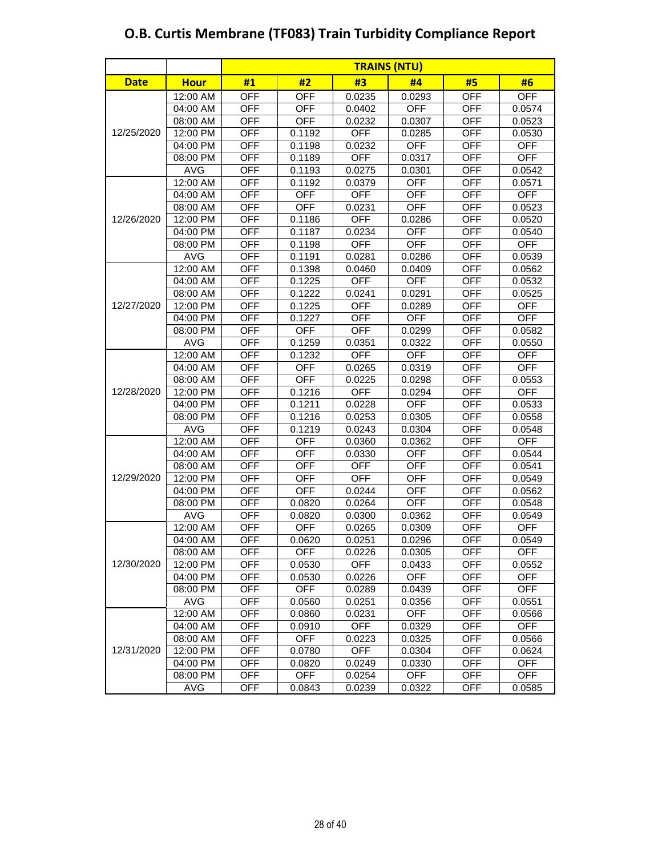|             |             | <b>TRAINS (NTU)</b> |            |            |            |            |            |
|-------------|-------------|---------------------|------------|------------|------------|------------|------------|
| <b>Date</b> | <b>Hour</b> | #1                  | #2         | #3         | #4         | #5         | #6         |
|             | 12:00 AM    | <b>OFF</b>          | <b>OFF</b> | 0.0235     | 0.0293     | <b>OFF</b> | <b>OFF</b> |
|             | 04:00 AM    | <b>OFF</b>          | <b>OFF</b> | 0.0402     | <b>OFF</b> | <b>OFF</b> | 0.0574     |
|             | 08:00 AM    | <b>OFF</b>          | <b>OFF</b> | 0.0232     | 0.0307     | <b>OFF</b> | 0.0523     |
| 12/25/2020  | 12:00 PM    | <b>OFF</b>          | 0.1192     | <b>OFF</b> | 0.0285     | <b>OFF</b> | 0.0530     |
|             | 04:00 PM    | <b>OFF</b>          | 0.1198     | 0.0232     | <b>OFF</b> | <b>OFF</b> | <b>OFF</b> |
|             | 08:00 PM    | <b>OFF</b>          | 0.1189     | <b>OFF</b> | 0.0317     | <b>OFF</b> | <b>OFF</b> |
|             | <b>AVG</b>  | <b>OFF</b>          | 0.1193     | 0.0275     | 0.0301     | <b>OFF</b> | 0.0542     |
|             | 12:00 AM    | <b>OFF</b>          | 0.1192     | 0.0379     | <b>OFF</b> | <b>OFF</b> | 0.0571     |
|             | 04:00 AM    | <b>OFF</b>          | <b>OFF</b> | <b>OFF</b> | <b>OFF</b> | <b>OFF</b> | <b>OFF</b> |
|             | 08:00 AM    | <b>OFF</b>          | <b>OFF</b> | 0.0231     | <b>OFF</b> | <b>OFF</b> | 0.0523     |
| 12/26/2020  | 12:00 PM    | <b>OFF</b>          | 0.1186     | <b>OFF</b> | 0.0286     | <b>OFF</b> | 0.0520     |
|             | 04:00 PM    | <b>OFF</b>          | 0.1187     | 0.0234     | <b>OFF</b> | <b>OFF</b> | 0.0540     |
|             | 08:00 PM    | <b>OFF</b>          | 0.1198     | <b>OFF</b> | <b>OFF</b> | <b>OFF</b> | <b>OFF</b> |
|             | <b>AVG</b>  | <b>OFF</b>          | 0.1191     | 0.0281     | 0.0286     | <b>OFF</b> | 0.0539     |
|             | 12:00 AM    | <b>OFF</b>          | 0.1398     | 0.0460     | 0.0409     | <b>OFF</b> | 0.0562     |
|             | 04:00 AM    | <b>OFF</b>          | 0.1225     | <b>OFF</b> | <b>OFF</b> | <b>OFF</b> | 0.0532     |
|             | 08:00 AM    | <b>OFF</b>          | 0.1222     | 0.0241     | 0.0291     | <b>OFF</b> | 0.0525     |
| 12/27/2020  | 12:00 PM    | <b>OFF</b>          | 0.1225     | <b>OFF</b> | 0.0289     | <b>OFF</b> | <b>OFF</b> |
|             | 04:00 PM    | <b>OFF</b>          | 0.1227     | <b>OFF</b> | <b>OFF</b> | <b>OFF</b> | <b>OFF</b> |
|             | 08:00 PM    | <b>OFF</b>          | <b>OFF</b> | <b>OFF</b> | 0.0299     | <b>OFF</b> | 0.0582     |
|             | <b>AVG</b>  | <b>OFF</b>          | 0.1259     | 0.0351     | 0.0322     | <b>OFF</b> | 0.0550     |
|             | 12:00 AM    | <b>OFF</b>          | 0.1232     | <b>OFF</b> | <b>OFF</b> | <b>OFF</b> | <b>OFF</b> |
|             | 04:00 AM    | <b>OFF</b>          | <b>OFF</b> | 0.0265     | 0.0319     | <b>OFF</b> | <b>OFF</b> |
|             | 08:00 AM    | <b>OFF</b>          | <b>OFF</b> | 0.0225     | 0.0298     | <b>OFF</b> | 0.0553     |
| 12/28/2020  | 12:00 PM    | <b>OFF</b>          | 0.1216     | <b>OFF</b> | 0.0294     | <b>OFF</b> | <b>OFF</b> |
|             | 04:00 PM    | <b>OFF</b>          | 0.1211     | 0.0228     | <b>OFF</b> | <b>OFF</b> | 0.0533     |
|             | 08:00 PM    | <b>OFF</b>          | 0.1216     | 0.0253     | 0.0305     | <b>OFF</b> | 0.0558     |
|             | <b>AVG</b>  | <b>OFF</b>          | 0.1219     | 0.0243     | 0.0304     | <b>OFF</b> | 0.0548     |
|             | 12:00 AM    | <b>OFF</b>          | <b>OFF</b> | 0.0360     | 0.0362     | <b>OFF</b> | <b>OFF</b> |
|             | 04:00 AM    | <b>OFF</b>          | <b>OFF</b> | 0.0330     | <b>OFF</b> | <b>OFF</b> | 0.0544     |
|             | 08:00 AM    | <b>OFF</b>          | <b>OFF</b> | <b>OFF</b> | <b>OFF</b> | <b>OFF</b> | 0.0541     |
| 12/29/2020  | 12:00 PM    | <b>OFF</b>          | <b>OFF</b> | <b>OFF</b> | <b>OFF</b> | <b>OFF</b> | 0.0549     |
|             | 04:00 PM    | <b>OFF</b>          | <b>OFF</b> | 0.0244     | <b>OFF</b> | <b>OFF</b> | 0.0562     |
|             | 08:00 PM    | <b>OFF</b>          | 0.0820     | 0.0264     | <b>OFF</b> | <b>OFF</b> | 0.0548     |
|             | <b>AVG</b>  | <b>OFF</b>          | 0.0820     | 0.0300     | 0.0362     | <b>OFF</b> | 0.0549     |
|             | 12:00 AM    | <b>OFF</b>          | <b>OFF</b> | 0.0265     | 0.0309     | <b>OFF</b> | <b>OFF</b> |
|             | 04:00 AM    | <b>OFF</b>          | 0.0620     | 0.0251     | 0.0296     | <b>OFF</b> | 0.0549     |
|             | 08:00 AM    | <b>OFF</b>          | <b>OFF</b> | 0.0226     | 0.0305     | <b>OFF</b> | <b>OFF</b> |
| 12/30/2020  | 12:00 PM    | <b>OFF</b>          | 0.0530     | <b>OFF</b> | 0.0433     | <b>OFF</b> | 0.0552     |
|             | 04:00 PM    | OFF                 | 0.0530     | 0.0226     | <b>OFF</b> | OFF        | <b>OFF</b> |
|             | 08:00 PM    | OFF                 | OFF        | 0.0289     | 0.0439     | <b>OFF</b> | OFF        |
|             | <b>AVG</b>  | OFF                 | 0.0560     | 0.0251     | 0.0356     | <b>OFF</b> | 0.0551     |
|             | 12:00 AM    | OFF                 | 0.0860     | 0.0231     | <b>OFF</b> | OFF        | 0.0566     |
|             | 04:00 AM    | <b>OFF</b>          | 0.0910     | <b>OFF</b> | 0.0329     | <b>OFF</b> | <b>OFF</b> |
|             | 08:00 AM    | <b>OFF</b>          | <b>OFF</b> | 0.0223     | 0.0325     | <b>OFF</b> | 0.0566     |
| 12/31/2020  | 12:00 PM    | OFF                 | 0.0780     | <b>OFF</b> | 0.0304     | <b>OFF</b> | 0.0624     |
|             | 04:00 PM    | <b>OFF</b>          | 0.0820     | 0.0249     | 0.0330     | <b>OFF</b> | <b>OFF</b> |
|             | 08:00 PM    | <b>OFF</b>          | <b>OFF</b> | 0.0254     | <b>OFF</b> | <b>OFF</b> | <b>OFF</b> |
|             | AVG         | <b>OFF</b>          | 0.0843     | 0.0239     | 0.0322     | <b>OFF</b> | 0.0585     |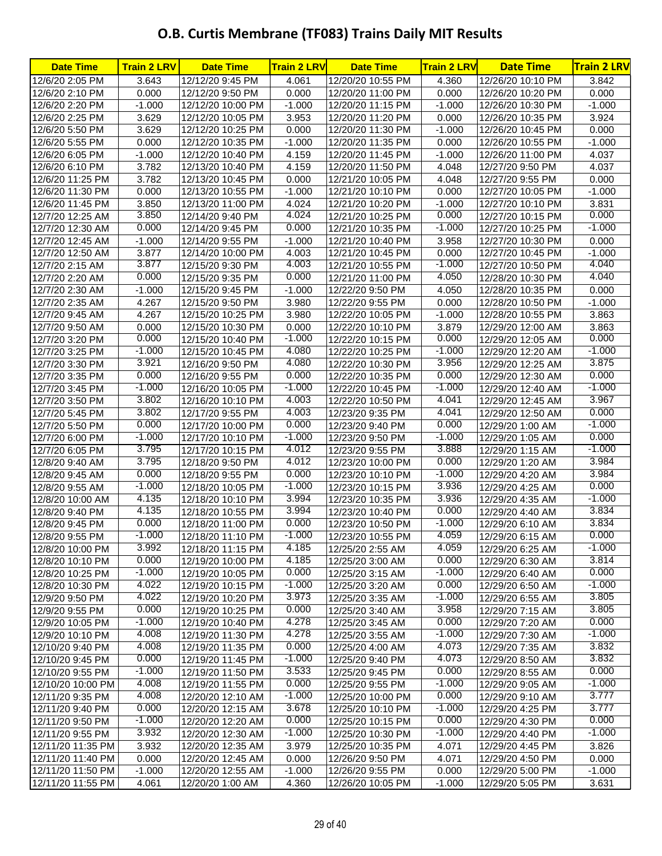## **O.B. Curtis Membrane (TF083) Trains Daily MIT Results**

| <b>Date Time</b>                      | <b>Train 2 LRV</b> | <b>Date Time</b>                       | <b>Train 2 LRV</b> | <b>Date Time</b>                      | <b>Train 2 LRV</b> | <b>Date Time</b>                     | <b>Train 2 LRV</b> |
|---------------------------------------|--------------------|----------------------------------------|--------------------|---------------------------------------|--------------------|--------------------------------------|--------------------|
| 12/6/20 2:05 PM                       | 3.643              | 12/12/20 9:45 PM                       | 4.061              | 12/20/20 10:55 PM                     | 4.360              | 12/26/20 10:10 PM                    | 3.842              |
| 12/6/20 2:10 PM                       | 0.000              | 12/12/20 9:50 PM                       | 0.000              | 12/20/20 11:00 PM                     | 0.000              | 12/26/20 10:20 PM                    | 0.000              |
| 12/6/20 2:20 PM                       | $-1.000$           | 12/12/20 10:00 PM                      | $-1.000$           | 12/20/20 11:15 PM                     | $-1.000$           | 12/26/20 10:30 PM                    | $-1.000$           |
| 12/6/20 2:25 PM                       | 3.629              | 12/12/20 10:05 PM                      | 3.953              | 12/20/20 11:20 PM                     | 0.000              | 12/26/20 10:35 PM                    | 3.924              |
| 12/6/20 5:50 PM                       | 3.629              | 12/12/20 10:25 PM                      | 0.000              | 12/20/20 11:30 PM                     | $-1.000$           | 12/26/20 10:45 PM                    | 0.000              |
| 12/6/20 5:55 PM                       | 0.000              | 12/12/20 10:35 PM                      | $-1.000$           | 12/20/20 11:35 PM                     | 0.000              | 12/26/20 10:55 PM                    | $-1.000$           |
| 12/6/20 6:05 PM                       | $-1.000$           | 12/12/20 10:40 PM                      | 4.159              | 12/20/20 11:45 PM                     | $-1.000$           | 12/26/20 11:00 PM                    | 4.037              |
| 12/6/20 6:10 PM                       | 3.782              | 12/13/20 10:40 PM                      | 4.159              | 12/20/20 11:50 PM                     | 4.048              | 12/27/20 9:50 PM                     | 4.037              |
| 12/6/20 11:25 PM                      | 3.782              | 12/13/20 10:45 PM                      | 0.000              | 12/21/20 10:05 PM                     | 4.048              | 12/27/20 9:55 PM                     | 0.000              |
| 12/6/20 11:30 PM                      | 0.000              | 12/13/20 10:55 PM                      | $-1.000$           | 12/21/20 10:10 PM                     | 0.000              | 12/27/20 10:05 PM                    | $-1.000$           |
| 12/6/20 11:45 PM                      | 3.850              | 12/13/20 11:00 PM                      | 4.024              | 12/21/20 10:20 PM                     | $-1.000$           | 12/27/20 10:10 PM                    | 3.831              |
| 12/7/20 12:25 AM                      | 3.850              | 12/14/20 9:40 PM                       | 4.024              | 12/21/20 10:25 PM                     | 0.000              | 12/27/20 10:15 PM                    | 0.000              |
| 12/7/20 12:30 AM                      | 0.000              | 12/14/20 9:45 PM                       | 0.000              | 12/21/20 10:35 PM                     | $-1.000$           | 12/27/20 10:25 PM                    | $-1.000$           |
| 12/7/20 12:45 AM                      | $-1.000$           | 12/14/20 9:55 PM                       | $-1.000$           | 12/21/20 10:40 PM                     | 3.958              | 12/27/20 10:30 PM                    | 0.000              |
| 12/7/20 12:50 AM                      | 3.877              | 12/14/20 10:00 PM                      | 4.003              | 12/21/20 10:45 PM                     | 0.000              | 12/27/20 10:45 PM                    | $-1.000$           |
| 12/7/20 2:15 AM                       | 3.877              | 12/15/20 9:30 PM                       | 4.003              | 12/21/20 10:55 PM                     | $-1.000$           | 12/27/20 10:50 PM                    | 4.040              |
| 12/7/20 2:20 AM                       | 0.000              | 12/15/20 9:35 PM                       | 0.000              | 12/21/20 11:00 PM                     | 4.050              | 12/28/20 10:30 PM                    | 4.040              |
| 12/7/20 2:30 AM                       | $-1.000$           | 12/15/20 9:45 PM                       | $-1.000$           | 12/22/20 9:50 PM                      | 4.050              | 12/28/20 10:35 PM                    | 0.000              |
| 12/7/20 2:35 AM                       | 4.267              | 12/15/20 9:50 PM                       | 3.980              | 12/22/20 9:55 PM                      | 0.000              | 12/28/20 10:50 PM                    | $-1.000$           |
| 12/7/20 9:45 AM                       | 4.267              | 12/15/20 10:25 PM                      | 3.980              | 12/22/20 10:05 PM                     | $-1.000$           | 12/28/20 10:55 PM                    | 3.863              |
| 12/7/20 9:50 AM                       | 0.000              | 12/15/20 10:30 PM                      | 0.000              | 12/22/20 10:10 PM                     | 3.879              | 12/29/20 12:00 AM                    | 3.863              |
| 12/7/20 3:20 PM                       | 0.000              | 12/15/20 10:40 PM                      | $-1.000$           | 12/22/20 10:15 PM                     | 0.000              | 12/29/20 12:05 AM                    | 0.000              |
| 12/7/20 3:25 PM                       | $-1.000$           | 12/15/20 10:45 PM                      | 4.080              | 12/22/20 10:25 PM                     | $-1.000$           | 12/29/20 12:20 AM                    | $-1.000$           |
| 12/7/20 3:30 PM                       | 3.921              | 12/16/20 9:50 PM                       | 4.080              | 12/22/20 10:30 PM                     | 3.956              | 12/29/20 12:25 AM                    | 3.875              |
| 12/7/20 3:35 PM                       | 0.000              | 12/16/20 9:55 PM                       | 0.000              | 12/22/20 10:35 PM                     | 0.000              | 12/29/20 12:30 AM                    | 0.000              |
| 12/7/20 3:45 PM                       | $-1.000$           | 12/16/20 10:05 PM                      | $-1.000$           | 12/22/20 10:45 PM                     | $-1.000$           | 12/29/20 12:40 AM                    | $-1.000$           |
| 12/7/20 3:50 PM                       | 3.802              | 12/16/20 10:10 PM                      | 4.003              | 12/22/20 10:50 PM                     | 4.041              | 12/29/20 12:45 AM                    | 3.967              |
| 12/7/20 5:45 PM                       | 3.802              | 12/17/20 9:55 PM                       | 4.003              | 12/23/20 9:35 PM                      | 4.041              | 12/29/20 12:50 AM                    | 0.000              |
| 12/7/20 5:50 PM                       | 0.000              | 12/17/20 10:00 PM                      | 0.000              | 12/23/20 9:40 PM                      | 0.000              | 12/29/20 1:00 AM                     | $-1.000$           |
| 12/7/20 6:00 PM                       | $-1.000$           | 12/17/20 10:10 PM                      | $-1.000$           | 12/23/20 9:50 PM                      | $-1.000$           | 12/29/20 1:05 AM                     | 0.000              |
| 12/7/20 6:05 PM                       | 3.795              | 12/17/20 10:15 PM                      | 4.012              | 12/23/20 9:55 PM                      | 3.888              | 12/29/20 1:15 AM                     | $-1.000$           |
| 12/8/20 9:40 AM                       | 3.795              | 12/18/20 9:50 PM                       | 4.012              | 12/23/20 10:00 PM                     | 0.000              | 12/29/20 1:20 AM                     | 3.984              |
| 12/8/20 9:45 AM                       | 0.000              | 12/18/20 9:55 PM                       | 0.000              | 12/23/20 10:10 PM                     | $-1.000$           | 12/29/20 4:20 AM                     | 3.984              |
| 12/8/20 9:55 AM                       | $-1.000$           | 12/18/20 10:05 PM                      | $-1.000$           | 12/23/20 10:15 PM                     | 3.936              | 12/29/20 4:25 AM                     | 0.000              |
| 12/8/20 10:00 AM                      | 4.135              | 12/18/20 10:10 PM                      | 3.994              | 12/23/20 10:35 PM                     | 3.936              | 12/29/20 4:35 AM                     | $-1.000$           |
| 12/8/20 9:40 PM                       | 4.135              | 12/18/20 10:55 PM                      | 3.994              | 12/23/20 10:40 PM                     | 0.000              | 12/29/20 4:40 AM                     | 3.834              |
| 12/8/20 9:45 PM                       | 0.000              | 12/18/20 11:00 PM                      | 0.000              | 12/23/20 10:50 PM                     | $-1.000$           | 12/29/20 6:10 AM                     | 3.834              |
| 12/8/20 9:55 PM                       | $-1.000$           | 12/18/20 11:10 PM                      | $-1.000$           | 12/23/20 10:55 PM                     | 4.059              | 12/29/20 6:15 AM                     | 0.000              |
| 12/8/20 10:00 PM                      | 3.992              | 12/18/20 11:15 PM                      | 4.185              | 12/25/20 2:55 AM                      | 4.059              | 12/29/20 6:25 AM                     | $-1.000$           |
| 12/8/20 10:10 PM                      | 0.000<br>$-1.000$  | 12/19/20 10:00 PM                      | 4.185<br>0.000     | 12/25/20 3:00 AM                      | 0.000              | 12/29/20 6:30 AM                     | 3.814<br>0.000     |
| 12/8/20 10:25 PM                      | 4.022              | 12/19/20 10:05 PM                      | $-1.000$           | 12/25/20 3:15 AM                      | $-1.000$<br>0.000  | 12/29/20 6:40 AM                     | $-1.000$           |
| 12/8/20 10:30 PM                      | 4.022              | 12/19/20 10:15 PM                      | 3.973              | 12/25/20 3:20 AM                      | $-1.000$           | 12/29/20 6:50 AM                     | 3.805              |
| 12/9/20 9:50 PM                       | 0.000              | 12/19/20 10:20 PM                      | 0.000              | 12/25/20 3:35 AM                      | 3.958              | 12/29/20 6:55 AM                     | 3.805              |
| 12/9/20 9:55 PM                       | $-1.000$           | 12/19/20 10:25 PM                      | 4.278              | 12/25/20 3:40 AM                      | 0.000              | 12/29/20 7:15 AM                     | 0.000              |
| 12/9/20 10:05 PM<br>12/9/20 10:10 PM  | 4.008              | 12/19/20 10:40 PM                      | 4.278              | 12/25/20 3:45 AM                      | $-1.000$           | 12/29/20 7:20 AM                     | $-1.000$           |
|                                       | 4.008              | 12/19/20 11:30 PM<br>12/19/20 11:35 PM | 0.000              | 12/25/20 3:55 AM<br>12/25/20 4:00 AM  | 4.073              | 12/29/20 7:30 AM<br>12/29/20 7:35 AM | 3.832              |
| 12/10/20 9:40 PM                      | 0.000              | 12/19/20 11:45 PM                      | $-1.000$           | 12/25/20 9:40 PM                      | 4.073              |                                      | 3.832              |
| 12/10/20 9:45 PM                      | $-1.000$           |                                        | 3.533              |                                       | 0.000              | 12/29/20 8:50 AM                     | 0.000              |
| 12/10/20 9:55 PM                      | 4.008              | 12/19/20 11:50 PM                      | 0.000              | 12/25/20 9:45 PM                      | $-1.000$           | 12/29/20 8:55 AM                     | $-1.000$           |
| 12/10/20 10:00 PM<br>12/11/20 9:35 PM | 4.008              | 12/19/20 11:55 PM<br>12/20/20 12:10 AM | $-1.000$           | 12/25/20 9:55 PM<br>12/25/20 10:00 PM | 0.000              | 12/29/20 9:05 AM<br>12/29/20 9:10 AM | 3.777              |
| 12/11/20 9:40 PM                      | 0.000              | 12/20/20 12:15 AM                      | 3.678              | 12/25/20 10:10 PM                     | $-1.000$           | 12/29/20 4:25 PM                     | 3.777              |
| 12/11/20 9:50 PM                      | $-1.000$           | 12/20/20 12:20 AM                      | 0.000              | 12/25/20 10:15 PM                     | 0.000              | 12/29/20 4:30 PM                     | 0.000              |
| 12/11/20 9:55 PM                      | 3.932              | 12/20/20 12:30 AM                      | $-1.000$           | 12/25/20 10:30 PM                     | $-1.000$           | 12/29/20 4:40 PM                     | $-1.000$           |
| 12/11/20 11:35 PM                     | 3.932              | 12/20/20 12:35 AM                      | 3.979              | 12/25/20 10:35 PM                     | 4.071              | 12/29/20 4:45 PM                     | 3.826              |
| 12/11/20 11:40 PM                     | 0.000              | 12/20/20 12:45 AM                      | 0.000              | 12/26/20 9:50 PM                      | 4.071              | 12/29/20 4:50 PM                     | 0.000              |
| 12/11/20 11:50 PM                     | $-1.000$           | 12/20/20 12:55 AM                      | $-1.000$           | 12/26/20 9:55 PM                      | 0.000              | 12/29/20 5:00 PM                     | $-1.000$           |
| 12/11/20 11:55 PM                     | 4.061              | 12/20/20 1:00 AM                       | 4.360              | 12/26/20 10:05 PM                     | $-1.000$           | 12/29/20 5:05 PM                     | 3.631              |
|                                       |                    |                                        |                    |                                       |                    |                                      |                    |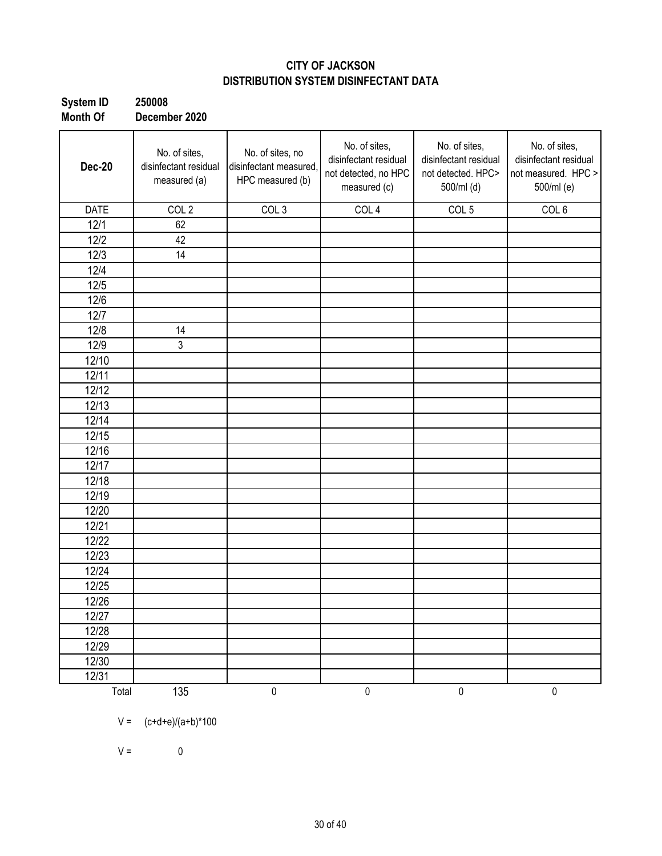### **CITY OF JACKSON DISTRIBUTION SYSTEM DISINFECTANT DATA**

| <b>System ID</b> | 250008        |
|------------------|---------------|
| Month Of         | December 2020 |

| <b>Dec-20</b> | No. of sites,<br>disinfectant residual<br>measured (a) | No. of sites, no<br>disinfectant measured,<br>HPC measured (b) | No. of sites,<br>disinfectant residual<br>not detected, no HPC<br>measured (c) | No. of sites,<br>disinfectant residual<br>not detected. HPC><br>500/ml (d) | No. of sites,<br>disinfectant residual<br>not measured. HPC ><br>500/ml (e) |
|---------------|--------------------------------------------------------|----------------------------------------------------------------|--------------------------------------------------------------------------------|----------------------------------------------------------------------------|-----------------------------------------------------------------------------|
| <b>DATE</b>   | COL <sub>2</sub>                                       | COL <sub>3</sub>                                               | COL <sub>4</sub>                                                               | COL <sub>5</sub>                                                           | COL <sub>6</sub>                                                            |
| 12/1          | 62                                                     |                                                                |                                                                                |                                                                            |                                                                             |
| 12/2          | 42                                                     |                                                                |                                                                                |                                                                            |                                                                             |
| 12/3          | 14                                                     |                                                                |                                                                                |                                                                            |                                                                             |
| 12/4          |                                                        |                                                                |                                                                                |                                                                            |                                                                             |
| 12/5          |                                                        |                                                                |                                                                                |                                                                            |                                                                             |
| 12/6          |                                                        |                                                                |                                                                                |                                                                            |                                                                             |
| 12/7          |                                                        |                                                                |                                                                                |                                                                            |                                                                             |
| 12/8          | 14                                                     |                                                                |                                                                                |                                                                            |                                                                             |
| 12/9          | 3                                                      |                                                                |                                                                                |                                                                            |                                                                             |
| 12/10         |                                                        |                                                                |                                                                                |                                                                            |                                                                             |
| 12/11         |                                                        |                                                                |                                                                                |                                                                            |                                                                             |
| 12/12         |                                                        |                                                                |                                                                                |                                                                            |                                                                             |
| 12/13         |                                                        |                                                                |                                                                                |                                                                            |                                                                             |
| 12/14         |                                                        |                                                                |                                                                                |                                                                            |                                                                             |
| 12/15         |                                                        |                                                                |                                                                                |                                                                            |                                                                             |
| 12/16         |                                                        |                                                                |                                                                                |                                                                            |                                                                             |
| 12/17         |                                                        |                                                                |                                                                                |                                                                            |                                                                             |
| 12/18         |                                                        |                                                                |                                                                                |                                                                            |                                                                             |
| 12/19         |                                                        |                                                                |                                                                                |                                                                            |                                                                             |
| 12/20         |                                                        |                                                                |                                                                                |                                                                            |                                                                             |
| 12/21         |                                                        |                                                                |                                                                                |                                                                            |                                                                             |
| 12/22         |                                                        |                                                                |                                                                                |                                                                            |                                                                             |
| 12/23         |                                                        |                                                                |                                                                                |                                                                            |                                                                             |
| 12/24         |                                                        |                                                                |                                                                                |                                                                            |                                                                             |
| 12/25         |                                                        |                                                                |                                                                                |                                                                            |                                                                             |
| 12/26         |                                                        |                                                                |                                                                                |                                                                            |                                                                             |
| 12/27         |                                                        |                                                                |                                                                                |                                                                            |                                                                             |
| 12/28         |                                                        |                                                                |                                                                                |                                                                            |                                                                             |
| 12/29         |                                                        |                                                                |                                                                                |                                                                            |                                                                             |
| 12/30         |                                                        |                                                                |                                                                                |                                                                            |                                                                             |
| 12/31         |                                                        |                                                                |                                                                                |                                                                            |                                                                             |
| Total         | 135                                                    | $\pmb{0}$                                                      | $\pmb{0}$                                                                      | $\pmb{0}$                                                                  | $\pmb{0}$                                                                   |

 $V = (c+d+e)/(a+b)^*100$ 

 $V = 0$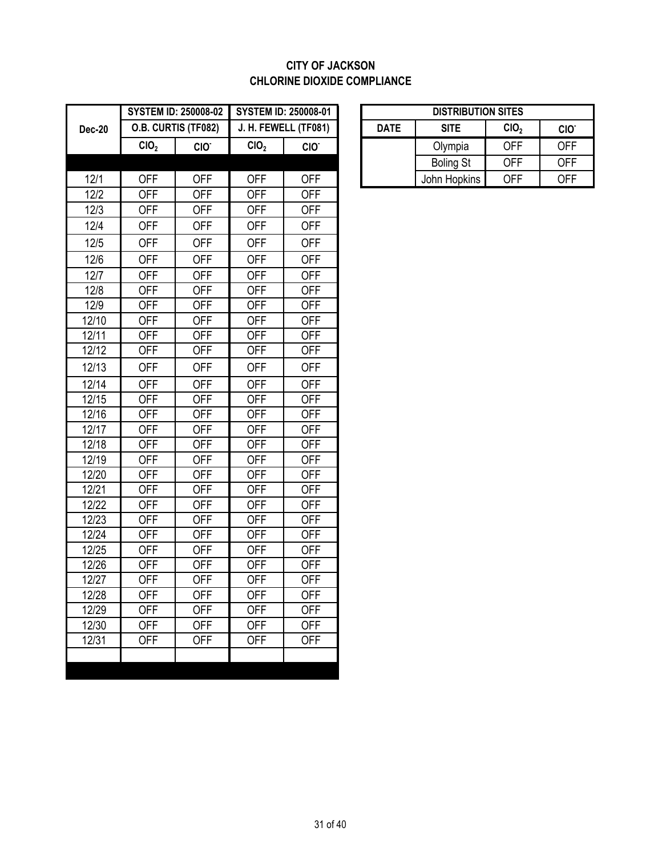### **CITY OF JACKSON CHLORINE DIOXIDE COMPLIANCE**

|               |                  | <b>SYSTEM ID: 250008-02</b> |                  | <b>SYSTEM ID: 250008-01</b> |             | <b>DISTRIBUTION SITES</b> |                  |                  |
|---------------|------------------|-----------------------------|------------------|-----------------------------|-------------|---------------------------|------------------|------------------|
| <b>Dec-20</b> |                  | O.B. CURTIS (TF082)         |                  | J. H. FEWELL (TF081)        | <b>DATE</b> | <b>SITE</b>               | CIO <sub>2</sub> | CIO <sup>-</sup> |
|               | CIO <sub>2</sub> | CIO.                        | CIO <sub>2</sub> | CIO <sup>-</sup>            |             | Olympia                   | <b>OFF</b>       | <b>OFF</b>       |
|               |                  |                             |                  |                             |             | <b>Boling St</b>          | <b>OFF</b>       | <b>OFF</b>       |
| 12/1          | <b>OFF</b>       | <b>OFF</b>                  | <b>OFF</b>       | <b>OFF</b>                  |             | John Hopkins              | <b>OFF</b>       | <b>OFF</b>       |
| 12/2          | <b>OFF</b>       | <b>OFF</b>                  | <b>OFF</b>       | <b>OFF</b>                  |             |                           |                  |                  |
| 12/3          | <b>OFF</b>       | <b>OFF</b>                  | <b>OFF</b>       | <b>OFF</b>                  |             |                           |                  |                  |
| 12/4          | <b>OFF</b>       | <b>OFF</b>                  | <b>OFF</b>       | <b>OFF</b>                  |             |                           |                  |                  |
| 12/5          | <b>OFF</b>       | <b>OFF</b>                  | <b>OFF</b>       | <b>OFF</b>                  |             |                           |                  |                  |
| 12/6          | <b>OFF</b>       | <b>OFF</b>                  | <b>OFF</b>       | <b>OFF</b>                  |             |                           |                  |                  |
| 12/7          | <b>OFF</b>       | <b>OFF</b>                  | <b>OFF</b>       | <b>OFF</b>                  |             |                           |                  |                  |
| 12/8          | <b>OFF</b>       | <b>OFF</b>                  | <b>OFF</b>       | <b>OFF</b>                  |             |                           |                  |                  |
| 12/9          | <b>OFF</b>       | <b>OFF</b>                  | <b>OFF</b>       | <b>OFF</b>                  |             |                           |                  |                  |
| 12/10         | <b>OFF</b>       | <b>OFF</b>                  | <b>OFF</b>       | <b>OFF</b>                  |             |                           |                  |                  |
| 12/11         | <b>OFF</b>       | <b>OFF</b>                  | <b>OFF</b>       | <b>OFF</b>                  |             |                           |                  |                  |
| 12/12         | <b>OFF</b>       | <b>OFF</b>                  | <b>OFF</b>       | <b>OFF</b>                  |             |                           |                  |                  |
| 12/13         | <b>OFF</b>       | <b>OFF</b>                  | <b>OFF</b>       | <b>OFF</b>                  |             |                           |                  |                  |
| 12/14         | <b>OFF</b>       | <b>OFF</b>                  | <b>OFF</b>       | <b>OFF</b>                  |             |                           |                  |                  |
| 12/15         | <b>OFF</b>       | <b>OFF</b>                  | <b>OFF</b>       | <b>OFF</b>                  |             |                           |                  |                  |
| 12/16         | <b>OFF</b>       | <b>OFF</b>                  | <b>OFF</b>       | <b>OFF</b>                  |             |                           |                  |                  |
| 12/17         | <b>OFF</b>       | <b>OFF</b>                  | <b>OFF</b>       | <b>OFF</b>                  |             |                           |                  |                  |
| 12/18         | <b>OFF</b>       | <b>OFF</b>                  | <b>OFF</b>       | <b>OFF</b>                  |             |                           |                  |                  |
| 12/19         | <b>OFF</b>       | <b>OFF</b>                  | <b>OFF</b>       | <b>OFF</b>                  |             |                           |                  |                  |
| 12/20         | <b>OFF</b>       | <b>OFF</b>                  | <b>OFF</b>       | <b>OFF</b>                  |             |                           |                  |                  |
| 12/21         | <b>OFF</b>       | <b>OFF</b>                  | <b>OFF</b>       | <b>OFF</b>                  |             |                           |                  |                  |
| 12/22         | <b>OFF</b>       | <b>OFF</b>                  | <b>OFF</b>       | <b>OFF</b>                  |             |                           |                  |                  |
| 12/23         | <b>OFF</b>       | <b>OFF</b>                  | <b>OFF</b>       | <b>OFF</b>                  |             |                           |                  |                  |
| 12/24         | <b>OFF</b>       | <b>OFF</b>                  | <b>OFF</b>       | <b>OFF</b>                  |             |                           |                  |                  |
| 12/25         | <b>OFF</b>       | <b>OFF</b>                  | <b>OFF</b>       | <b>OFF</b>                  |             |                           |                  |                  |
| 12/26         | <b>OFF</b>       | <b>OFF</b>                  | <b>OFF</b>       | <b>OFF</b>                  |             |                           |                  |                  |
| 12/27         | <b>OFF</b>       | <b>OFF</b>                  | <b>OFF</b>       | <b>OFF</b>                  |             |                           |                  |                  |
| 12/28         | <b>OFF</b>       | <b>OFF</b>                  | <b>OFF</b>       | <b>OFF</b>                  |             |                           |                  |                  |
| 12/29         | <b>OFF</b>       | <b>OFF</b>                  | <b>OFF</b>       | <b>OFF</b>                  |             |                           |                  |                  |
| 12/30         | <b>OFF</b>       | <b>OFF</b>                  | <b>OFF</b>       | <b>OFF</b>                  |             |                           |                  |                  |
| 12/31         | <b>OFF</b>       | <b>OFF</b>                  | <b>OFF</b>       | <b>OFF</b>                  |             |                           |                  |                  |
|               |                  |                             |                  |                             |             |                           |                  |                  |

|                  | STEM ID: 250008-02       | <b>SYSTEM ID: 250008-01</b> |                  | <b>DISTRIBUTION SITES</b> |                  |                                      |            |
|------------------|--------------------------|-----------------------------|------------------|---------------------------|------------------|--------------------------------------|------------|
|                  | <b>B. CURTIS (TF082)</b> | J. H. FEWELL (TF081)        |                  | <b>DATE</b>               | <b>SITE</b>      | CIO <sub>2</sub><br>CIO <sup>-</sup> |            |
| CIO <sub>2</sub> | CIO <sup>-</sup>         | CIO <sub>2</sub>            | CIO <sup>-</sup> |                           | Olympia          | OFF                                  | <b>OFF</b> |
|                  |                          |                             |                  |                           | <b>Boling St</b> | OFF                                  | <b>OFF</b> |
| OFF              | OFF                      | OFF                         | OFF              |                           | John Hopkins     | 0FF                                  | OFF        |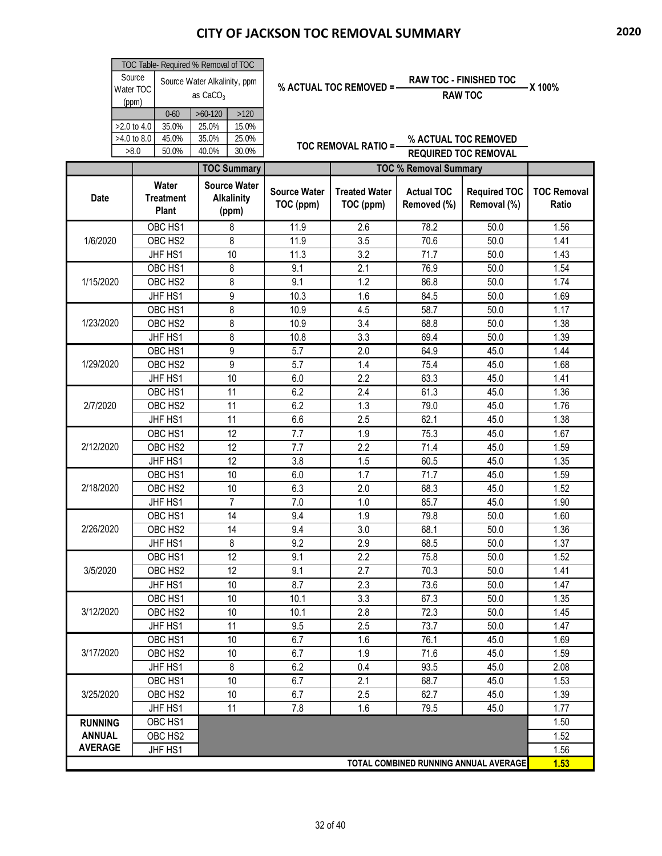|                |                    | TOC Table- Required % Removal of TOC      |                              |                                                   |                                  |                                   |                                  |                                       |                             |
|----------------|--------------------|-------------------------------------------|------------------------------|---------------------------------------------------|----------------------------------|-----------------------------------|----------------------------------|---------------------------------------|-----------------------------|
|                | Source             |                                           | Source Water Alkalinity, ppm |                                                   |                                  | % ACTUAL TOC REMOVED = -          |                                  | <b>RAW TOC - FINISHED TOC</b>         |                             |
|                | Water TOC<br>(ppm) |                                           | as $CaCO3$                   |                                                   |                                  |                                   |                                  | <b>RAW TOC</b>                        | -X 100%                     |
|                |                    | $0 - 60$                                  | $>60-120$                    | >120                                              |                                  |                                   |                                  |                                       |                             |
|                | >2.0 to 4.0        | 35.0%                                     | 25.0%                        | 15.0%                                             |                                  |                                   |                                  |                                       |                             |
|                | >4.0 to 8.0        | 45.0%                                     | 35.0%                        | 25.0%                                             |                                  | <b>TOC REMOVAL RATIO =-</b>       |                                  | % ACTUAL TOC REMOVED                  |                             |
|                | >8.0               | 50.0%                                     | 40.0%                        | 30.0%                                             |                                  |                                   |                                  | <b>REQUIRED TOC REMOVAL</b>           |                             |
|                |                    |                                           |                              | <b>TOC Summary</b>                                |                                  |                                   | <b>TOC % Removal Summary</b>     |                                       |                             |
| <b>Date</b>    |                    | Water<br><b>Treatment</b><br><b>Plant</b> |                              | <b>Source Water</b><br><b>Alkalinity</b><br>(ppm) | <b>Source Water</b><br>TOC (ppm) | <b>Treated Water</b><br>TOC (ppm) | <b>Actual TOC</b><br>Removed (%) | <b>Required TOC</b><br>Removal (%)    | <b>TOC Removal</b><br>Ratio |
|                |                    | OBC HS1                                   |                              | 8                                                 | 11.9                             | 2.6                               | 78.2                             | 50.0                                  | 1.56                        |
|                |                    | OBC HS2                                   |                              | 8                                                 | 11.9                             | 3.5                               | 70.6                             | 50.0                                  | 1.41                        |
| 1/6/2020       |                    | JHF HS1                                   |                              | 10                                                | 11.3                             | 3.2                               | 71.7                             | 50.0                                  | 1.43                        |
|                |                    | OBC HS1                                   |                              | 8                                                 | 9.1                              | 2.1                               | 76.9                             | 50.0                                  | 1.54                        |
| 1/15/2020      |                    | OBC HS2                                   |                              | 8                                                 | 9.1                              | 1.2                               | 86.8                             | 50.0                                  | 1.74                        |
|                |                    | JHF HS1                                   |                              | 9                                                 | 10.3                             | 1.6                               | 84.5                             | 50.0                                  | 1.69                        |
|                |                    | OBC HS1                                   |                              | 8                                                 | 10.9                             | 4.5                               | 58.7                             | 50.0                                  | 1.17                        |
| 1/23/2020      |                    | OBC HS2                                   |                              | 8                                                 | 10.9                             | 3.4                               | 68.8                             | 50.0                                  | 1.38                        |
|                |                    | JHF HS1                                   |                              | 8                                                 | 10.8                             | 3.3                               | 69.4                             | 50.0                                  | 1.39                        |
|                |                    | OBC HS1                                   |                              | 9                                                 | 5.7                              | 2.0                               | 64.9                             | 45.0                                  | 1.44                        |
| 1/29/2020      |                    | OBC HS2                                   |                              | 9                                                 | 5.7                              | 1.4                               | 75.4                             | 45.0                                  | 1.68                        |
|                |                    | JHF HS1                                   |                              | 10                                                | 6.0                              | 2.2                               | 63.3                             | 45.0                                  | 1.41                        |
|                |                    | OBC HS1                                   |                              | 11                                                | 6.2                              | 2.4                               | 61.3                             | 45.0                                  | 1.36                        |
| 2/7/2020       |                    | OBC HS2                                   |                              | 11                                                | 6.2                              | 1.3                               | 79.0                             | 45.0                                  | 1.76                        |
|                |                    | JHF HS1                                   |                              | 11                                                | 6.6                              | 2.5                               | 62.1                             | 45.0                                  | 1.38                        |
|                |                    | OBC HS1                                   |                              | 12                                                | 7.7                              | 1.9                               | 75.3                             | 45.0                                  | 1.67                        |
| 2/12/2020      |                    | OBC HS2                                   |                              | 12                                                | 7.7                              | 2.2                               | 71.4                             | 45.0                                  | 1.59                        |
|                |                    | JHF HS1                                   |                              | 12                                                | 3.8                              | 1.5                               | 60.5                             | 45.0                                  | 1.35                        |
|                |                    | OBC HS1                                   |                              | 10                                                | 6.0                              | 1.7                               | 71.7                             | 45.0                                  | 1.59                        |
| 2/18/2020      |                    | OBC HS2                                   |                              | 10                                                | 6.3                              | 2.0                               | 68.3                             | 45.0                                  | 1.52                        |
|                |                    | JHF HS1                                   |                              | $\overline{7}$                                    | 7.0                              | 1.0                               | 85.7                             | 45.0                                  | 1.90                        |
|                |                    | OBC HS1                                   |                              | 14                                                | 9.4                              | 1.9                               | 79.8                             | 50.0                                  | 1.60                        |
| 2/26/2020      |                    | OBC HS <sub>2</sub>                       |                              | 14                                                | 9.4                              | 3.0                               | 68.1                             | 50.0                                  | 1.36                        |
|                |                    | JHF HS1                                   |                              | 8                                                 | 9.2                              | 2.9                               | 68.5                             | 50.0                                  | 1.37                        |
|                |                    | OBC HS1                                   |                              | 12                                                | 9.1                              | 2.2                               | 75.8                             | 50.0                                  | 1.52                        |
| 3/5/2020       |                    | OBC HS <sub>2</sub>                       |                              | 12                                                | 9.1                              | 2.7                               | 70.3                             | 50.0                                  | 1.41                        |
|                |                    | JHF HS1                                   |                              | 10                                                | 8.7                              | 2.3                               | 73.6                             | 50.0                                  | 1.47                        |
| 3/12/2020      |                    | OBC HS1                                   |                              | 10                                                | 10.1                             | 3.3                               | 67.3                             | 50.0                                  | 1.35                        |
|                |                    | OBC HS2                                   |                              | 10                                                | 10.1                             | 2.8                               | 72.3                             | 50.0                                  | 1.45                        |
|                |                    | JHF HS1<br>OBC HS1                        |                              | 11<br>10                                          | 9.5<br>6.7                       | 2.5<br>1.6                        | 73.7<br>76.1                     | 50.0<br>45.0                          | 1.47<br>1.69                |
| 3/17/2020      |                    | OBC HS <sub>2</sub>                       |                              | 10                                                | 6.7                              | 1.9                               | 71.6                             | 45.0                                  | 1.59                        |
|                |                    | JHF HS1                                   |                              | 8                                                 | 6.2                              | 0.4                               | 93.5                             | 45.0                                  | 2.08                        |
|                |                    | OBC HS1                                   |                              | 10                                                | 6.7                              | 2.1                               | 68.7                             | 45.0                                  | 1.53                        |
| 3/25/2020      |                    | OBC HS2                                   |                              | 10                                                | 6.7                              | 2.5                               | 62.7                             | 45.0                                  | 1.39                        |
|                |                    | JHF HS1                                   |                              | 11                                                | 7.8                              | 1.6                               | 79.5                             | 45.0                                  | 1.77                        |
| <b>RUNNING</b> |                    | OBC HS1                                   |                              |                                                   |                                  |                                   |                                  |                                       | 1.50                        |
| <b>ANNUAL</b>  |                    | OBC HS2                                   |                              |                                                   |                                  |                                   |                                  |                                       | 1.52                        |
| <b>AVERAGE</b> |                    | <b>JHF HS1</b>                            |                              |                                                   |                                  |                                   |                                  |                                       | 1.56                        |
|                |                    |                                           |                              |                                                   |                                  |                                   |                                  | TOTAL COMBINED RUNNING ANNUAL AVERAGE | 1.53                        |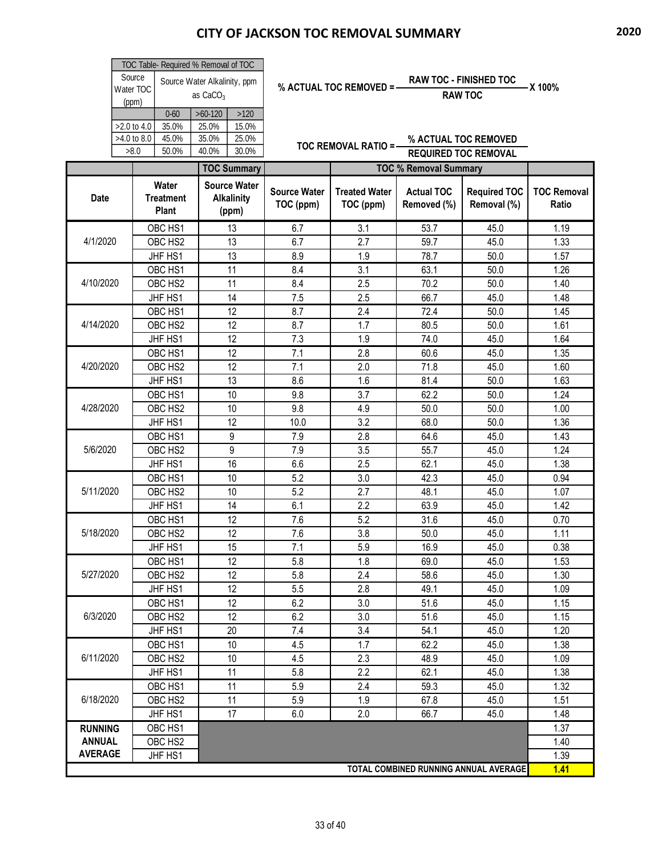|                |               | TOC Table- Required % Removal of TOC |                   |                                  |                                                                      |                                  |                                    |                                       |              |  |  |  |
|----------------|---------------|--------------------------------------|-------------------|----------------------------------|----------------------------------------------------------------------|----------------------------------|------------------------------------|---------------------------------------|--------------|--|--|--|
|                | Source        | Source Water Alkalinity, ppm         |                   |                                  | <b>RAW TOC - FINISHED TOC</b><br>% ACTUAL TOC REMOVED = -<br>-X 100% |                                  |                                    |                                       |              |  |  |  |
|                | Water TOC     |                                      | as $CaCO3$        |                                  |                                                                      |                                  |                                    | <b>RAW TOC</b>                        |              |  |  |  |
|                | (ppm)         | $0 - 60$                             | $>60-120$         | >120                             |                                                                      |                                  |                                    |                                       |              |  |  |  |
|                | >2.0 to 4.0   | 35.0%                                | 25.0%             | 15.0%                            |                                                                      |                                  |                                    |                                       |              |  |  |  |
|                | $>4.0$ to 8.0 | 45.0%                                | 35.0%             | 25.0%                            |                                                                      |                                  |                                    | % ACTUAL TOC REMOVED                  |              |  |  |  |
|                | >8.0          | 50.0%                                | 40.0%             | 30.0%                            |                                                                      | <b>TOC REMOVAL RATIO =-</b>      |                                    | <b>REQUIRED TOC REMOVAL</b>           |              |  |  |  |
|                |               |                                      |                   | <b>TOC Summary</b>               |                                                                      |                                  | <b>TOC % Removal Summary</b>       |                                       |              |  |  |  |
|                |               | Water                                |                   | <b>Source Water</b>              |                                                                      |                                  |                                    |                                       |              |  |  |  |
| <b>Date</b>    |               | <b>Treatment</b>                     | <b>Alkalinity</b> | <b>Source Water</b><br>TOC (ppm) | <b>Treated Water</b><br>TOC (ppm)                                    | <b>Actual TOC</b><br>Removed (%) | <b>Required TOC</b><br>Removal (%) | <b>TOC Removal</b><br>Ratio           |              |  |  |  |
|                |               | <b>Plant</b>                         |                   | (ppm)                            |                                                                      |                                  |                                    |                                       |              |  |  |  |
|                |               | OBC HS1                              |                   | 13                               | 6.7                                                                  | 3.1                              | 53.7                               | 45.0                                  | 1.19         |  |  |  |
| 4/1/2020       |               | OBC HS2                              |                   | 13                               | 6.7                                                                  | 2.7                              | 59.7                               | 45.0                                  | 1.33         |  |  |  |
|                |               | JHF HS1                              |                   | 13                               | 8.9                                                                  | 1.9                              | 78.7                               | 50.0                                  | 1.57         |  |  |  |
|                |               | OBC HS1                              |                   | 11                               | 8.4                                                                  | 3.1                              | 63.1                               | 50.0                                  | 1.26         |  |  |  |
| 4/10/2020      |               | OBC HS2                              |                   | 11                               | 8.4                                                                  | 2.5                              | 70.2                               | 50.0                                  | 1.40         |  |  |  |
|                |               | JHF HS1                              |                   | 14                               | 7.5                                                                  | 2.5                              | 66.7                               | 45.0                                  | 1.48         |  |  |  |
|                |               | OBC HS1                              |                   | 12                               | 8.7                                                                  | 2.4                              | 72.4                               | 50.0                                  | 1.45         |  |  |  |
| 4/14/2020      |               | OBC HS2                              |                   | 12                               | 8.7                                                                  | 1.7                              | 80.5                               | 50.0                                  | 1.61         |  |  |  |
|                |               | JHF HS1                              |                   | 12                               | 7.3                                                                  | 1.9                              | 74.0                               | 45.0                                  | 1.64         |  |  |  |
|                |               | OBC HS1                              |                   | 12                               | 7.1                                                                  | 2.8                              | 60.6                               | 45.0                                  | 1.35         |  |  |  |
| 4/20/2020      |               | OBC HS2                              |                   | 12                               | 7.1                                                                  | 2.0                              | 71.8                               | 45.0                                  | 1.60         |  |  |  |
|                |               | JHF HS1                              |                   | 13                               | 8.6                                                                  | 1.6                              | 81.4                               | 50.0                                  | 1.63         |  |  |  |
| 4/28/2020      |               | OBC HS1                              |                   | 10                               | 9.8                                                                  | 3.7                              | 62.2                               | 50.0                                  | 1.24         |  |  |  |
|                |               | OBC HS2                              |                   | 10                               | 9.8                                                                  | 4.9                              | 50.0                               | 50.0                                  | 1.00         |  |  |  |
|                |               | JHF HS1                              |                   | 12                               | 10.0                                                                 | 3.2                              | 68.0                               | 50.0                                  | 1.36         |  |  |  |
|                |               | OBC HS1                              |                   | 9                                | 7.9                                                                  | 2.8                              | 64.6                               | 45.0                                  | 1.43         |  |  |  |
| 5/6/2020       |               | OBC HS2                              |                   | 9                                | 7.9                                                                  | 3.5                              | 55.7                               | 45.0                                  | 1.24         |  |  |  |
|                |               | JHF HS1                              |                   | 16                               | 6.6                                                                  | 2.5                              | 62.1                               | 45.0                                  | 1.38         |  |  |  |
| 5/11/2020      |               | OBC HS1                              |                   | 10<br>10                         | 5.2<br>5.2                                                           | 3.0                              | 42.3<br>48.1                       | 45.0<br>45.0                          | 0.94<br>1.07 |  |  |  |
|                |               | OBC HS2<br>JHF HS1                   |                   | 14                               | 6.1                                                                  | 2.7<br>2.2                       | 63.9                               | 45.0                                  | 1.42         |  |  |  |
|                |               | OBC HS1                              |                   | 12                               | 7.6                                                                  | 5.2                              | 31.6                               | 45.0                                  | 0.70         |  |  |  |
| 5/18/2020      |               | OBC HS2                              |                   | 12                               | 7.6                                                                  | 3.8                              | 50.0                               | 45.0                                  | 1.11         |  |  |  |
|                |               | JHF HS1                              |                   | 15                               | 7.1                                                                  | 5.9                              | 16.9                               | 45.0                                  | 0.38         |  |  |  |
|                |               | OBC HS1                              |                   | 12                               | 5.8                                                                  | 1.8                              | 69.0                               | 45.0                                  | 1.53         |  |  |  |
| 5/27/2020      |               | OBC HS2                              |                   | 12                               | 5.8                                                                  | 2.4                              | 58.6                               | 45.0                                  | 1.30         |  |  |  |
|                |               | JHF HS1                              |                   | 12                               | 5.5                                                                  | 2.8                              | 49.1                               | 45.0                                  | 1.09         |  |  |  |
|                |               | OBC HS1                              |                   | 12                               | 6.2                                                                  | 3.0                              | 51.6                               | 45.0                                  | 1.15         |  |  |  |
| 6/3/2020       |               | OBC HS2                              |                   | 12                               | 6.2                                                                  | 3.0                              | 51.6                               | 45.0                                  | 1.15         |  |  |  |
|                |               | JHF HS1                              |                   | 20                               | 7.4                                                                  | 3.4                              | 54.1                               | 45.0                                  | 1.20         |  |  |  |
|                |               | OBC HS1                              |                   | 10                               | 4.5                                                                  | 1.7                              | 62.2                               | 45.0                                  | 1.38         |  |  |  |
| 6/11/2020      |               | OBC HS2                              |                   | 10                               | 4.5                                                                  | 2.3                              | 48.9                               | 45.0                                  | 1.09         |  |  |  |
|                |               | JHF HS1                              |                   | 11                               | 5.8                                                                  | 2.2                              | 62.1                               | 45.0                                  | 1.38         |  |  |  |
|                |               | OBC HS1                              |                   | 11                               | 5.9                                                                  | 2.4                              | 59.3                               | 45.0                                  | 1.32         |  |  |  |
| 6/18/2020      |               | OBC HS2                              |                   | 11                               | 5.9                                                                  | 1.9                              | 67.8                               | 45.0                                  | 1.51         |  |  |  |
|                |               | JHF HS1                              |                   | 17                               | 6.0                                                                  | 2.0                              | 66.7                               | 45.0                                  | 1.48         |  |  |  |
| <b>RUNNING</b> |               | OBC HS1                              |                   |                                  |                                                                      |                                  |                                    |                                       | 1.37         |  |  |  |
| <b>ANNUAL</b>  |               | OBC HS2                              |                   |                                  |                                                                      |                                  |                                    |                                       | 1.40         |  |  |  |
| <b>AVERAGE</b> |               | JHF HS1                              |                   |                                  |                                                                      |                                  |                                    |                                       | 1.39         |  |  |  |
|                |               |                                      |                   |                                  |                                                                      |                                  |                                    | TOTAL COMBINED RUNNING ANNUAL AVERAGE | 1.41         |  |  |  |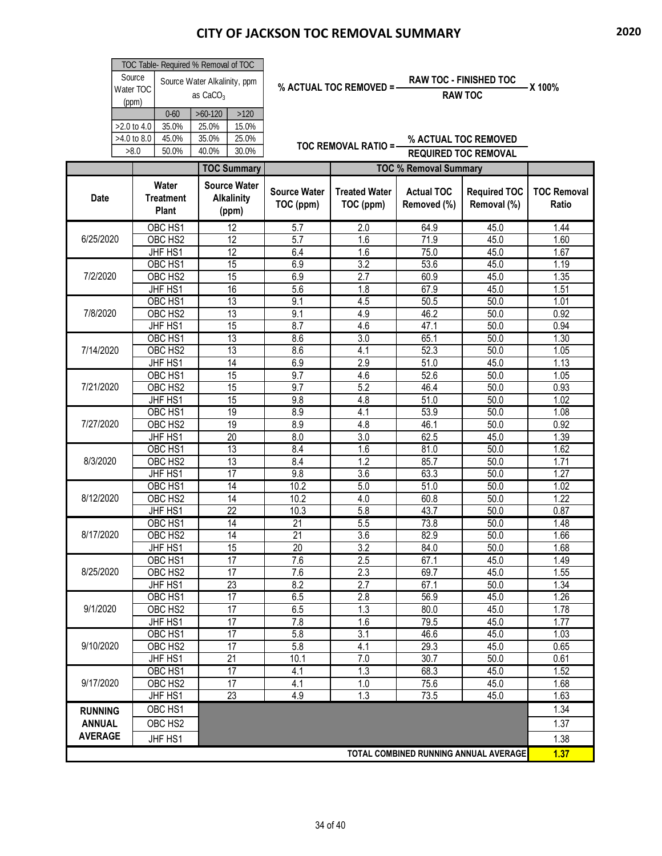|                |                     | TOC Table- Required % Removal of TOC |                              |                     |                       |                             |                              |                                       |                    |  |  |
|----------------|---------------------|--------------------------------------|------------------------------|---------------------|-----------------------|-----------------------------|------------------------------|---------------------------------------|--------------------|--|--|
|                | Source              |                                      | Source Water Alkalinity, ppm |                     |                       |                             |                              | <b>RAW TOC - FINISHED TOC</b>         |                    |  |  |
|                | Water TOC           |                                      | as $CaCO3$                   |                     |                       | % ACTUAL TOC REMOVED = -    |                              | <b>RAW TOC</b>                        | X 100%             |  |  |
|                | (ppm)               |                                      |                              |                     |                       |                             |                              |                                       |                    |  |  |
|                |                     | $0 - 60$                             | $>60-120$                    | >120                |                       |                             |                              |                                       |                    |  |  |
|                | >2.0 to 4.0         | 35.0%<br>45.0%                       | 25.0%<br>35.0%               | 15.0%<br>25.0%      |                       |                             |                              |                                       |                    |  |  |
|                | >4.0 to 8.0<br>>8.0 | 50.0%                                | 40.0%                        | 30.0%               |                       | <b>TOC REMOVAL RATIO =-</b> |                              | % ACTUAL TOC REMOVED                  |                    |  |  |
|                |                     |                                      |                              |                     |                       |                             |                              | <b>REQUIRED TOC REMOVAL</b>           |                    |  |  |
|                |                     |                                      |                              | <b>TOC Summary</b>  |                       |                             | <b>TOC % Removal Summary</b> |                                       |                    |  |  |
|                |                     | Water                                |                              | <b>Source Water</b> | <b>Source Water</b>   | <b>Treated Water</b>        | <b>Actual TOC</b>            | <b>Required TOC</b>                   | <b>TOC Removal</b> |  |  |
| <b>Date</b>    |                     | <b>Treatment</b>                     |                              | <b>Alkalinity</b>   | TOC (ppm)             | TOC (ppm)                   | Removed (%)                  | Removal (%)                           | Ratio              |  |  |
|                |                     | <b>Plant</b>                         |                              | (ppm)               |                       |                             |                              |                                       |                    |  |  |
|                |                     | OBC HS1                              |                              | 12                  | 5.7                   | 2.0                         | 64.9                         | 45.0                                  | 1.44               |  |  |
| 6/25/2020      |                     | OBC HS2                              |                              | $\overline{12}$     | 5.7                   | 1.6                         | 71.9                         | 45.0                                  | 1.60               |  |  |
|                |                     | JHF HS1                              |                              | $\overline{12}$     | 6.4                   | 1.6                         | 75.0                         | 45.0                                  | 1.67               |  |  |
|                |                     | OBC HS1                              |                              | $\overline{15}$     | 6.9                   | $\overline{3.2}$            | 53.6                         | 45.0                                  | 1.19               |  |  |
| 7/2/2020       |                     | OBC HS2                              |                              | 15                  | 6.9                   | 2.7                         | 60.9                         | 45.0                                  | 1.35               |  |  |
|                |                     | JHF HS1                              |                              | 16                  | 5.6                   | 1.8                         | 67.9                         | 45.0                                  | 1.51               |  |  |
| 7/8/2020       |                     | OBC HS1                              |                              | 13                  | 9.1                   | 4.5                         | 50.5<br>46.2                 | 50.0                                  | 1.01               |  |  |
|                |                     | OBC HS2                              |                              | 13<br>15            | 9.1<br>8.7            | 4.9                         | 47.1                         | 50.0<br>50.0                          | 0.92               |  |  |
|                |                     | JHF HS1<br>OBC HS1                   |                              | 13                  | 8.6                   | 4.6<br>3.0                  | 65.1                         | 50.0                                  | 0.94<br>1.30       |  |  |
| 7/14/2020      |                     | OBC HS2                              |                              | 13                  | 8.6                   | 4.1                         | 52.3                         | 50.0                                  | 1.05               |  |  |
|                |                     | JHF HS1                              |                              | 14                  | 6.9                   | $\overline{2.9}$            | 51.0                         | 45.0                                  | 1.13               |  |  |
|                |                     | OBC HS1                              |                              | 15                  | 9.7                   | 4.6                         | 52.6                         | 50.0                                  | 1.05               |  |  |
| 7/21/2020      |                     | OBC HS2                              |                              | 15                  | 9.7                   | 5.2                         | 46.4                         | 50.0                                  | 0.93               |  |  |
|                |                     | JHF HS1                              |                              | 15                  | 9.8                   | 4.8                         | 51.0                         | 50.0                                  | 1.02               |  |  |
|                |                     | OBC HS1                              |                              | 19                  | 8.9                   | 4.1                         | 53.9                         | 50.0                                  | 1.08               |  |  |
| 7/27/2020      |                     | OBC HS2                              |                              | $\overline{19}$     | 8.9                   | 4.8                         | 46.1                         | 50.0                                  | 0.92               |  |  |
|                |                     | JHF HS1                              |                              | $\overline{20}$     | 8.0                   | $\overline{3.0}$            | 62.5                         | 45.0                                  | 1.39               |  |  |
|                |                     | OBC HS1                              |                              | 13                  | 8.4                   | 1.6                         | 81.0                         | 50.0                                  | 1.62               |  |  |
| 8/3/2020       |                     | OBC HS2                              |                              | 13                  | 8.4                   | 1.2                         | 85.7                         | 50.0                                  | 1.71               |  |  |
|                |                     | JHF HS1                              |                              | $\overline{17}$     | 9.8                   | 3.6                         | 63.3                         | 50.0                                  | 1.27               |  |  |
|                |                     | OBC HS1                              |                              | $\overline{14}$     | 10.2                  | 5.0                         | 51.0                         | 50.0                                  | 1.02               |  |  |
| 8/12/2020      |                     | OBC HS2                              |                              | 14                  | 10.2                  | 4.0                         | 60.8                         | 50.0                                  | 1.22               |  |  |
|                |                     | JHF HS1                              |                              | $\overline{22}$     | 10.3                  | 5.8                         | 43.7                         | 50.0                                  | 0.87               |  |  |
| 8/17/2020      |                     | OBC HS1<br>OBC HS2                   |                              | 14                  | 21<br>$\overline{21}$ | 5.5                         | 73.8                         | 50.0                                  | 1.48               |  |  |
|                |                     | JHF HS1                              |                              | 14<br>15            | 20                    | 3.6<br>$\overline{3.2}$     | 82.9<br>84.0                 | 50.0<br>50.0                          | 1.66<br>1.68       |  |  |
|                |                     | OBC HS1                              |                              | $\overline{17}$     | 7.6                   | 2.5                         | 67.1                         | 45.0                                  | 1.49               |  |  |
| 8/25/2020      |                     | OBC HS2                              |                              | $\overline{17}$     | 7.6                   | 2.3                         | 69.7                         | 45.0                                  | 1.55               |  |  |
|                |                     | JHF HS1                              |                              | $\overline{23}$     | 8.2                   | $\overline{2.7}$            | 67.1                         | 50.0                                  | 1.34               |  |  |
|                |                     | OBC HS1                              |                              | 17                  | 6.5                   | 2.8                         | 56.9                         | 45.0                                  | 1.26               |  |  |
| 9/1/2020       |                     | OBC HS2                              |                              | $\overline{17}$     | 6.5                   | 1.3                         | 80.0                         | 45.0                                  | 1.78               |  |  |
|                |                     | JHF HS1                              |                              | 17                  | 7.8                   | 1.6                         | 79.5                         | 45.0                                  | 1.77               |  |  |
|                |                     | OBC HS1                              |                              | $\overline{17}$     | 5.8                   | $\overline{3.1}$            | 46.6                         | 45.0                                  | 1.03               |  |  |
| 9/10/2020      |                     | OBC HS2                              |                              | 17                  | 5.8                   | 4.1                         | 29.3                         | 45.0                                  | 0.65               |  |  |
|                |                     | JHF HS1                              |                              | 21                  | 10.1                  | 7.0                         | 30.7                         | 50.0                                  | 0.61               |  |  |
|                |                     | OBC HS1                              |                              | $\overline{17}$     | 4.1                   | 1.3                         | 68.3                         | 45.0                                  | 1.52               |  |  |
| 9/17/2020      |                     | OBC HS2                              |                              | 17                  | 4.1                   | 1.0                         | 75.6                         | 45.0                                  | 1.68               |  |  |
|                |                     | JHF HS1                              |                              | 23                  | 4.9                   | 1.3                         | 73.5                         | 45.0                                  | 1.63               |  |  |
| <b>RUNNING</b> |                     | OBC HS1                              |                              |                     |                       |                             |                              |                                       | 1.34               |  |  |
| <b>ANNUAL</b>  |                     | OBC HS2                              |                              |                     |                       |                             |                              |                                       | 1.37               |  |  |
| <b>AVERAGE</b> |                     | JHF HS1                              |                              |                     |                       |                             |                              |                                       | 1.38               |  |  |
|                |                     |                                      |                              |                     |                       |                             |                              | TOTAL COMBINED RUNNING ANNUAL AVERAGE | 1.37               |  |  |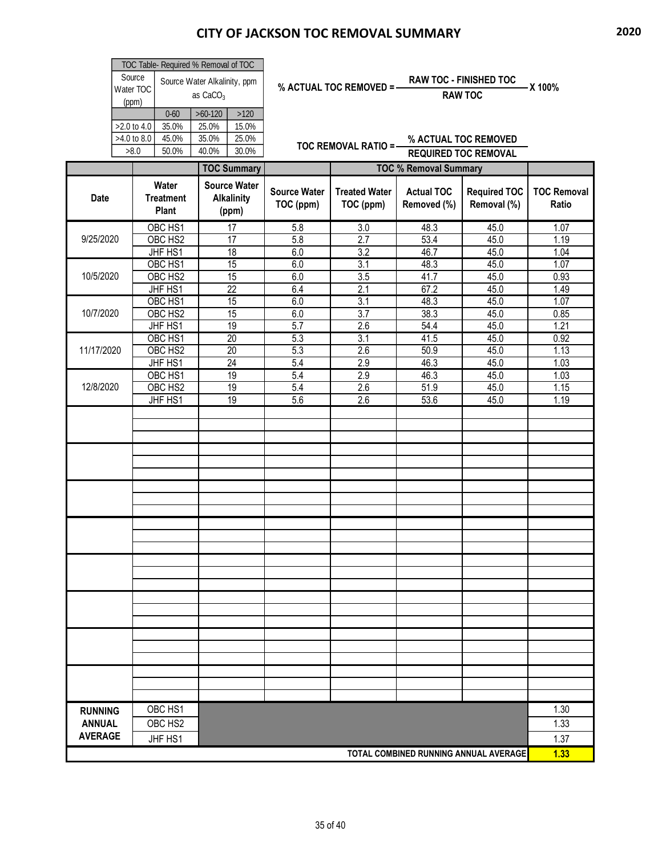|                                 | Source<br>Water TOC<br>(ppm)       | TOC Table- Required % Removal of TOC<br>$0 - 60$ | Source Water Alkalinity, ppm<br>as CaCO <sub>3</sub><br>$>60-120$ | $>120$                                            |                                  | % ACTUAL TOC REMOVED = -          |                                  | <b>RAW TOC - FINISHED TOC</b><br><b>RAW TOC</b>     | -X 100%                     |
|---------------------------------|------------------------------------|--------------------------------------------------|-------------------------------------------------------------------|---------------------------------------------------|----------------------------------|-----------------------------------|----------------------------------|-----------------------------------------------------|-----------------------------|
|                                 | >2.0 to 4.0<br>>4.0 to 8.0<br>>8.0 | 35.0%<br>45.0%<br>50.0%                          | 25.0%<br>35.0%<br>40.0%                                           | 15.0%<br>25.0%<br>30.0%                           |                                  | TOC REMOVAL RATIO =-              |                                  | % ACTUAL TOC REMOVED<br><b>REQUIRED TOC REMOVAL</b> |                             |
|                                 |                                    |                                                  |                                                                   | <b>TOC Summary</b>                                |                                  |                                   | <b>TOC % Removal Summary</b>     |                                                     |                             |
| <b>Date</b>                     |                                    | Water<br><b>Treatment</b><br><b>Plant</b>        |                                                                   | <b>Source Water</b><br><b>Alkalinity</b><br>(ppm) | <b>Source Water</b><br>TOC (ppm) | <b>Treated Water</b><br>TOC (ppm) | <b>Actual TOC</b><br>Removed (%) | <b>Required TOC</b><br>Removal (%)                  | <b>TOC Removal</b><br>Ratio |
| 9/25/2020                       |                                    | OBC HS1<br>OBC HS2<br>JHF HS1                    |                                                                   | 17<br>17<br>18                                    | 5.8<br>5.8<br>6.0                | 3.0<br>2.7<br>3.2                 | 48.3<br>53.4<br>46.7             | 45.0<br>45.0<br>45.0                                | 1.07<br>1.19<br>1.04        |
| 10/5/2020                       |                                    | OBC HS1<br>OBC HS2<br>JHF HS1                    |                                                                   | 15<br>15<br>$\overline{22}$                       | 6.0<br>6.0<br>6.4                | $\overline{3.1}$<br>3.5<br>2.1    | 48.3<br>41.7<br>67.2             | 45.0<br>45.0<br>45.0                                | 1.07<br>0.93<br>1.49        |
| 10/7/2020                       |                                    | OBC HS1<br>OBC HS2<br>JHF HS1                    |                                                                   | 15<br>15<br>19                                    | 6.0<br>6.0<br>5.7                | $\overline{3.1}$<br>3.7<br>2.6    | 48.3<br>38.3<br>54.4             | 45.0<br>45.0<br>45.0                                | 1.07<br>0.85<br>1.21        |
| 11/17/2020                      |                                    | OBC HS1<br>OBC HS2<br>JHF HS1                    |                                                                   | $\overline{20}$<br>20<br>24                       | 5.3<br>5.3<br>5.4                | $\overline{3.1}$<br>2.6<br>2.9    | 41.5<br>50.9<br>46.3             | 45.0<br>45.0<br>45.0                                | 0.92<br>1.13<br>1.03        |
| 12/8/2020                       |                                    | OBC HS1<br>OBC HS2<br>JHF HS1                    |                                                                   | 19<br>19<br>19                                    | 5.4<br>5.4<br>5.6                | 2.9<br>2.6<br>2.6                 | 46.3<br>51.9<br>53.6             | 45.0<br>45.0<br>45.0                                | 1.03<br>1.15<br>1.19        |
|                                 |                                    |                                                  |                                                                   |                                                   |                                  |                                   |                                  |                                                     |                             |
|                                 |                                    |                                                  |                                                                   |                                                   |                                  |                                   |                                  |                                                     |                             |
|                                 |                                    |                                                  |                                                                   |                                                   |                                  |                                   |                                  |                                                     |                             |
|                                 |                                    |                                                  |                                                                   |                                                   |                                  |                                   |                                  |                                                     |                             |
|                                 |                                    |                                                  |                                                                   |                                                   |                                  |                                   |                                  |                                                     |                             |
|                                 |                                    |                                                  |                                                                   |                                                   |                                  |                                   |                                  |                                                     |                             |
|                                 |                                    |                                                  |                                                                   |                                                   |                                  |                                   |                                  |                                                     |                             |
|                                 |                                    |                                                  |                                                                   |                                                   |                                  |                                   |                                  |                                                     |                             |
| <b>RUNNING</b><br><b>ANNUAL</b> |                                    | OBC HS1<br>OBC HS2                               |                                                                   |                                                   |                                  |                                   |                                  |                                                     | 1.30<br>1.33                |
| <b>AVERAGE</b>                  |                                    | JHF HS1                                          |                                                                   |                                                   |                                  |                                   |                                  | TOTAL COMBINED RUNNING ANNUAL AVERAGE               | 1.37<br>1.33                |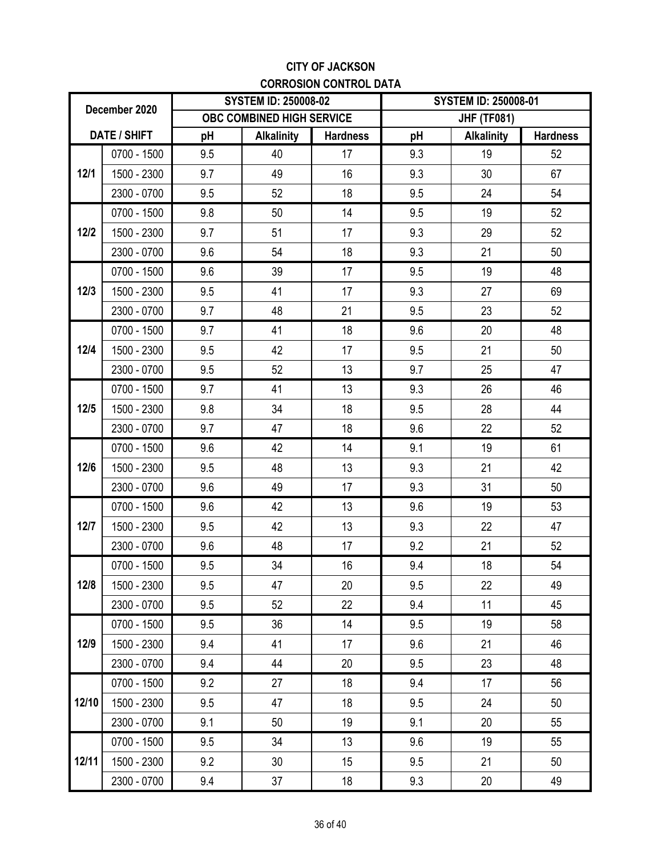### **CITY OF JACKSON CORROSION CONTROL DATA**

|        | December 2020       |     | <b>SYSTEM ID: 250008-02</b>      |                 | <b>SYSTEM ID: 250008-01</b> |                   |                 |
|--------|---------------------|-----|----------------------------------|-----------------|-----------------------------|-------------------|-----------------|
|        |                     |     | <b>OBC COMBINED HIGH SERVICE</b> |                 | <b>JHF (TF081)</b>          |                   |                 |
|        | <b>DATE / SHIFT</b> | pH  | <b>Alkalinity</b>                | <b>Hardness</b> | pH                          | <b>Alkalinity</b> | <b>Hardness</b> |
|        | 0700 - 1500         | 9.5 | 40                               | 17              | 9.3                         | 19                | 52              |
| 12/1   | 1500 - 2300         | 9.7 | 49                               | 16              | 9.3                         | 30                | 67              |
|        | 2300 - 0700         | 9.5 | 52                               | 18              | 9.5                         | 24                | 54              |
|        | 0700 - 1500         | 9.8 | 50                               | 14              | 9.5                         | 19                | 52              |
| $12/2$ | 1500 - 2300         | 9.7 | 51                               | 17              | 9.3                         | 29                | 52              |
|        | 2300 - 0700         | 9.6 | 54                               | 18              | 9.3                         | 21                | 50              |
|        | $0700 - 1500$       | 9.6 | 39                               | 17              | 9.5                         | 19                | 48              |
| $12/3$ | 1500 - 2300         | 9.5 | 41                               | 17              | 9.3                         | 27                | 69              |
|        | 2300 - 0700         | 9.7 | 48                               | 21              | 9.5                         | 23                | 52              |
|        | 0700 - 1500         | 9.7 | 41                               | 18              | 9.6                         | 20                | 48              |
| $12/4$ | 1500 - 2300         | 9.5 | 42                               | 17              | 9.5                         | 21                | 50              |
|        | 2300 - 0700         | 9.5 | 52                               | 13              | 9.7                         | 25                | 47              |
|        | 0700 - 1500         | 9.7 | 41                               | 13              | 9.3                         | 26                | 46              |
| $12/5$ | 1500 - 2300         | 9.8 | 34                               | 18              | 9.5                         | 28                | 44              |
|        | 2300 - 0700         | 9.7 | 47                               | 18              | 9.6                         | 22                | 52              |
|        | $0700 - 1500$       | 9.6 | 42                               | 14              | 9.1                         | 19                | 61              |
| $12/6$ | 1500 - 2300         | 9.5 | 48                               | 13              | 9.3                         | 21                | 42              |
|        | 2300 - 0700         | 9.6 | 49                               | 17              | 9.3                         | 31                | 50              |
|        | 0700 - 1500         | 9.6 | 42                               | 13              | 9.6                         | 19                | 53              |
| 12/7   | 1500 - 2300         | 9.5 | 42                               | 13              | 9.3                         | 22                | 47              |
|        | 2300 - 0700         | 9.6 | 48                               | 17              | 9.2                         | 21                | 52              |
|        | 0700 - 1500         | 9.5 | 34                               | 16              | 9.4                         | 18                | 54              |
| 12/8   | 1500 - 2300         | 9.5 | 47                               | 20              | 9.5                         | 22                | 49              |
|        | 2300 - 0700         | 9.5 | 52                               | 22              | 9.4                         | 11                | 45              |
|        | 0700 - 1500         | 9.5 | 36                               | 14              | 9.5                         | 19                | 58              |
| 12/9   | 1500 - 2300         | 9.4 | 41                               | 17              | 9.6                         | 21                | 46              |
|        | 2300 - 0700         | 9.4 | 44                               | 20              | 9.5                         | 23                | 48              |
|        | 0700 - 1500         | 9.2 | 27                               | 18              | 9.4                         | 17                | 56              |
| 12/10  | 1500 - 2300         | 9.5 | 47                               | 18              | 9.5                         | 24                | 50              |
|        | 2300 - 0700         | 9.1 | 50                               | 19              | 9.1                         | 20                | 55              |
|        | 0700 - 1500         | 9.5 | 34                               | 13              | 9.6                         | 19                | 55              |
| 12/11  | 1500 - 2300         | 9.2 | 30                               | 15              | 9.5                         | 21                | 50              |
|        | 2300 - 0700         | 9.4 | 37                               | 18              | 9.3                         | 20                | 49              |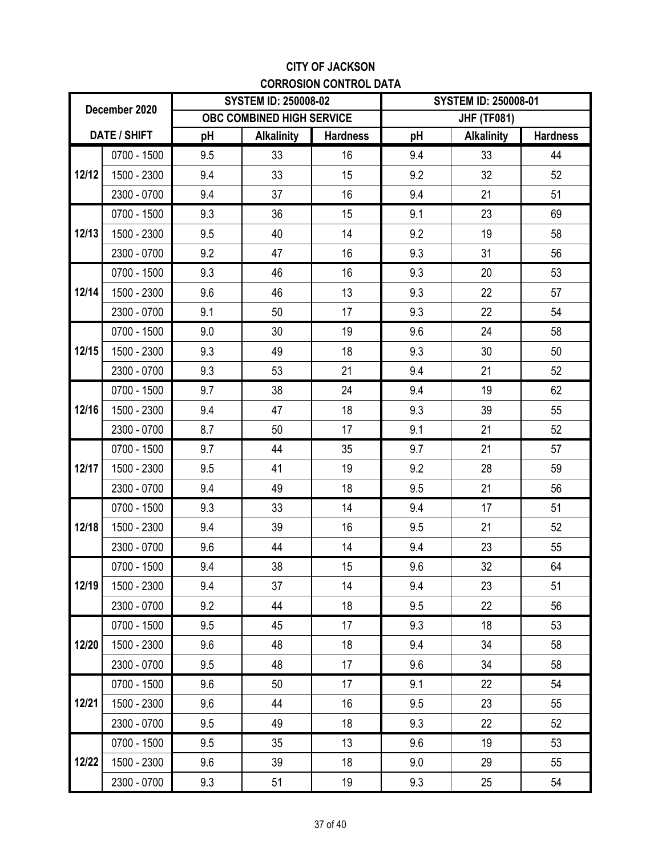### **CITY OF JACKSON CORROSION CONTROL DATA**

|       | December 2020 |     | <b>SYSTEM ID: 250008-02</b> |                 | <b>SYSTEM ID: 250008-01</b> |                    |                 |
|-------|---------------|-----|-----------------------------|-----------------|-----------------------------|--------------------|-----------------|
|       |               |     | OBC COMBINED HIGH SERVICE   |                 |                             | <b>JHF (TF081)</b> |                 |
|       | DATE / SHIFT  | pH  | <b>Alkalinity</b>           | <b>Hardness</b> | pH                          | <b>Alkalinity</b>  | <b>Hardness</b> |
|       | $0700 - 1500$ | 9.5 | 33                          | 16              | 9.4                         | 33                 | 44              |
| 12/12 | 1500 - 2300   | 9.4 | 33                          | 15              | 9.2                         | 32                 | 52              |
|       | 2300 - 0700   | 9.4 | 37                          | 16              | 9.4                         | 21                 | 51              |
|       | 0700 - 1500   | 9.3 | 36                          | 15              | 9.1                         | 23                 | 69              |
| 12/13 | 1500 - 2300   | 9.5 | 40                          | 14              | 9.2                         | 19                 | 58              |
|       | 2300 - 0700   | 9.2 | 47                          | 16              | 9.3                         | 31                 | 56              |
|       | $0700 - 1500$ | 9.3 | 46                          | 16              | 9.3                         | 20                 | 53              |
| 12/14 | 1500 - 2300   | 9.6 | 46                          | 13              | 9.3                         | 22                 | 57              |
|       | 2300 - 0700   | 9.1 | 50                          | 17              | 9.3                         | 22                 | 54              |
|       | 0700 - 1500   | 9.0 | 30                          | 19              | 9.6                         | 24                 | 58              |
| 12/15 | 1500 - 2300   | 9.3 | 49                          | 18              | 9.3                         | 30                 | 50              |
|       | 2300 - 0700   | 9.3 | 53                          | 21              | 9.4                         | 21                 | 52              |
|       | 0700 - 1500   | 9.7 | 38                          | 24              | 9.4                         | 19                 | 62              |
| 12/16 | 1500 - 2300   | 9.4 | 47                          | 18              | 9.3                         | 39                 | 55              |
|       | 2300 - 0700   | 8.7 | 50                          | 17              | 9.1                         | 21                 | 52              |
|       | $0700 - 1500$ | 9.7 | 44                          | 35              | 9.7                         | 21                 | 57              |
| 12/17 | 1500 - 2300   | 9.5 | 41                          | 19              | 9.2                         | 28                 | 59              |
|       | 2300 - 0700   | 9.4 | 49                          | 18              | 9.5                         | 21                 | 56              |
|       | 0700 - 1500   | 9.3 | 33                          | 14              | 9.4                         | 17                 | 51              |
| 12/18 | 1500 - 2300   | 9.4 | 39                          | 16              | 9.5                         | 21                 | 52              |
|       | 2300 - 0700   | 9.6 | 44                          | 14              | 9.4                         | 23                 | 55              |
|       | $0700 - 1500$ | 9.4 | 38                          | 15              | 9.6                         | 32                 | 64              |
| 12/19 | 1500 - 2300   | 9.4 | 37                          | 14              | 9.4                         | 23                 | 51              |
|       | 2300 - 0700   | 9.2 | 44                          | 18              | 9.5                         | 22                 | 56              |
|       | 0700 - 1500   | 9.5 | 45                          | 17              | 9.3                         | 18                 | 53              |
| 12/20 | 1500 - 2300   | 9.6 | 48                          | 18              | 9.4                         | 34                 | 58              |
|       | 2300 - 0700   | 9.5 | 48                          | 17              | 9.6                         | 34                 | 58              |
|       | 0700 - 1500   | 9.6 | 50                          | 17              | 9.1                         | 22                 | 54              |
| 12/21 | 1500 - 2300   | 9.6 | 44                          | 16              | 9.5                         | 23                 | 55              |
|       | 2300 - 0700   | 9.5 | 49                          | 18              | 9.3                         | 22                 | 52              |
|       | 0700 - 1500   | 9.5 | 35                          | 13              | 9.6                         | 19                 | 53              |
| 12/22 | 1500 - 2300   | 9.6 | 39                          | 18              | 9.0                         | 29                 | 55              |
|       | 2300 - 0700   | 9.3 | 51                          | 19              | 9.3                         | 25                 | 54              |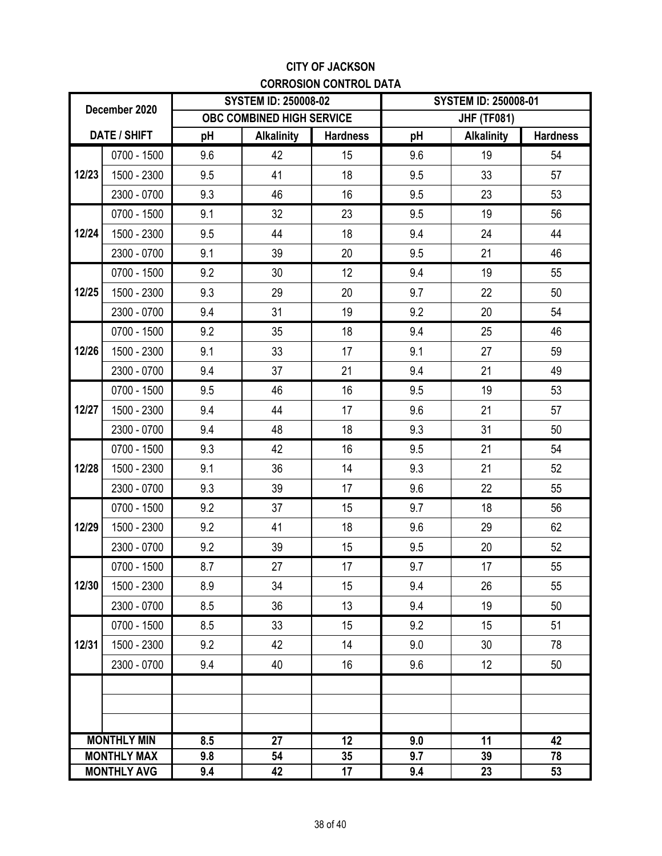### **CITY OF JACKSON CORROSION CONTROL DATA**

|       | December 2020                            |            | <b>SYSTEM ID: 250008-02</b> |                 |            | <b>SYSTEM ID: 250008-01</b>                                                                                                      |                 |
|-------|------------------------------------------|------------|-----------------------------|-----------------|------------|----------------------------------------------------------------------------------------------------------------------------------|-----------------|
|       |                                          |            | OBC COMBINED HIGH SERVICE   |                 |            | <b>JHF (TF081)</b>                                                                                                               |                 |
|       | DATE / SHIFT                             | pH         | <b>Alkalinity</b>           | <b>Hardness</b> | pH         | <b>Alkalinity</b>                                                                                                                | <b>Hardness</b> |
|       | $0700 - 1500$                            | 9.6        | 42                          | 15              | 9.6        | 19                                                                                                                               | 54              |
| 12/23 | 1500 - 2300                              | 9.5        | 41                          | 18              | 9.5        | 33                                                                                                                               | 57              |
|       | 2300 - 0700                              | 9.3        | 46                          | 16              | 9.5        | 23                                                                                                                               | 53              |
| 12/24 | 0700 - 1500                              | 9.1        | 32                          | 23              | 9.5        | 19                                                                                                                               | 56              |
|       | 1500 - 2300                              | 9.5        | 44                          | 18              | 9.4        | 24                                                                                                                               | 44              |
|       | 2300 - 0700                              | 9.1        | 39                          | 20              | 9.5        | 21                                                                                                                               | 46              |
|       | $0700 - 1500$                            | 9.2        | 30                          | 12              | 9.4        | 19                                                                                                                               | 55              |
| 12/25 | 1500 - 2300                              | 9.3        | 29                          | 20              | 9.7        | 22                                                                                                                               | 50              |
|       | 2300 - 0700                              | 9.4        | 31                          | 19              | 9.2        | 20<br>25<br>27<br>21<br>19<br>21<br>31<br>21<br>21<br>22<br>18<br>29<br>20<br>17<br>26<br>19<br>15<br>30<br>12<br>11<br>39<br>23 | 54              |
|       | $0700 - 1500$                            | 9.2        | 35                          | 18              | 9.4        |                                                                                                                                  | 46              |
| 12/26 | 1500 - 2300                              | 9.1        | 33                          | 17              | 9.1        |                                                                                                                                  | 59              |
|       | 2300 - 0700                              | 9.4        | 37                          | 21              | 9.4        |                                                                                                                                  | 49              |
|       | 0700 - 1500                              | 9.5        | 46                          | 16              | 9.5        |                                                                                                                                  | 53              |
| 12/27 | 1500 - 2300                              | 9.4        | 44                          | 17              | 9.6        |                                                                                                                                  | 57              |
|       | 2300 - 0700                              | 9.4        | 48                          | 18              | 9.3        |                                                                                                                                  | 50              |
|       | $0700 - 1500$                            | 9.3        | 42                          | 16              | 9.5        |                                                                                                                                  | 54              |
| 12/28 | 1500 - 2300                              | 9.1        | 36                          | 14              | 9.3        |                                                                                                                                  | 52              |
|       | 2300 - 0700                              | 9.3        | 39                          | 17              | 9.6        |                                                                                                                                  | 55              |
|       | $0700 - 1500$                            | 9.2        | 37                          | 15              | 9.7        |                                                                                                                                  | 56              |
| 12/29 | 1500 - 2300                              | 9.2        | 41                          | 18              | 9.6        |                                                                                                                                  | 62              |
|       | 2300 - 0700                              | 9.2        | 39                          | 15              | 9.5        |                                                                                                                                  | 52              |
|       | $0700 - 1500$                            | 8.7        | 27                          | 17              | 9.7        |                                                                                                                                  | 55              |
| 12/30 | 1500 - 2300                              | 8.9        | 34                          | 15              | 9.4        |                                                                                                                                  | 55              |
|       | 2300 - 0700                              | 8.5        | 36                          | 13              | 9.4        |                                                                                                                                  | 50              |
|       | $0700 - 1500$                            | 8.5        | 33                          | 15              | 9.2        |                                                                                                                                  | 51              |
| 12/31 | 1500 - 2300                              | 9.2        | 42                          | 14              | 9.0        |                                                                                                                                  | 78              |
|       | 2300 - 0700                              | 9.4        | 40                          | 16              | 9.6        |                                                                                                                                  | 50              |
|       |                                          |            |                             |                 |            |                                                                                                                                  |                 |
|       |                                          |            |                             |                 |            |                                                                                                                                  |                 |
|       |                                          |            |                             |                 |            |                                                                                                                                  |                 |
|       | <b>MONTHLY MIN</b>                       | 8.5        | 27                          | 12              | 9.0        |                                                                                                                                  | 42              |
|       | <b>MONTHLY MAX</b><br><b>MONTHLY AVG</b> | 9.8<br>9.4 | 54<br>42                    | 35<br>17        | 9.7<br>9.4 |                                                                                                                                  | 78<br>53        |
|       |                                          |            |                             |                 |            |                                                                                                                                  |                 |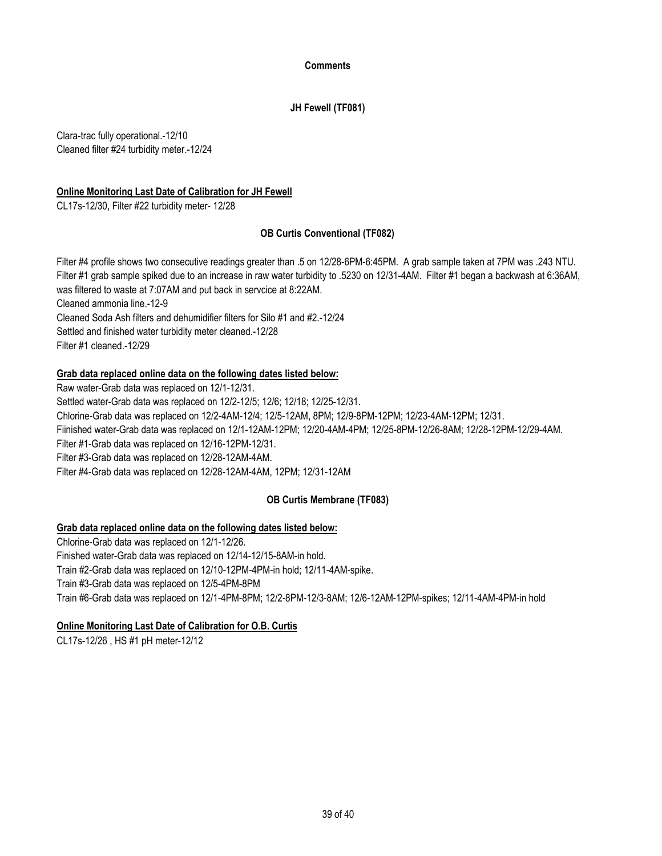#### **Comments**

### **JH Fewell (TF081)**

Clara-trac fully operational.-12/10 Cleaned filter #24 turbidity meter.-12/24

### **Online Monitoring Last Date of Calibration for JH Fewell**

CL17s-12/30, Filter #22 turbidity meter- 12/28

### **OB Curtis Conventional (TF082)**

Filter #4 profile shows two consecutive readings greater than .5 on 12/28-6PM-6:45PM. A grab sample taken at 7PM was .243 NTU. Filter #1 grab sample spiked due to an increase in raw water turbidity to .5230 on 12/31-4AM. Filter #1 began a backwash at 6:36AM, was filtered to waste at 7:07AM and put back in servcice at 8:22AM. Cleaned ammonia line.-12-9

Cleaned Soda Ash filters and dehumidifier filters for Silo #1 and #2.-12/24 Settled and finished water turbidity meter cleaned.-12/28 Filter #1 cleaned.-12/29

### **Grab data replaced online data on the following dates listed below:**

Raw water-Grab data was replaced on 12/1-12/31. Settled water-Grab data was replaced on 12/2-12/5; 12/6; 12/18; 12/25-12/31. Chlorine-Grab data was replaced on 12/2-4AM-12/4; 12/5-12AM, 8PM; 12/9-8PM-12PM; 12/23-4AM-12PM; 12/31. Fiinished water-Grab data was replaced on 12/1-12AM-12PM; 12/20-4AM-4PM; 12/25-8PM-12/26-8AM; 12/28-12PM-12/29-4AM. Filter #1-Grab data was replaced on 12/16-12PM-12/31. Filter #3-Grab data was replaced on 12/28-12AM-4AM. Filter #4-Grab data was replaced on 12/28-12AM-4AM, 12PM; 12/31-12AM

### **OB Curtis Membrane (TF083)**

### **Grab data replaced online data on the following dates listed below:**

Chlorine-Grab data was replaced on 12/1-12/26. Finished water-Grab data was replaced on 12/14-12/15-8AM-in hold. Train #2-Grab data was replaced on 12/10-12PM-4PM-in hold; 12/11-4AM-spike. Train #3-Grab data was replaced on 12/5-4PM-8PM Train #6-Grab data was replaced on 12/1-4PM-8PM; 12/2-8PM-12/3-8AM; 12/6-12AM-12PM-spikes; 12/11-4AM-4PM-in hold

### **Online Monitoring Last Date of Calibration for O.B. Curtis**

CL17s-12/26 , HS #1 pH meter-12/12